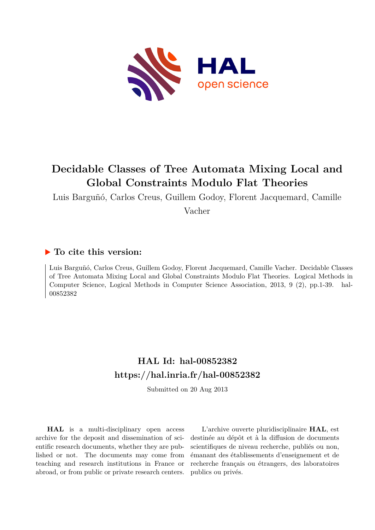

# **Decidable Classes of Tree Automata Mixing Local and Global Constraints Modulo Flat Theories**

Luis Barguñó, Carlos Creus, Guillem Godoy, Florent Jacquemard, Camille

Vacher

## **To cite this version:**

Luis Barguñó, Carlos Creus, Guillem Godoy, Florent Jacquemard, Camille Vacher. Decidable Classes of Tree Automata Mixing Local and Global Constraints Modulo Flat Theories. Logical Methods in Computer Science, Logical Methods in Computer Science Association, 2013, 9 (2), pp.1-39. hal-00852382

## **HAL Id: hal-00852382 <https://hal.inria.fr/hal-00852382>**

Submitted on 20 Aug 2013

**HAL** is a multi-disciplinary open access archive for the deposit and dissemination of scientific research documents, whether they are published or not. The documents may come from teaching and research institutions in France or abroad, or from public or private research centers.

L'archive ouverte pluridisciplinaire **HAL**, est destinée au dépôt et à la diffusion de documents scientifiques de niveau recherche, publiés ou non, émanant des établissements d'enseignement et de recherche français ou étrangers, des laboratoires publics ou privés.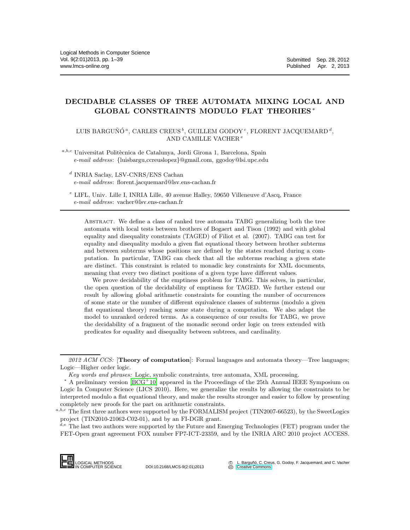## DECIDABLE CLASSES OF TREE AUTOMATA MIXING LOCAL AND GLOBAL CONSTRAINTS MODULO FLAT THEORIES <sup>∗</sup>

LUIS BARGUÑÓ<sup> $a$ </sup>, CARLES CREUS<sup>b</sup>, GUILLEM GODOY<sup>c</sup>, FLORENT JACQUEMARD<sup>d</sup>, AND CAMILLE VACHER  $e$ 

 $a,b,c$  Universitat Politècnica de Catalunya, Jordi Girona 1, Barcelona, Spain *e-mail address*: {luisbargu,ccreuslopez}@gmail.com, ggodoy@lsi.upc.edu

d INRIA Saclay, LSV-CNRS/ENS Cachan *e-mail address*: florent.jacquemard@lsv.ens-cachan.fr

<sup>e</sup> LIFL, Univ. Lille I, INRIA Lille, 40 avenue Halley, 59650 Villeneuve d'Ascq, France *e-mail address*: vacher@lsv.ens-cachan.fr

Abstract. We define a class of ranked tree automata TABG generalizing both the tree automata with local tests between brothers of Bogaert and Tison (1992) and with global equality and disequality constraints (TAGED) of Filiot et al. (2007). TABG can test for equality and disequality modulo a given flat equational theory between brother subterms and between subterms whose positions are defined by the states reached during a computation. In particular, TABG can check that all the subterms reaching a given state are distinct. This constraint is related to monadic key constraints for XML documents, meaning that every two distinct positions of a given type have different values.

We prove decidability of the emptiness problem for TABG. This solves, in particular, the open question of the decidability of emptiness for TAGED. We further extend our result by allowing global arithmetic constraints for counting the number of occurrences of some state or the number of different equivalence classes of subterms (modulo a given flat equational theory) reaching some state during a computation. We also adapt the model to unranked ordered terms. As a consequence of our results for TABG, we prove the decidability of a fragment of the monadic second order logic on trees extended with predicates for equality and disequality between subtrees, and cardinality.

 $^{d,e}$  The last two authors were supported by the Future and Emerging Technologies (FET) program under the FET-Open grant agreement FOX number FP7-ICT-23359, and by the INRIA ARC 2010 project ACCESS.



DOI:10.2168/LMCS-9(2:01)2013

L. Barguñó, C. Creus, G. Godoy, F. Jacquemard, and C. Vacher **[Creative Commons](http://creativecommons.org/about/licenses)** 

<sup>2012</sup> ACM CCS: [Theory of computation]: Formal languages and automata theory—Tree languages; Logic—Higher order logic.

*Key words and phrases:* Logic, symbolic constraints, tree automata, XML processing.

<sup>∗</sup> A preliminary version [\[BCG](#page-37-0)<sup>+</sup>10] appeared in the Proceedings of the 25th Annual IEEE Symposium on Logic In Computer Science (LICS 2010). Here, we generalize the results by allowing the constraints to be interpreted modulo a flat equational theory, and make the results stronger and easier to follow by presenting completely new proofs for the part on arithmetic constraints.

a,b,c The first three authors were supported by the FORMALISM project (TIN2007-66523), by the SweetLogics project (TIN2010-21062-C02-01), and by an FI-DGR grant.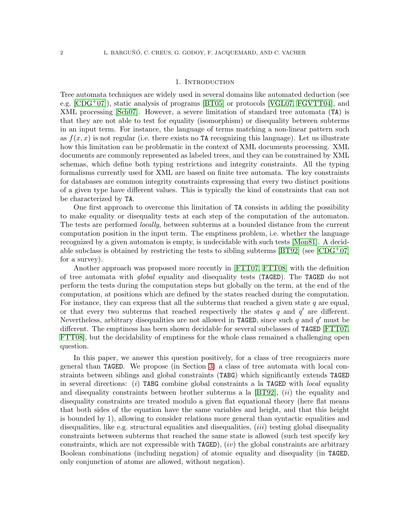#### 1. Introduction

Tree automata techniques are widely used in several domains like automated deduction (see e.g.  $[CDG^+07]$ , static analysis of programs  $[BT05]$  or protocols  $[VGL07, FGVTT04]$  $[VGL07, FGVTT04]$ , and XML processing [\[Sch07\]](#page-39-1). However, a severe limitation of standard tree automata (TA) is that they are not able to test for equality (isomorphism) or disequality between subterms in an input term. For instance, the language of terms matching a non-linear pattern such as  $f(x, x)$  is not regular (i.e. there exists no TA recognizing this language). Let us illustrate how this limitation can be problematic in the context of XML documents processing. XML documents are commonly represented as labeled trees, and they can be constrained by XML schemas, which define both typing restrictions and integrity constraints. All the typing formalisms currently used for XML are based on finite tree automata. The key constraints for databases are common integrity constraints expressing that every two distinct positions of a given type have different values. This is typically the kind of constraints that can not be characterized by TA.

One first approach to overcome this limitation of TA consists in adding the possibility to make equality or disequality tests at each step of the computation of the automaton. The tests are performed locally, between subterms at a bounded distance from the current computation position in the input term. The emptiness problem, i.e. whether the language recognized by a given automaton is empty, is undecidable with such tests [\[Mon81\]](#page-38-3). A decid-able subclass is obtained by restricting the tests to sibling subterms [\[BT92\]](#page-38-4) (see [\[CDG](#page-38-0)+07] for a survey).

Another approach was proposed more recently in [\[FTT07,](#page-38-5) [FTT08\]](#page-38-6) with the definition of tree automata with *global* equality and disequality tests (TAGED). The TAGED do not perform the tests during the computation steps but globally on the term, at the end of the computation, at positions which are defined by the states reached during the computation. For instance, they can express that all the subterms that reached a given state  $q$  are equal, or that every two subterms that reached respectively the states  $q$  and  $q'$  are different. Nevertheless, arbitrary disequalities are not allowed in TAGED, since such  $q$  and  $q'$  must be different. The emptiness has been shown decidable for several subclasses of TAGED [\[FTT07,](#page-38-5) [FTT08\]](#page-38-6), but the decidability of emptiness for the whole class remained a challenging open question.

In this paper, we answer this question positively, for a class of tree recognizers more general than TAGED. We propose (in Section [3\)](#page-6-0) a class of tree automata with local constraints between siblings and global constraints (TABG) which significantly extends TAGED in several directions: (i) TABG combine global constraints a la TAGED with *local* equality and disequality constraints between brother subterms a la  $[BT92]$ ,  $(ii)$  the equality and disequality constraints are treated modulo a given flat equational theory (here flat means that both sides of the equation have the same variables and height, and that this height is bounded by 1), allowing to consider relations more general than syntactic equalities and disequalities, like e.g. structural equalities and disequalities,  $(iii)$  testing global disequality constraints between subterms that reached the same state is allowed (such test specify key constraints, which are not expressible with  $\text{TAGED}$ ),  $(iv)$  the global constraints are arbitrary Boolean combinations (including negation) of atomic equality and disequality (in TAGED, only conjunction of atoms are allowed, without negation).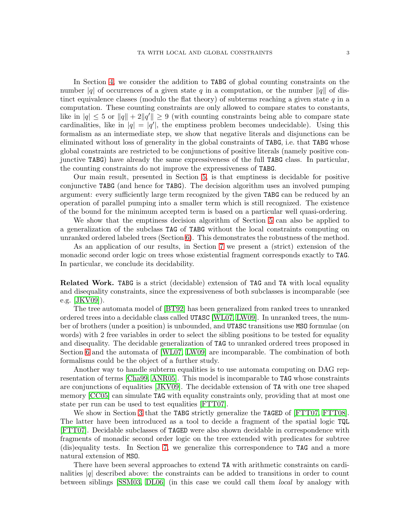In Section [4,](#page-11-0) we consider the addition to TABG of global counting constraints on the number |q| of occurrences of a given state q in a computation, or the number  $\|q\|$  of distinct equivalence classes (modulo the flat theory) of subterms reaching a given state  $q$  in a computation. These counting constraints are only allowed to compare states to constants, like in  $|q| \leq 5$  or  $||q|| + 2||q'|| \geq 9$  (with counting constraints being able to compare state cardinalities, like in  $|q| = |q'|$ , the emptiness problem becomes undecidable). Using this formalism as an intermediate step, we show that negative literals and disjunctions can be eliminated without loss of generality in the global constraints of TABG, i.e. that TABG whose global constraints are restricted to be conjunctions of positive literals (namely positive conjunctive TABG) have already the same expressiveness of the full TABG class. In particular, the counting constraints do not improve the expressiveness of TABG.

Our main result, presented in Section [5,](#page-22-0) is that emptiness is decidable for positive conjunctive TABG (and hence for TABG). The decision algorithm uses an involved pumping argument: every sufficiently large term recognized by the given TABG can be reduced by an operation of parallel pumping into a smaller term which is still recognized. The existence of the bound for the minimum accepted term is based on a particular well quasi-ordering.

We show that the emptiness decision algorithm of Section [5](#page-22-0) can also be applied to a generalization of the subclass TAG of TABG without the local constraints computing on unranked ordered labeled trees (Section [6\)](#page-32-0). This demonstrates the robustness of the method.

As an application of our results, in Section [7](#page-33-0) we present a (strict) extension of the monadic second order logic on trees whose existential fragment corresponds exactly to TAG. In particular, we conclude its decidability.

Related Work. TABG is a strict (decidable) extension of TAG and TA with local equality and disequality constraints, since the expressiveness of both subclasses is incomparable (see e.g. [\[JKV09\]](#page-38-7)).

The tree automata model of [\[BT92\]](#page-38-4) has been generalized from ranked trees to unranked ordered trees into a decidable class called UTASC [\[WL07,](#page-39-2) [LW09\]](#page-38-8). In unranked trees, the number of brothers (under a position) is unbounded, and UTASC transitions use MSO formulae (on words) with 2 free variables in order to select the sibling positions to be tested for equality and disequality. The decidable generalization of TAG to unranked ordered trees proposed in Section [6](#page-32-0) and the automata of [\[WL07,](#page-39-2) [LW09\]](#page-38-8) are incomparable. The combination of both formalisms could be the object of a further study.

Another way to handle subterm equalities is to use automata computing on DAG representation of terms [\[Cha99,](#page-38-9) [ANR05\]](#page-37-1). This model is incomparable to TAG whose constraints are conjunctions of equalities [\[JKV09\]](#page-38-7). The decidable extension of TA with one tree shaped memory [\[CC05\]](#page-38-10) can simulate TAG with equality constraints only, providing that at most one state per run can be used to test equalities [\[FTT07\]](#page-38-5).

We show in Section [3](#page-6-0) that the TABG strictly generalize the TAGED of [\[FTT07,](#page-38-5) [FTT08\]](#page-38-6). The latter have been introduced as a tool to decide a fragment of the spatial logic TQL [\[FTT07\]](#page-38-5). Decidable subclasses of TAGED were also shown decidable in correspondence with fragments of monadic second order logic on the tree extended with predicates for subtree (dis)equality tests. In Section [7,](#page-33-0) we generalize this correspondence to TAG and a more natural extension of MSO.

There have been several approaches to extend TA with arithmetic constraints on cardinalities  $|q|$  described above: the constraints can be added to transitions in order to count between siblings [\[SSM03,](#page-39-3) [DL06\]](#page-38-11) (in this case we could call them local by analogy with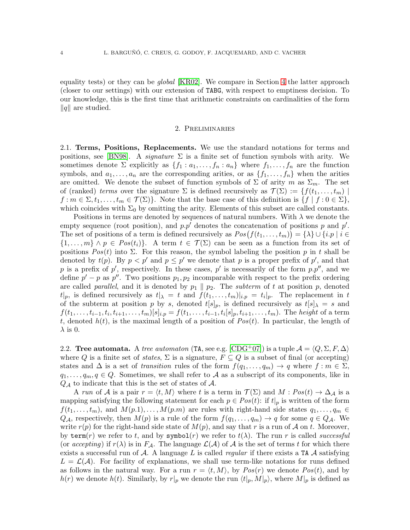equality tests) or they can be *global* [\[KR02\]](#page-38-12). We compare in Section [4](#page-11-0) the latter approach (closer to our settings) with our extension of TABG, with respect to emptiness decision. To our knowledge, this is the first time that arithmetic constraints on cardinalities of the form  $\|q\|$  are studied.

### 2. Preliminaries

2.1. Terms, Positions, Replacements. We use the standard notations for terms and positions, see [\[BN98\]](#page-37-2). A *signature*  $\Sigma$  is a finite set of function symbols with arity. We sometimes denote  $\Sigma$  explicitly as  $\{f_1 : a_1, \ldots, f_n : a_n\}$  where  $f_1, \ldots, f_n$  are the function symbols, and  $a_1, \ldots, a_n$  are the corresponding arities, or as  $\{f_1, \ldots, f_n\}$  when the arities are omitted. We denote the subset of function symbols of  $\Sigma$  of arity m as  $\Sigma_m$ . The set of (ranked) terms over the signature  $\Sigma$  is defined recursively as  $\mathcal{T}(\Sigma) := \{f(t_1, \ldots, t_m) \mid$  $f : m \in \Sigma, t_1, \ldots, t_m \in \mathcal{T}(\Sigma)$ . Note that the base case of this definition is  $\{f \mid f : 0 \in \Sigma\}$ , which coincides with  $\Sigma_0$  by omitting the arity. Elements of this subset are called constants.

Positions in terms are denoted by sequences of natural numbers. With  $\lambda$  we denote the empty sequence (root position), and  $p.p'$  denotes the concatenation of positions p and  $p'.$ The set of positions of a term is defined recursively as  $Pos(f(t_1, ..., t_m)) = \{\lambda\} \cup \{i, p \mid i \in$  $\{1,\ldots,m\}\wedge p \in Pos(t_i)\}.$  A term  $t \in \mathcal{T}(\Sigma)$  can be seen as a function from its set of positions  $Pos(t)$  into  $\Sigma$ . For this reason, the symbol labeling the position p in t shall be denoted by  $t(p)$ . By  $p < p'$  and  $p \leq p'$  we denote that p is a proper prefix of p', and that p is a prefix of p', respectively. In these cases, p' is necessarily of the form  $p.p''$ , and we define  $p' - p$  as  $p''$ . Two positions  $p_1, p_2$  incomparable with respect to the prefix ordering are called *parallel*, and it is denoted by  $p_1 \parallel p_2$ . The *subterm* of t at position p, denoted  $t|_p$ , is defined recursively as  $t|_{\lambda} = t$  and  $f(t_1, \ldots, t_m)|_{i,p} = t_i|_p$ . The replacement in t of the subterm at position p by s, denoted  $t[s]_p$ , is defined recursively as  $t[s]_\lambda = s$  and  $f(t_1, \ldots, t_{i-1}, t_i, t_{i+1}, \ldots, t_m) [s]_{i,p} = f(t_1, \ldots, t_{i-1}, t_i [s]_p, t_{i+1}, \ldots, t_m)$ . The *height* of a term t, denoted  $h(t)$ , is the maximal length of a position of  $Pos(t)$ . In particular, the length of  $\lambda$  is 0.

2.2. Tree automata. A tree automaton (TA, see e.g.  $[\text{CDG}^+07]$ ) is a tuple  $\mathcal{A} = \langle Q, \Sigma, F, \Delta \rangle$ where Q is a finite set of *states*,  $\Sigma$  is a signature,  $F \subseteq Q$  is a subset of final (or accepting) states and  $\Delta$  is a set of transition rules of the form  $f(q_1, \ldots, q_m) \to q$  where  $f : m \in \Sigma$ ,  $q_1, \ldots, q_m, q \in Q$ . Sometimes, we shall refer to A as a subscript of its components, like in  $Q_{\mathcal{A}}$  to indicate that this is the set of states of  $\mathcal{A}$ .

A run of A is a pair  $r = \langle t, M \rangle$  where t is a term in  $\mathcal{T}(\Sigma)$  and  $M : Pos(t) \to \Delta_{\mathcal{A}}$  is a mapping satisfying the following statement for each  $p \in Pos(t)$ : if  $t|_p$  is written of the form  $f(t_1,\ldots,t_m)$ , and  $M(p.1),\ldots,M(p.m)$  are rules with right-hand side states  $q_1,\ldots,q_m \in$  $Q_{\mathcal{A}}$ , respectively, then  $M(p)$  is a rule of the form  $f(q_1, \ldots, q_m) \to q$  for some  $q \in Q_{\mathcal{A}}$ . We write  $r(p)$  for the right-hand side state of  $M(p)$ , and say that r is a run of A on t. Moreover, by term(r) we refer to t, and by symbol(r) we refer to  $t(\lambda)$ . The run r is called successful (or accepting) if  $r(\lambda)$  is in  $F_{\mathcal{A}}$ . The language  $\mathcal{L}(\mathcal{A})$  of  $\mathcal{A}$  is the set of terms t for which there exists a successful run of  $A$ . A language L is called *regular* if there exists a TA  $A$  satisfying  $L = \mathcal{L}(\mathcal{A})$ . For facility of explanations, we shall use term-like notations for runs defined as follows in the natural way. For a run  $r = \langle t, M \rangle$ , by  $Pos(r)$  we denote  $Pos(t)$ , and by  $h(r)$  we denote  $h(t)$ . Similarly, by  $r|_p$  we denote the run  $\langle t|_p, M|_p\rangle$ , where  $M|_p$  is defined as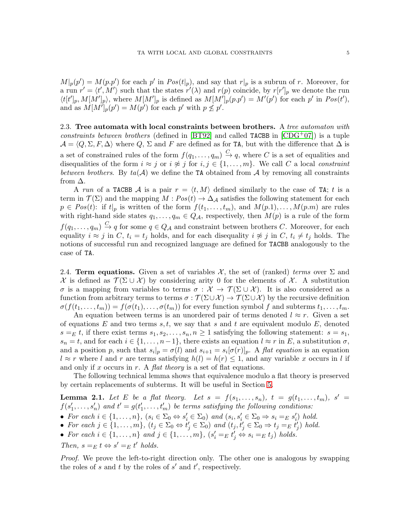$M|_p(p') = M(p.p')$  for each p' in  $Pos(t|_p)$ , and say that  $r|_p$  is a subrun of r. Moreover, for a run  $r' = \langle t', M' \rangle$  such that the states  $r'(\lambda)$  and  $r(p)$  coincide, by  $r[r']_p$  we denote the run  $\langle t[t']_p, M[M']_p \rangle$ , where  $M[M']_p$  is defined as  $M[M']_p(p.p') = M'(p')$  for each p' in  $Pos(t')$ , and as  $M[M']_p(p') = M(p')$  for each p' with  $p \nleq p'$ .

2.3. Tree automata with local constraints between brothers. A tree automaton with constraints between brothers (defined in [\[BT92\]](#page-38-4) and called TACBB in  $[CDG^{+}07]$ ) is a tuple  $\mathcal{A} = \langle Q, \Sigma, F, \Delta \rangle$  where Q,  $\Sigma$  and F are defined as for TA, but with the difference that  $\Delta$  is a set of constrained rules of the form  $f(q_1, \ldots, q_m) \stackrel{C}{\to} q$ , where C is a set of equalities and disequalities of the form  $i \approx j$  or  $i \not\approx j$  for  $i, j \in \{1, ..., m\}$ . We call C a local constraint between brothers. By  $ta(\mathcal{A})$  we define the TA obtained from  $\mathcal{A}$  by removing all constraints from  $\Delta$ .

A run of a TACBB A is a pair  $r = \langle t, M \rangle$  defined similarly to the case of TA; t is a term in  $\mathcal{T}(\Sigma)$  and the mapping  $M: Pos(t) \to \Delta_{\mathcal{A}}$  satisfies the following statement for each  $p \in Pos(t)$ : if  $t|_p$  is written of the form  $f(t_1, \ldots, t_m)$ , and  $M(p,1), \ldots, M(p,m)$  are rules with right-hand side states  $q_1, \ldots, q_m \in Q_{\mathcal{A}}$ , respectively, then  $M(p)$  is a rule of the form  $f(q_1,\ldots,q_m) \stackrel{C}{\to} q$  for some  $q \in Q_{\mathcal{A}}$  and constraint between brothers C. Moreover, for each equality  $i \approx j$  in C,  $t_i = t_j$  holds, and for each disequality  $i \not\approx j$  in C,  $t_i \neq t_j$  holds. The notions of successful run and recognized language are defined for TACBB analogously to the case of TA.

2.4. Term equations. Given a set of variables  $\mathcal{X}$ , the set of (ranked) terms over  $\Sigma$  and  $\mathcal X$  is defined as  $\mathcal T(\Sigma \cup \mathcal X)$  by considering arity 0 for the elements of X. A substitution σ is a mapping from variables to terms  $\sigma : \mathcal{X} \to \mathcal{T}(\Sigma \cup \mathcal{X})$ . It is also considered as a function from arbitrary terms to terms  $\sigma : \mathcal{T}(\Sigma \cup \mathcal{X}) \to \mathcal{T}(\Sigma \cup \mathcal{X})$  by the recursive definition  $\sigma(f(t_1,\ldots,t_m)) = f(\sigma(t_1),\ldots,\sigma(t_m))$  for every function symbol f and subterms  $t_1,\ldots,t_m$ .

An equation between terms is an unordered pair of terms denoted  $l \approx r$ . Given a set of equations E and two terms  $s, t$ , we say that s and t are equivalent modulo E, denoted  $s = E$  t, if there exist terms  $s_1, s_2, \ldots, s_n, n \geq 1$  satisfying the following statement:  $s = s_1$ ,  $s_n = t$ , and for each  $i \in \{1, \ldots, n-1\}$ , there exists an equation  $l \approx r$  in E, a substitution  $\sigma$ , and a position p, such that  $s_i|_p = \sigma(l)$  and  $s_{i+1} = s_i[\sigma(r)]_p$ . A flat equation is an equation  $l \approx r$  where l and r are terms satisfying  $h(l) = h(r) \leq 1$ , and any variable x occurs in l if and only if x occurs in r. A *flat theory* is a set of flat equations.

The following technical lemma shows that equivalence modulo a flat theory is preserved by certain replacements of subterms. It will be useful in Section [5.](#page-22-0)

<span id="page-5-0"></span>**Lemma 2.1.** Let E be a flat theory. Let  $s = f(s_1, \ldots, s_n)$ ,  $t = g(t_1, \ldots, t_m)$ ,  $s' =$  $f(s'_1,\ldots,s'_n)$  and  $t'=g(t'_1,\ldots,t'_m)$  be terms satisfying the following conditions:

- For each  $i \in \{1, ..., n\}$ ,  $(s_i \in \Sigma_0 \Leftrightarrow s'_i \in \Sigma_0)$  and  $(s_i, s'_i \in \Sigma_0 \Rightarrow s_i =_E s'_i)$  hold.
- For each  $j \in \{1, \ldots, m\}$ ,  $(t_j \in \Sigma_0 \Leftrightarrow t'_j \in \Sigma_0)$  and  $(t_j, t'_j \in \Sigma_0 \Rightarrow t_j =_E t'_j)$  hold.
- For each  $i \in \{1, \ldots, n\}$  and  $j \in \{1, \ldots, m\}$ ,  $(s'_i =_E t'_j \Leftrightarrow s_i =_E t_j)$  holds.
- Then,  $s =_E t \Leftrightarrow s' =_E t'$  holds.

Proof. We prove the left-to-right direction only. The other one is analogous by swapping the roles of  $s$  and  $t$  by the roles of  $s'$  and  $t'$ , respectively.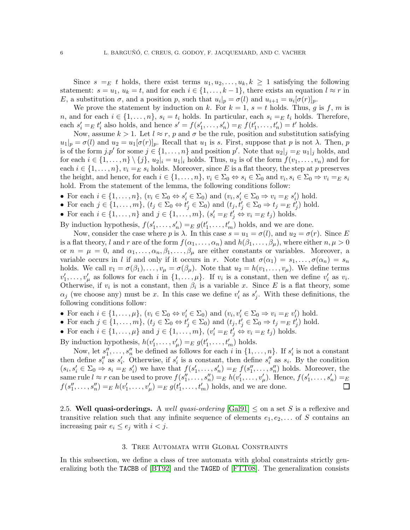Since  $s =_E t$  holds, there exist terms  $u_1, u_2, \ldots, u_k, k \geq 1$  satisfying the following statement:  $s = u_1, u_k = t$ , and for each  $i \in \{1, ..., k-1\}$ , there exists an equation  $l \approx r$  in E, a substitution  $\sigma$ , and a position p, such that  $u_i|_p = \sigma(l)$  and  $u_{i+1} = u_i[\sigma(r)]_p$ .

We prove the statement by induction on k. For  $k = 1$ ,  $s = t$  holds. Thus, g is f, m is n, and for each  $i \in \{1, \ldots, n\}$ ,  $s_i = t_i$  holds. In particular, each  $s_i =_E t_i$  holds. Therefore, each  $s'_i =_E t'_i$  also holds, and hence  $s' = f(s'_1, \ldots, s'_n) =_E f(t'_1, \ldots, t'_n) = t'$  holds.

Now, assume  $k > 1$ . Let  $l \approx r$ , p and  $\sigma$  be the rule, position and substitution satisfying  $u_1|_p = \sigma(l)$  and  $u_2 = u_1[\sigma(r)]_p$ . Recall that  $u_1$  is s. First, suppose that p is not  $\lambda$ . Then, p is of the form  $j \cdot p'$  for some  $j \in \{1, \ldots, n\}$  and position  $p'$ . Note that  $u_2|_j =_E u_1|_j$  holds, and for each  $i \in \{1, \ldots, n\} \setminus \{j\}$ ,  $u_2|_i = u_1|_i$  holds. Thus,  $u_2$  is of the form  $f(v_1, \ldots, v_n)$  and for each  $i \in \{1, \ldots, n\}$ ,  $v_i =_E s_i$  holds. Moreover, since E is a flat theory, the step at p preserves the height, and hence, for each  $i \in \{1, \ldots, n\}$ ,  $v_i \in \Sigma_0 \Leftrightarrow s_i \in \Sigma_0$  and  $v_i, s_i \in \Sigma_0 \Rightarrow v_i =_E s_i$ hold. From the statement of the lemma, the following conditions follow:

• For each  $i \in \{1, \ldots, n\}$ ,  $(v_i \in \Sigma_0 \Leftrightarrow s'_i \in \Sigma_0)$  and  $(v_i, s'_i \in \Sigma_0 \Rightarrow v_i =_E s'_i)$  hold.

• For each 
$$
j \in \{1, ..., m\}
$$
,  $(t_j \in \Sigma_0 \Leftrightarrow t'_j \in \Sigma_0)$  and  $(t_j, t'_j \in \Sigma_0 \Rightarrow t_j =_E t'_j)$  hold.

• For each  $i \in \{1, \ldots, n\}$  and  $j \in \{1, \ldots, m\}$ ,  $(s'_i =_E t'_j \Leftrightarrow v_i =_E t_j)$  holds.

By induction hypothesis,  $f(s'_1, \ldots, s'_n) =_E g(t'_1, \ldots, t'_m)$  holds, and we are done.

Now, consider the case where p is  $\lambda$ . In this case  $s = u_1 = \sigma(l)$ , and  $u_2 = \sigma(r)$ . Since E is a flat theory, l and r are of the form  $f(\alpha_1, \ldots, \alpha_n)$  and  $h(\beta_1, \ldots, \beta_\mu)$ , where either  $n, \mu > 0$ or  $n = \mu = 0$ , and  $\alpha_1, \ldots, \alpha_n, \beta_1, \ldots, \beta_\mu$  are either constants or variables. Moreover, a variable occurs in l if and only if it occurs in r. Note that  $\sigma(\alpha_1) = s_1, \ldots, \sigma(\alpha_n) = s_n$ holds. We call  $v_1 = \sigma(\beta_1), \ldots, v_\mu = \sigma(\beta_\mu)$ . Note that  $u_2 = h(v_1, \ldots, v_\mu)$ . We define terms  $v'_1, \ldots, v'_\mu$  as follows for each i in  $\{1, \ldots, \mu\}$ . If  $v_i$  is a constant, then we define  $v'_i$  as  $v_i$ . Otherwise, if  $v_i$  is not a constant, then  $\beta_i$  is a variable x. Since E is a flat theory, some  $\alpha_j$  (we choose any) must be x. In this case we define  $v'_i$  as  $s'_j$ . With these definitions, the following conditions follow:

- For each  $i \in \{1, \ldots, \mu\}$ ,  $(v_i \in \Sigma_0 \Leftrightarrow v'_i \in \Sigma_0)$  and  $(v_i, v'_i \in \Sigma_0 \Rightarrow v_i =_E v'_i)$  hold.
- For each  $j \in \{1, \ldots, m\}$ ,  $(t_j \in \Sigma_0 \Leftrightarrow t'_j \in \Sigma_0)$  and  $(t_j, t'_j \in \Sigma_0 \Rightarrow t_j =_E t'_j)$  hold.
- For each  $i \in \{1, \ldots, \mu\}$  and  $j \in \{1, \ldots, m\}$ ,  $(v'_i =_E t'_j \Leftrightarrow v_i =_E t_j)$  holds.

By induction hypothesis,  $h(v'_1, \ldots, v'_\mu) =_E g(t'_1, \ldots, t'_m)$  holds.

Now, let  $s''_1, \ldots, s''_n$  be defined as follows for each i in  $\{1, \ldots, n\}$ . If  $s'_i$  is not a constant then define  $s''_i$  as  $s'_i$ . Otherwise, if  $s'_i$  is a constant, then define  $s''_i$  as  $s_i$ . By the condition  $(s_i, s'_i \in \Sigma_0 \Rightarrow s_i =_E s'_i)$  we have that  $f(s'_1, \ldots, s'_n) =_E f(s''_1, \ldots, s''_n)$  holds. Moreover, the same rule  $l \approx r$  can be used to prove  $f(s''_1, \ldots, s''_n) =_E h(v'_1, \ldots, v'_\mu)$ . Hence,  $f(s'_1, \ldots, s'_n) =_E$  $f(s''_1, \ldots, s''_n) =_E h(v'_1, \ldots, v'_\mu) =_E g(t'_1, \ldots, t'_m)$  holds, and we are done.  $\Box$ 

2.5. Well quasi-orderings. A well quasi-ordering  $[\text{Gal}91] \leq \text{on}$  a set S is a reflexive and transitive relation such that any infinite sequence of elements  $e_1, e_2, \ldots$  of S contains an increasing pair  $e_i \leq e_j$  with  $i < j$ .

### 3. Tree Automata with Global Constraints

<span id="page-6-0"></span>In this subsection, we define a class of tree automata with global constraints strictly generalizing both the TACBB of [\[BT92\]](#page-38-4) and the TAGED of [\[FTT08\]](#page-38-6). The generalization consists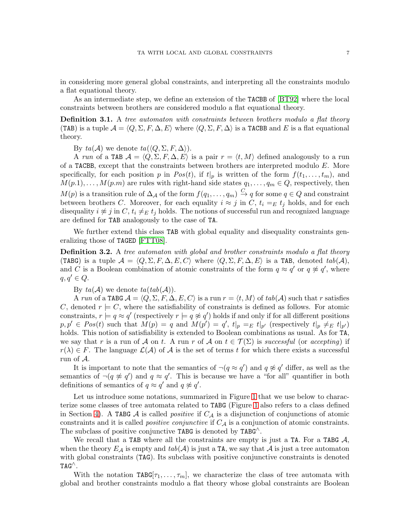in considering more general global constraints, and interpreting all the constraints modulo a flat equational theory.

As an intermediate step, we define an extension of the TACBB of [\[BT92\]](#page-38-4) where the local constraints between brothers are considered modulo a flat equational theory.

**Definition 3.1.** A tree automaton with constraints between brothers modulo a flat theory (TAB) is a tuple  $\mathcal{A} = \langle Q, \Sigma, F, \Delta, E \rangle$  where  $\langle Q, \Sigma, F, \Delta \rangle$  is a TACBB and E is a flat equational theory.

By  $ta(\mathcal{A})$  we denote  $ta(\langle Q, \Sigma, F, \Delta \rangle)$ .

A run of a TAB  $\mathcal{A} = \langle Q, \Sigma, F, \Delta, E \rangle$  is a pair  $r = \langle t, M \rangle$  defined analogously to a run of a TACBB, except that the constraints between brothers are interpreted modulo  $E$ . More specifically, for each position p in  $Pos(t)$ , if  $t|_p$  is written of the form  $f(t_1, \ldots, t_m)$ , and  $M(p,1), \ldots, M(p,m)$  are rules with right-hand side states  $q_1, \ldots, q_m \in Q$ , respectively, then  $M(p)$  is a transition rule of  $\Delta_\mathcal{A}$  of the form  $f(q_1,\ldots,q_m)\stackrel{C}{\to} q$  for some  $q\in Q$  and constraint between brothers C. Moreover, for each equality  $i \approx j$  in C,  $t_i =_E t_j$  holds, and for each disequality  $i \not\approx j$  in  $C$ ,  $t_i \neq E$  t<sub>i</sub> holds. The notions of successful run and recognized language are defined for TAB analogously to the case of TA.

We further extend this class TAB with global equality and disequality constraints generalizing those of TAGED [\[FTT08\]](#page-38-6).

<span id="page-7-0"></span>**Definition 3.2.** A tree automaton with global and brother constraints modulo a flat theory (TABG) is a tuple  $\mathcal{A} = \langle Q, \Sigma, F, \Delta, E, C \rangle$  where  $\langle Q, \Sigma, F, \Delta, E \rangle$  is a TAB, denoted  $tab(\mathcal{A}),$ and C is a Boolean combination of atomic constraints of the form  $q \approx q'$  or  $q \not\approx q'$ , where  $q, q' \in Q$ .

By  $ta(\mathcal{A})$  we denote  $ta(tab(\mathcal{A}))$ .

A run of a TABG  $A = \langle Q, \Sigma, F, \Delta, E, C \rangle$  is a run  $r = \langle t, M \rangle$  of  $tab(\mathcal{A})$  such that r satisfies C, denoted  $r \models C$ , where the satisfiability of constraints is defined as follows. For atomic constraints,  $r \models q \approx q'$  (respectively  $r \models q \not\approx q'$ ) holds if and only if for all different positions  $p, p' \in Pos(t)$  such that  $M(p) = q$  and  $M(p') = q'$ ,  $t|_p =_E t|_{p'}$  (respectively  $t|_p \neq_E t|_{p'}$ ) holds. This notion of satisfiability is extended to Boolean combinations as usual. As for TA, we say that r is a run of A on t. A run r of A on  $t \in \mathcal{T}(\Sigma)$  is successful (or accepting) if  $r(\lambda) \in F$ . The language  $\mathcal{L}(\mathcal{A})$  of  $\mathcal{A}$  is the set of terms t for which there exists a successful run of A.

It is important to note that the semantics of  $\neg(q \approx q')$  and  $q \not\approx q'$  differ, as well as the semantics of  $\neg(q \not\approx q')$  and  $q \approx q'$ . This is because we have a "for all" quantifier in both definitions of semantics of  $q \approx q'$  and  $q \not\approx q'$ .

Let us introduce some notations, summarized in Figure [1](#page-8-0) that we use below to characterize some classes of tree automata related to TABG (Figure [1](#page-8-0) also refers to a class defined in Section [4\)](#page-11-0). A TABG A is called *positive* if  $C_A$  is a disjunction of conjunctions of atomic constraints and it is called *positive conjunctive* if  $C_A$  is a conjunction of atomic constraints. The subclass of positive conjunctive TABG is denoted by  $TABG^T$ .

We recall that a TAB where all the constraints are empty is just a TA. For a TABG  $A$ , when the theory  $E_{\mathcal{A}}$  is empty and  $tab(\mathcal{A})$  is just a TA, we say that  $\mathcal{A}$  is just a tree automaton with global constraints (TAG). Its subclass with positive conjunctive constraints is denoted  $TAG^{\wedge}$ .

With the notation  $TABG[\tau_1,\ldots,\tau_m],$  we characterize the class of tree automata with global and brother constraints modulo a flat theory whose global constraints are Boolean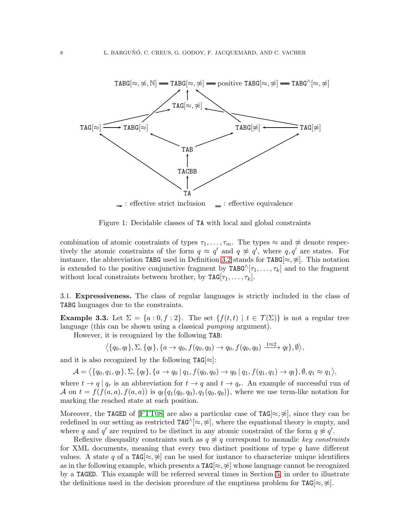

<span id="page-8-0"></span>Figure 1: Decidable classes of TA with local and global constraints

combination of atomic constraints of types  $\tau_1, \ldots, \tau_m$ . The types  $\approx$  and  $\not\approx$  denote respectively the atomic constraints of the form  $q \approx q'$  and  $q \not\approx q'$ , where  $q, q'$  are states. For instance, the abbreviation TABG used in Definition [3.2](#page-7-0) stands for TABG $[\approx, \hat{\psi}]$ . This notation is extended to the positive conjunctive fragment by  $\texttt{TAG}^{\wedge}[\tau_1,\ldots,\tau_k]$  and to the fragment without local constraints between brother, by  $\texttt{TAG}[\tau_1, \ldots, \tau_k].$ 

3.1. Expressiveness. The class of regular languages is strictly included in the class of TABG languages due to the constraints.

**Example 3.3.** Let  $\Sigma = \{a : 0, f : 2\}$ . The set  $\{f(t, t) | t \in \mathcal{T}(\Sigma)\}$  is not a regular tree language (this can be shown using a classical *pumping* argument).

However, it is recognized by the following TAB:

$$
\big\langle \{q_0, q_{\mathsf{f}}\}, \Sigma, \{q_{\mathsf{f}}\}, \{a \to q_0, f(q_0, q_0) \to q_0, f(q_0, q_0) \xrightarrow{1 \approx 2} q_{\mathsf{f}}\}, \emptyset \big\rangle,
$$

and it is also recognized by the following  $TAG[\approx]$ :

$$
\mathcal{A}=\big\langle\{q_0,q_1,q_{\mathsf{f}}\},\Sigma,\{q_{\mathsf{f}}\},\{a\rightarrow q_0\,|\,q_1,f(q_0,q_0)\rightarrow q_0\,|\,q_1,f(q_1,q_1)\rightarrow q_{\mathsf{f}}\},\emptyset,q_1\approx q_1\big\rangle,
$$

where  $t \to q \mid q_r$  is an abbreviation for  $t \to q$  and  $t \to q_r$ . An example of successful run of A on  $t = f(f(a, a), f(a, a))$  is  $q_f(q_1(q_0, q_0), q_1(q_0, q_0))$ , where we use term-like notation for marking the reached state at each position.

Moreover, the TAGED of [\[FTT08\]](#page-38-6) are also a particular case of TAG[ $\approx$ ,  $\approx$ ], since they can be redefined in our setting as restricted  $TAG^{\wedge}[\approx,\hat{\alpha}]$ , where the equational theory is empty, and where q and q' are required to be distinct in any atomic constraint of the form  $q \not\approx q'$ .

Reflexive disequality constraints such as  $q \not\approx q$  correspond to monadic key constraints for XML documents, meaning that every two distinct positions of type  $q$  have different values. A state q of a  $TAG \approx \hat{\ast}$  can be used for instance to characterize unique identifiers as in the following example, which presents a  $TAG[\approx, \not\approx]$  whose language cannot be recognized by a TAGED. This example will be referred several times in Section [5,](#page-22-0) in order to illustrate the definitions used in the decision procedure of the emptiness problem for  $TAG[\approx, \not\approx]$ .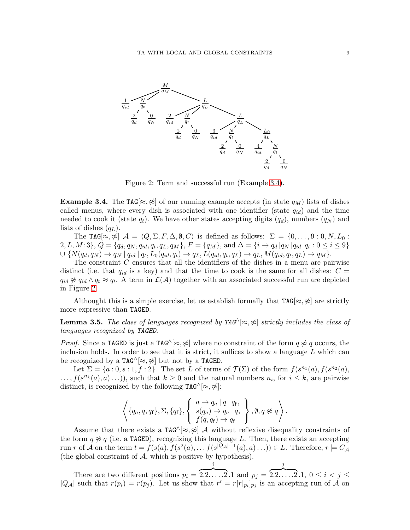

<span id="page-9-1"></span>Figure 2: Term and successful run (Example [3.4\)](#page-9-0).

<span id="page-9-0"></span>**Example 3.4.** The TAG[ $\approx$ ,  $\approx$ ] of our running example accepts (in state  $q_M$ ) lists of dishes called menus, where every dish is associated with one identifier (state  $q_{id}$ ) and the time needed to cook it (state  $q_t$ ). We have other states accepting digits  $(q_d)$ , numbers  $(q_N)$  and lists of dishes  $(q_L)$ .

The TAG[ $\approx$ ,  $\approx$ ]  $\mathcal{A} = \langle Q, \Sigma, F, \Delta, \emptyset, C \rangle$  is defined as follows:  $\Sigma = \{0, \ldots, 9 : 0, N, L_0 :$  $2, L, M:3$ ,  $Q = \{q_d, q_N, q_{id}, q_t, q_L, q_M\}, F = \{q_M\}$ , and  $\Delta = \{i \rightarrow q_d | q_N | q_{id} | q_t : 0 \le i \le 9\}$  $\cup \{N(q_d,q_N) \to q_N \mid q_{id} \mid q_t, L_0(q_{id},q_t) \to q_L, L(q_{id},q_t,q_L) \to q_L, M(q_{id},q_t,q_L) \to q_M\}.$ 

The constraint C ensures that all the identifiers of the dishes in a menu are pairwise distinct (i.e. that  $q_{id}$  is a key) and that the time to cook is the same for all dishes:  $C =$  $q_{id} \not\approx q_{id} \wedge q_t \approx q_t$ . A term in  $\mathcal{L}(\mathcal{A})$  together with an associated successful run are depicted in Figure [2.](#page-9-1)

Althought this is a simple exercise, let us establish formally that  $TAG[\approx,\not\approx]$  are strictly more expressive than TAGED.

**Lemma 3.5.** The class of languages recognized by  $TAG^{\wedge}[\approx,\approx]$  strictly includes the class of languages recognized by TAGED.

*Proof.* Since a TAGED is just a TAG^ $\approx \approx \approx 1$  where no constraint of the form  $q \approx q$  occurs, the inclusion holds. In order to see that it is strict, it suffices to show a language  $L$  which can be recognized by a TAG $\land$ [ $\approx$ ,  $\approx$ ] but not by a TAGED.

Let  $\Sigma = \{a:0,s:1,f:2\}$ . The set L of terms of  $\mathcal{T}(\Sigma)$  of the form  $f(s^{n_1}(a),f(s^{n_2}(a),$  $\dots, f(s^{n_k}(a), a) \dots),$  such that  $k \geq 0$  and the natural numbers  $n_i$ , for  $i \leq k$ , are pairwise distinct, is recognized by the following  $TAG^{\wedge}[\approx,\approx]$ :

$$
\left\langle \{q_a, q, q_f\}, \Sigma, \{q_f\}, \left\{\begin{array}{l}a \rightarrow q_a | q | q_f, \\s(q_a) \rightarrow q_a | q, \\f(q, q_f) \rightarrow q_f\end{array}\right\}, \emptyset, q \not\approx q \right\rangle.
$$

Assume that there exists a  $TAG^{\wedge}[\approx,\approx]$  A without reflexive disequality constraints of the form  $q \not\approx q$  (i.e. a TAGED), recognizing this language L. Then, there exists an accepting run r of A on the term  $t = f(s(a), f(s^2(a), \ldots f(s^{|Q_\mathcal{A}|+1}(a), a) \ldots)) \in L$ . Therefore,  $r \models C_\mathcal{A}$ (the global constraint of  $A$ , which is positive by hypothesis).

There are two different positions  $p_i =$ i  $\overline{2 \cdot 2 \cdot \cdot \cdot \cdot 2} \cdot 1$  and  $p_j =$ j  ${2 \over 2 \cdot 2 \cdot \cdot \cdot \cdot \cdot 2 \cdot 1, 0 \leq i < j \leq}$  $|Q_{\mathcal{A}}|$  such that  $r(p_i) = r(p_j)$ . Let us show that  $r' = r[r|_{p_i}]_{p_j}$  is an accepting run of A on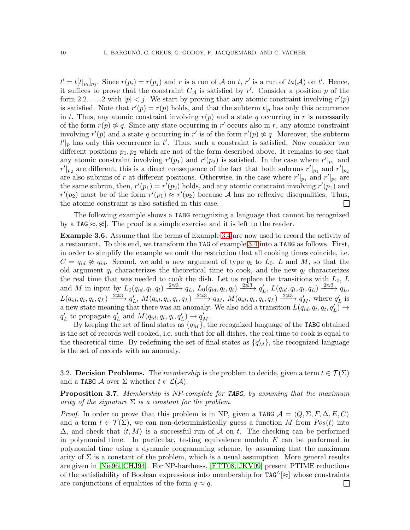$t' = t[t|_{p_i}]_{p_j}$ . Since  $r(p_i) = r(p_j)$  and r is a run of A on t, r' is a run of  $ta(\mathcal{A})$  on t'. Hence, it suffices to prove that the constraint  $C_A$  is satisfied by r'. Consider a position p of the form 2.2.... 2 with  $|p| < j$ . We start by proving that any atomic constraint involving  $r'(p)$ is satisfied. Note that  $r'(p) = r(p)$  holds, and that the subterm  $t|_p$  has only this occurrence in t. Thus, any atomic constraint involving  $r(p)$  and a state q occurring in r is necessarily of the form  $r(p) \not\approx q$ . Since any state occurring in r' occurs also in r, any atomic constraint involving  $r'(p)$  and a state q occurring in r' is of the form  $r'(p) \not\approx q$ . Moreover, the subterm  $t'|_p$  has only this occurrence in  $t'$ . Thus, such a constraint is satisfied. Now consider two different positions  $p_1, p_2$  which are not of the form described above. It remains to see that any atomic constraint involving  $r'(p_1)$  and  $r'(p_2)$  is satisfied. In the case where  $r'|_{p_1}$  and  $r'|_{p_2}$  are different, this is a direct consequence of the fact that both subruns  $r'|_{p_1}$  and  $r'|_{p_2}$ are also subruns of r at different positions. Otherwise, in the case where  $r'|_{p_1}$  and  $r'|_{p_2}$  are the same subrun, then,  $r'(p_1) = r'(p_2)$  holds, and any atomic constraint involving  $r'(p_1)$  and  $r'(p_2)$  must be of the form  $r'(p_1) \approx r'(p_2)$  because A has no reflexive disequalities. Thus, the atomic constraint is also satisfied in this case.  $\Box$ 

The following example shows a TABG recognizing a language that cannot be recognized by a TAG[ $\approx$ ,  $\approx$ ]. The proof is a simple exercise and it is left to the reader.

Example 3.6. Assume that the terms of Example [3.4](#page-9-0) are now used to record the activity of a restaurant. To this end, we transform the TAG of example [3.4](#page-9-0) into a TABG as follows. First, in order to simplify the example we omit the restriction that all cooking times coincide, i.e.  $C = q_{id} \not\approx q_{id}$ . Second, we add a new argument of type  $q_t$  to  $L_0$ , L and M, so that the old argument  $q_t$  characterizes the theoretical time to cook, and the new  $q_t$  characterizes the real time that was needed to cook the dish. Let us replace the transitions with  $L_0$ ,  $L$ and M in input by  $L_0(q_{id}, q_t, q_t) \xrightarrow{2 \approx 3} q_L$ ,  $L_0(q_{id}, q_t, q_t) \xrightarrow{2 \not\approx 3} q'_L$ ,  $L(q_{id}, q_t, q_t, q_L) \xrightarrow{2 \approx 3} q_L$ ,  $L(q_{id}, q_t, q_t, q_L) \xrightarrow{2 \approx 3} q'_L$ ,  $M(q_{id}, q_t, q_t, q_L) \xrightarrow{2 \approx 3} q_M$ ,  $M(q_{id}, q_t, q_t, q_L) \xrightarrow{2 \approx 3} q'_M$ , where  $q'_L$  is a new state meaning that there was an anomaly. We also add a transition  $L(q_{id}, q_t, q'_t, q'_t) \rightarrow$  $q'_{L}$  to propagate  $q'_{L}$  and  $M(q_{id}, q_t, q_t, q'_{L}) \rightarrow q'_{M}$ .

By keeping the set of final states as  ${q_M}$ , the recognized language of the TABG obtained is the set of records well cooked, i.e. such that for all dishes, the real time to cook is equal to the theoretical time. By redefining the set of final states as  $\{q'_M\}$ , the recognized language is the set of records with an anomaly.

3.2. Decision Problems. The membership is the problem to decide, given a term  $t \in \mathcal{T}(\Sigma)$ and a TABG A over  $\Sigma$  whether  $t \in \mathcal{L}(\mathcal{A})$ .

Proposition 3.7. Membership is NP-complete for TABG, by assuming that the maximum arity of the signature  $\Sigma$  is a constant for the problem.

*Proof.* In order to prove that this problem is in NP, given a TABG  $\mathcal{A} = \langle Q, \Sigma, F, \Delta, E, C \rangle$ and a term  $t \in \mathcal{T}(\Sigma)$ , we can non-deterministically guess a function M from  $Pos(t)$  into  $\Delta$ , and check that  $\langle t, M \rangle$  is a successful run of A on t. The checking can be performed in polynomial time. In particular, testing equivalence modulo  $E$  can be performed in polynomial time using a dynamic programming scheme, by assuming that the maximum arity of  $\Sigma$  is a constant of the problem, which is a usual assumption. More general results are given in [\[Nie96,](#page-38-14) [CHJ94\]](#page-38-15). For NP-hardness, [\[FTT08,](#page-38-6) [JKV09\]](#page-38-7) present PTIME reductions of the satisfiability of Boolean expressions into membership for  $TAG^{\wedge}[\approx]$  whose constraints are conjunctions of equalities of the form  $q \approx q$ . ப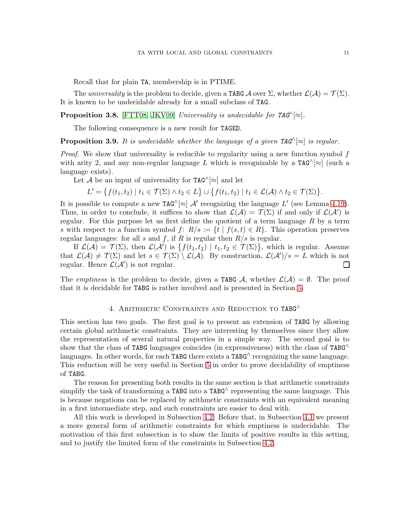Recall that for plain TA, membership is in PTIME.

The universality is the problem to decide, given a TABG  $\mathcal A$  over  $\Sigma$ , whether  $\mathcal L(\mathcal A)=\mathcal T(\Sigma)$ . It is known to be undecidable already for a small subclass of TAG.

**Proposition 3.8.** [\[FTT08,](#page-38-6) [JKV09\]](#page-38-7) Universality is undecidable for  $TAG^{\wedge}[\approx]$ .

The following consequence is a new result for TAGED.

**Proposition 3.9.** It is undecidable whether the language of a given  $TAG^{\wedge}[\approx]$  is regular.

*Proof.* We show that universality is reducible to regularity using a new function symbol  $f$ with arity 2, and any non-regular language L which is recognizable by a  $TAG^{\wedge}[\approx]$  (such a language exists).

Let A be an input of universality for  $TAG^{\wedge}[\approx]$  and let

$$
L' = \big\{ f(t_1, t_2) \mid t_1 \in \mathcal{T}(\Sigma) \land t_2 \in L \big\} \cup \big\{ f(t_1, t_2) \mid t_1 \in \mathcal{L}(\mathcal{A}) \land t_2 \in \mathcal{T}(\Sigma) \big\}.
$$

It is possible to compute a new TAG $^{\wedge}[\approx]$  A' recognizing the language L' (see Lemma [4.19\)](#page-21-0). Thus, in order to conclude, it suffices to show that  $\mathcal{L}(\mathcal{A}) = \mathcal{T}(\Sigma)$  if and only if  $\mathcal{L}(\mathcal{A}')$  is regular. For this purpose let us first define the quotient of a term language  $R$  by a term s with respect to a function symbol  $f: R/s := \{t \mid f(s,t) \in R\}$ . This operation preserves regular languages: for all s and f, if R is regular then  $R/s$  is regular.

If  $\mathcal{L}(\mathcal{A}) = \mathcal{T}(\Sigma)$ , then  $\mathcal{L}(\mathcal{A}')$  is  $\{f(t_1, t_2) \mid t_1, t_2 \in \mathcal{T}(\Sigma)\}\)$ , which is regular. Assume that  $\mathcal{L}(\mathcal{A}) \neq \mathcal{T}(\Sigma)$  and let  $s \in \mathcal{T}(\Sigma) \setminus \mathcal{L}(\mathcal{A})$ . By construction,  $\mathcal{L}(\mathcal{A'})/s = L$  which is not regular. Hence  $\mathcal{L}(\mathcal{A}')$  is not regular.  $\Box$ 

<span id="page-11-0"></span>The emptiness is the problem to decide, given a TABG A, whether  $\mathcal{L}(\mathcal{A}) = \emptyset$ . The proof that it is decidable for TABG is rather involved and is presented in Section [5.](#page-22-0)

## 4. ARITHMETIC CONSTRAINTS AND REDUCTION TO TABG<sup>^</sup>

This section has two goals. The first goal is to present an extension of TABG by allowing certain global arithmetic constraints. They are interesting by themselves since they allow the representation of several natural properties in a simple way. The second goal is to show that the class of TABG languages coincides (in expressiveness) with the class of  $TABG^{\wedge}$ languages. In other words, for each TABG there exists a TABG $\land$  recognizing the same language. This reduction will be very useful in Section [5](#page-22-0) in order to prove decidability of emptiness of TABG.

The reason for presenting both results in the same section is that arithmetic constraints simplify the task of transforming a TABG into a TABG $\land$  representing the same language. This is because negations can be replaced by arithmetic constraints with an equivalent meaning in a first intermediate step, and such constraints are easier to deal with.

All this work is developed in Subsection [4.2.](#page-15-0) Before that, in Subsection [4.1](#page-12-0) we present a more general form of arithmetic constraints for which emptiness is undecidable. The motivation of this first subsection is to show the limits of positive results in this setting, and to justify the limited form of the constraints in Subsection [4.2.](#page-15-0)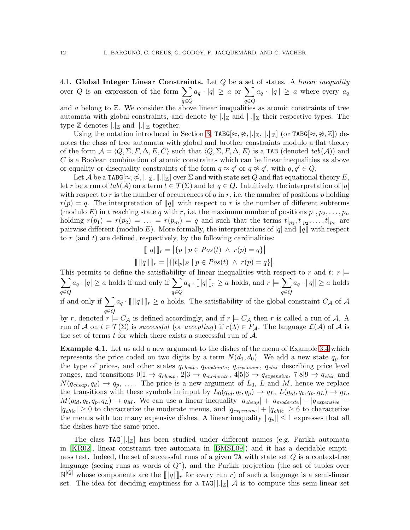<span id="page-12-0"></span>4.1. Global Integer Linear Constraints. Let  $Q$  be a set of states. A linear inequality over Q is an expression of the form  $\sum$ q∈Q  $a_q \cdot |q| \geq a \text{ or } \sum$ q∈Q  $a_q \cdot ||q|| \geq a$  where every  $a_q$ 

and  $a$  belong to  $\mathbb{Z}$ . We consider the above linear inequalities as atomic constraints of tree automata with global constraints, and denote by  $\lvert \cdot \rvert_Z$  and  $\lVert \cdot \rVert_Z$  their respective types. The type  $\mathbb Z$  denotes  $\lvert \cdot \rvert_{\mathbb Z}$  and  $\lVert \cdot \rVert_{\mathbb Z}$  together.

Using the notation introduced in Section [3,](#page-6-0) TABG[≈,  $\cancel{\approx}$ , |.| $\mathbb{Z}$ , ||..|| $\mathbb{Z}$ ] (or TABG[≈,  $\cancel{\approx}$ ,  $\mathbb{Z}$ ]) denotes the class of tree automata with global and brother constraints modulo a flat theory of the form  $\mathcal{A} = \langle Q, \Sigma, F, \Delta, E, C \rangle$  such that  $\langle Q, \Sigma, F, \Delta, E \rangle$  is a TAB (denoted  $tab(\mathcal{A})$ ) and  $C$  is a Boolean combination of atomic constraints which can be linear inequalities as above or equality or disequality constraints of the form  $q \approx q'$  or  $q \not\approx q'$ , with  $q, q' \in Q$ .

Let A be a TABG $[\approx, \hat{\ast}, |B_{\mathbb{Z}}| ||\times]$  over  $\Sigma$  and with state set Q and flat equational theory E, let r be a run of  $tab(\mathcal{A})$  on a term  $t \in \mathcal{T}(\Sigma)$  and let  $q \in Q$ . Intuitively, the interpretation of  $|q|$ with respect to r is the number of occurrences of q in r, i.e. the number of positions  $p$  holding  $r(p) = q$ . The interpretation of ||q|| with respect to r is the number of different subterms (modulo E) in t reaching state q with r, i.e. the maximum number of positions  $p_1, p_2, \ldots, p_n$ holding  $r(p_1) = r(p_2) = \ldots = r(p_m) = q$  and such that the terms  $t|_{p_1}, t|_{p_2}, \ldots, t|_{p_n}$  are pairwise different (modulo E). More formally, the interpretations of |q| and ||q|| with respect to r (and t) are defined, respectively, by the following cardinalities:

$$
[ [q] ]_r = | \{ p \mid p \in Pos(t) \land r(p) = q \} |
$$
  

$$
[ [q] ]_r = | \{ [t]_p]_E \mid p \in Pos(t) \land r(p) = q \} |.
$$

This permits to define the satisfiability of linear inequalities with respect to r and t:  $r \models$  $\sum$ q∈Q  $a_q \cdot |q| \geq a$  holds if and only if  $\sum$ q∈Q  $a_q \cdot [ \lfloor q \rfloor ]_r \geq a$  holds, and  $r \models \sum$ q∈Q  $a_q \cdot ||q|| \geq a$  holds if and only if  $\sum$  $a_q \cdot [||q||]_r \ge a$  holds. The satisfiability of the global constraint  $C_A$  of  $A$ 

q∈Q by r, denoted  $r \models C_{\mathcal{A}}$  is defined accordingly, and if  $r \models C_{\mathcal{A}}$  then r is called a run of  $\mathcal{A}$ . A run of A on  $t \in \mathcal{T}(\Sigma)$  is successful (or accepting) if  $r(\lambda) \in F_{\mathcal{A}}$ . The language  $\mathcal{L}(\mathcal{A})$  of A is the set of terms  $t$  for which there exists a successful run of  $A$ .

Example 4.1. Let us add a new argument to the dishes of the menu of Example [3.4](#page-9-0) which represents the price coded on two digits by a term  $N(d_1, d_0)$ . We add a new state  $q_p$  for the type of prices, and other states  $q_{cheap}$ ,  $q_{moderate}$ ,  $q_{expensive}$ ,  $q_{chic}$  describing price level ranges, and transitions  $0|1 \to q_{cheap}$ ,  $2|3 \to q_{moderate}$ ,  $4|5|6 \to q_{expensive}$ ,  $7|8|9 \to q_{chic}$  and  $N(q_{cheap}, q_d) \rightarrow q_p, \ldots$ . The price is a new argument of  $L_0$ , L and M, hence we replace the transitions with these symbols in input by  $L_0(q_{id}, q_t, q_p) \to q_L$ ,  $L(q_{id}, q_t, q_p, q_L) \to q_L$ ,  $M(q_{id}, q_t, q_p, q_l) \rightarrow q_M$ . We can use a linear inequality  $|q_{cheap}| + |q_{moderate}| - |q_{expensive}| |q_{chic}| \geq 0$  to characterize the moderate menus, and  $|q_{expensive}| + |q_{chic}| \geq 6$  to characterize the menus with too many expensive dishes. A linear inequality  $||q_p|| \leq 1$  expresses that all the dishes have the same price.

The class  $TAG[$ . all has been studied under different names (e.g. Parikh automata in [\[KR02\]](#page-38-12), linear constraint tree automata in [\[BMSL09\]](#page-37-3)) and it has a decidable emptiness test. Indeed, the set of successful runs of a given  $TA$  with state set  $Q$  is a context-free language (seeing runs as words of Q<sup>∗</sup> ), and the Parikh projection (the set of tuples over  $\mathbb{N}^{|Q|}$  whose components are the  $[||q||]_r$  for every run r) of such a language is a semi-linear set. The idea for deciding emptiness for a TAG[ $\lfloor \cdot |z| \rfloor$  A is to compute this semi-linear set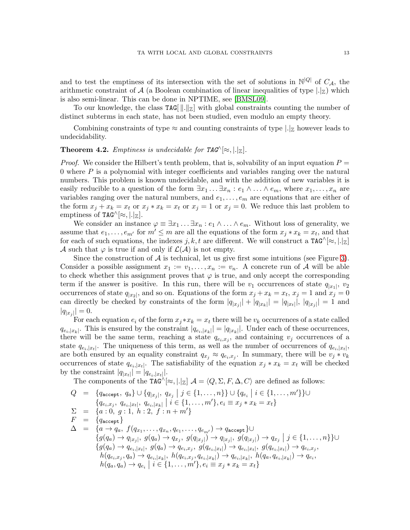and to test the emptiness of its intersection with the set of solutions in  $\mathbb{N}^{|Q|}$  of  $C_{\mathcal{A}}$ , the arithmetic constraint of A (a Boolean combination of linear inequalities of type  $|.|_Z|$ ) which is also semi-linear. This can be done in NPTIME, see [\[BMSL09\]](#page-37-3).

To our knowledge, the class  $TAG[\,||.||_Z]$  with global constraints counting the number of distinct subterms in each state, has not been studied, even modulo an empty theory.

Combining constraints of type  $\approx$  and counting constraints of type  $|.|_Z$  however leads to undecidability.

**Theorem 4.2.** Emptiness is undecidable for  $TAG^{\wedge}[\approx, |.|_Z].$ 

*Proof.* We consider the Hilbert's tenth problem, that is, solvability of an input equation  $P =$ 0 where  $P$  is a polynomial with integer coefficients and variables ranging over the natural numbers. This problem is known undecidable, and with the addition of new variables it is easily reducible to a question of the form  $\exists x_1 \ldots \exists x_n : e_1 \wedge \ldots \wedge e_m$ , where  $x_1, \ldots, x_n$  are variables ranging over the natural numbers, and  $e_1, \ldots, e_m$  are equations that are either of the form  $x_j + x_k = x_t$  or  $x_j * x_k = x_t$  or  $x_j = 1$  or  $x_j = 0$ . We reduce this last problem to emptiness of TAG^ $[\approx, |.|_{\mathbb{Z}}]$ .

We consider an instance  $\varphi \equiv \exists x_1 \ldots \exists x_n : e_1 \wedge \ldots \wedge e_m$ . Without loss of generality, we assume that  $e_1, \ldots, e_{m'}$  for  $m' \leq m$  are all the equations of the form  $x_j \cdot x_k = x_t$ , and that for each of such equations, the indexes j, k, t are different. We will construct a  $TAG^{\wedge}[\approx,].|z|$ A such that  $\varphi$  is true if and only if  $\mathcal{L}(\mathcal{A})$  is not empty.

Since the construction of  $A$  is technical, let us give first some intuitions (see Figure [3\)](#page-14-0). Consider a possible assignment  $x_1 := v_1, \ldots, x_n := v_n$ . A concrete run of A will be able to check whether this assignment proves that  $\varphi$  is true, and only accept the corresponding term if the answer is positive. In this run, there will be  $v_1$  occurrences of state  $q_{|x_1|}$ ,  $v_2$ occurrences of state  $q_{|x_2|}$ , and so on. Equations of the form  $x_j + x_k = x_t$ ,  $x_j = 1$  and  $x_j = 0$ can directly be checked by constraints of the form  $|q_{x_j}| + |q_{x_k}| = |q_{x_l}|$ ,  $|q_{x_j}| = 1$  and  $|q_{|x_j}| = 0.$ 

For each equation  $e_i$  of the form  $x_j * x_k = x_t$  there will be  $v_k$  occurrences of a state called  $q_{e_i,|x_k|}$ . This is ensured by the constraint  $|q_{e_i,|x_k|}| = |q_{|x_k|}|$ . Under each of these occurrences, there will be the same term, reaching a state  $q_{e_i,x_j}$ , and containing  $v_j$  occurrences of a state  $q_{e_i,|x_t|}$ . The uniqueness of this term, as well as the number of occurrences of  $q_{e_i,|x_t|}$ , are both ensured by an equality constraint  $q_{x_j} \approx q_{e_i,x_j}$ . In summary, there will be  $v_j * v_k$ occurrences of state  $q_{e_i,|x_t|}$ . The satisfiability of the equation  $x_j \cdot x_k = x_t$  will be checked by the constraint  $|q_{x_t}| = |q_{e_i, |x_t|}|$ .

The components of the TAG^[ $\approx$ ,  $\vert . \vert_{\mathbb{Z}} \vert$   $\mathcal{A} = \langle Q, \Sigma, F, \Delta, C \rangle$  are defined as follows:

$$
Q = \{q_{\text{accept}}, q_a\} \cup \{q_{|x_j|}, q_{x_j} \mid j \in \{1, ..., n\}\} \cup \{q_{e_i} \mid i \in \{1, ..., m'\}\} \cup
$$
\n
$$
\{q_{e_i, x_j}, q_{e_i, |x_t|}, q_{e_i, |x_k|} \mid i \in \{1, ..., m'\}, e_i \equiv x_j * x_k = x_t\}
$$
\n
$$
\Sigma = \{a : 0, g : 1, h : 2, f : n + m'\}
$$
\n
$$
F = \{q_{\text{accept}}\}
$$
\n
$$
\Delta = \{a \rightarrow q_a, f(q_{x_1}, \ldots, q_{x_n}, q_{e_1}, \ldots, q_{e_{m'}}) \rightarrow q_{\text{accept}}\} \cup
$$
\n
$$
\{g(q_a) \rightarrow q_{|x_j|}, g(q_a) \rightarrow q_{x_j}, g(q_{|x_j|}) \rightarrow q_{|x_j|}, g(q_{|x_j|}) \rightarrow q_{x_j} \mid j \in \{1, ..., n\}\} \cup
$$
\n
$$
\{g(q_a) \rightarrow q_{e_i, |x_t|}, g(q_a) \rightarrow q_{e_i, x_j}, g(q_{e_i, |x_t|}) \rightarrow q_{e_i, |x_t|}, g(q_{e_i, |x_t|}) \rightarrow q_{e_i, x_j},
$$
\n
$$
h(q_{e_i, x_j}, q_a) \rightarrow q_{e_i, |x_k|}, h(q_{e_i, x_j}, q_{e_i, |x_k|}) \rightarrow q_{e_i, |x_k|}, h(q_a, q_{e_i, |x_k|}) \rightarrow q_{e_i},
$$
\n
$$
h(q_a, q_a) \rightarrow q_{e_i} \mid i \in \{1, ..., m'\}, e_i \equiv x_j * x_k = x_t\}
$$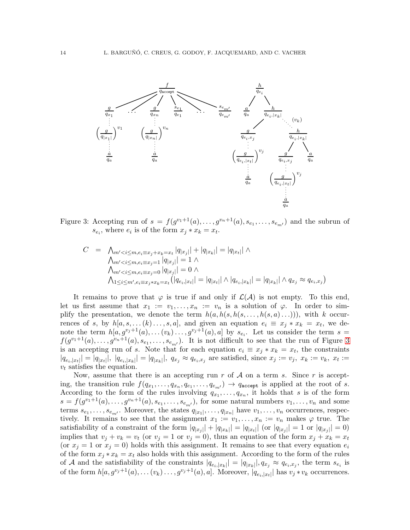

<span id="page-14-0"></span>Figure 3: Accepting run of  $s = f(g^{v_1+1}(a), \ldots, g^{v_n+1}(a), s_{e_1}, \ldots, s_{e_{m'}})$  and the subrun of  $s_{e_i}$ , where  $e_i$  is of the form  $x_j * x_k = x_t$ .

$$
C = \bigwedge_{m' < i \le m, e_i \equiv x_j + x_k = x_t} |q_{|x_j|}| + |q_{|x_k|}| = |q_{|x_t|}| \land
$$
\n
$$
\bigwedge_{m' < i \le m, e_i \equiv x_j = 1} |q_{|x_j|}| = 1 \land
$$
\n
$$
\bigwedge_{m' < i \le m, e_i \equiv x_j = 0} |q_{|x_j|}| = 0 \land
$$
\n
$$
\bigwedge_{1 \le i \le m', e_i \equiv x_j \ast x_k = x_t} (|q_{e_i, |x_t|}| = |q_{|x_t|} | \land |q_{e_i, |x_k|}| = |q_{|x_k|} | \land q_{x_j} \approx q_{e_i, x_j})
$$

It remains to prove that  $\varphi$  is true if and only if  $\mathcal{L}(\mathcal{A})$  is not empty. To this end, let us first assume that  $x_1 := v_1, \ldots, x_n := v_n$  is a solution of  $\varphi$ . In order to simplify the presentation, we denote the term  $h(a, h(s, h(s, \ldots, h(s, a) \ldots)))$ , with k occurrences of s, by  $h[a, s, \ldots (k) \ldots, s, a]$ , and given an equation  $e_i \equiv x_j * x_k = x_t$ , we denote the term  $h[a, g^{v_j+1}(a), \ldots, (v_k) \ldots, g^{v_j+1}(a), a]$  by  $s_{e_i}$ . Let us consider the term  $s =$  $f(g^{v_1+1}(a),\ldots,g^{v_n+1}(a), s_{e_1},\ldots,s_{e_{m'}})$ . It is not difficult to see that the run of Figure [3](#page-14-0) is an accepting run of s. Note that for each equation  $e_i \equiv x_j \cdot x_k = x_t$ , the constraints  $|q_{e_i,|x_t|}| = |q_{|x_t|}|, |q_{e_i,|x_k|}| = |q_{|x_k|}|, q_{x_j} \approx q_{e_i, x_j}$  are satisfied, since  $x_j := v_j, x_k := v_k, x_t :=$  $v_t$  satisfies the equation.

Now, assume that there is an accepting run r of  $A$  on a term s. Since r is accepting, the transition rule  $f(q_{x_1},...,q_{x_n},q_{e_1},...,q_{e_{m'}}) \rightarrow q_{\text{accept}}$  is applied at the root of s. According to the form of the rules involving  $q_{x_1}, \ldots, q_{x_n}$ , it holds that s is of the form  $s = f(g^{v_1+1}(a), \ldots, g^{v_n+1}(a), s_{e_1}, \ldots, s_{e_{m'}})$ , for some natural numbers  $v_1, \ldots, v_n$  and some terms  $s_{e_1}, \ldots, s_{e_{m'}}$ . Moreover, the states  $q_{|x_1|}, \ldots, q_{|x_n|}$  have  $v_1, \ldots, v_n$  occurrences, respectively. It remains to see that the assignment  $x_1 := v_1, \ldots, x_n := v_n$  makes  $\varphi$  true. The satisfiability of a constraint of the form  $|q_{x_j}| + |q_{x_k}| = |q_{x_t}|$  (or  $|q_{x_j}| = 1$  or  $|q_{x_j}| = 0$ ) implies that  $v_j + v_k = v_t$  (or  $v_j = 1$  or  $v_j = 0$ ), thus an equation of the form  $x_j + x_k = x_t$ (or  $x_j = 1$  or  $x_j = 0$ ) holds with this assignment. It remains to see that every equation  $e_i$ of the form  $x_j * x_k = x_t$  also holds with this assignment. According to the form of the rules of A and the satisfiability of the constraints  $|q_{e_i,|x_k|}| = |q_{|x_k|}|, q_{x_j} \approx q_{e_i, x_j}$ , the term  $s_{e_i}$  is of the form  $h[a, g^{v_j+1}(a), \dots (v_k) \dots, g^{v_j+1}(a), a]$ . Moreover,  $|q_{e_i}|_{x_i}$  has  $v_j * v_k$  occurrences.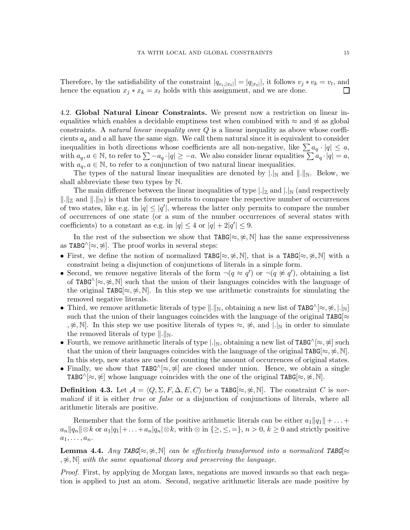Therefore, by the satisfiability of the constraint  $|q_{e_i,|x_t|}| = |q_{|x_t|}|$ , it follows  $v_j * v_k = v_t$ , and hence the equation  $x_j * x_k = x_t$  holds with this assignment, and we are done.  $\Box$ 

<span id="page-15-0"></span>4.2. Global Natural Linear Constraints. We present now a restriction on linear inequalities which enables a decidable emptiness test when combined with  $\approx$  and  $\approx$  as global constraints. A *natural linear inequality* over  $Q$  is a linear inequality as above whose coefficients  $a_q$  and a all have the same sign. We call them natural since it is equivalent to consider inequalities in both directions whose coefficients are all non-negative, like  $\sum a_q \cdot |q| \leq a$ , with  $a_q, a \in \mathbb{N}$ , to refer to  $\sum -a_q \cdot |q| \geq -a$ . We also consider linear equalities  $\sum a_q \cdot |q| = a$ , with  $a_q, a \in \mathbb{N}$ , to refer to a conjunction of two natural linear inequalities.

The types of the natural linear inequalities are denoted by  $\Box_N$  and  $\Box_N$ . Below, we shall abbreviate these two types by N.

The main difference between the linear inequalities of type  $\lfloor \cdot | \mathbb{Z} \rfloor$  and  $\lfloor \cdot | \mathbb{N} \rfloor$  (and respectively  $\|.\|_{\mathbb{Z}}$  and  $\|.\|_{\mathbb{N}}$  is that the former permits to compare the respective number of occurrences of two states, like e.g. in  $|q| \leq |q'|$ , whereas the latter only permits to compare the number of occurrences of one state (or a sum of the number occurrences of several states with coefficients) to a constant as e.g. in  $|q| \leq 4$  or  $|q| + 2|q'| \leq 9$ .

In the rest of the subsection we show that  $TABG[\approx, \ncong, \mathbb{N}]$  has the same expressiveness as TABG $\land$ [ $\approx$ ,  $\approx$ ]. The proof works in several steps:

- First, we define the notion of normalized TABG[ $\approx, \not\approx, \mathbb{N}$ ], that is a TABG[ $\approx, \not\approx, \mathbb{N}$ ] with a constraint being a disjunction of conjunctions of literals in a simple form.
- Second, we remove negative literals of the form  $\neg(q \approx q')$  or  $\neg(q \not\approx q')$ , obtaining a list of TABG $^{\wedge}[\approx, \frac{\infty}{\infty}, \mathbb{N}]$  such that the union of their languages coincides with the language of the original TABG $[\approx, \nless, \mathbb{N}]$ . In this step we use arithmetic constraints for simulating the removed negative literals.
- Third, we remove arithmetic literals of type  $\|\cdot\|_{\mathbb{N}}$ , obtaining a new list of TABG^[≈,  $\not\approx, |\cdot|_{\mathbb{N}}$ ] such that the union of their languages coincides with the language of the original TABG[ $\approx$ ,  $\hat{\varphi}$ , N. In this step we use positive literals of types  $\approx$ ,  $\hat{\varphi}$ , and  $\Box_N$  in order to simulate the removed literals of type  $\|.\|_{\mathbb{N}}$ .
- Fourth, we remove arithmetic literals of type  $|.|_{\mathbb{N}},$  obtaining a new list of TABG^[≈, ≉] such that the union of their languages coincides with the language of the original TABG[ $\approx, \nless, \mathbb{N}$ ]. In this step, new states are used for counting the amount of occurrences of original states.
- Finally, we show that TABG^[ $\approx$ ,  $\approx$ ] are closed under union. Hence, we obtain a single TABG $\cap$   $\approx$ ,  $\approx$  whose language coincides with the one of the original TABG $\approx$ ,  $\approx$ , N.

**Definition 4.3.** Let  $\mathcal{A} = \langle Q, \Sigma, F, \Delta, E, C \rangle$  be a TABG[ $\approx, \approx, \mathbb{N}$ ]. The constraint C is normalized if it is either true or false or a disjunction of conjunctions of literals, where all arithmetic literals are positive.

Remember that the form of the positive arithmetic literals can be either  $a_1||q_1|| + \ldots$  $a_n||q_n||\otimes k$  or  $a_1|q_1|+\ldots+a_n|q_n|\otimes k$ , with  $\otimes$  in  $\{\geq, \leq, =\}$ ,  $n > 0$ ,  $k \geq 0$  and strictly positive  $a_1, \ldots, a_n$ .

**Lemma 4.4.** Any TABG $[\approx, \approx, \mathbb{N}]$  can be effectively transformed into a normalized TABG $[\approx, \approx, \mathbb{N}]$  $,\ncong, \mathbb{N}$  with the same equational theory and preserving the language.

Proof. First, by applying de Morgan laws, negations are moved inwards so that each negation is applied to just an atom. Second, negative arithmetic literals are made positive by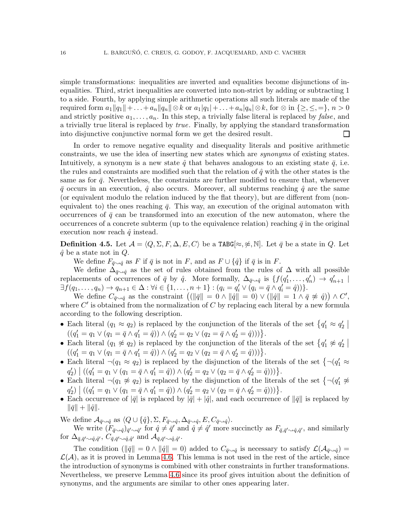simple transformations: inequalities are inverted and equalities become disjunctions of inequalities. Third, strict inequalities are converted into non-strict by adding or subtracting 1 to a side. Fourth, by applying simple arithmetic operations all such literals are made of the required form  $a_1||q_1||+\ldots+a_n||q_n|| \otimes k$  or  $a_1|q_1|+\ldots+a_n|q_n| \otimes k$ , for  $\otimes$  in  $\{\geq, \leq, =\}, n > 0$ and strictly positive  $a_1, \ldots, a_n$ . In this step, a trivially false literal is replaced by *false*, and a trivially true literal is replaced by true. Finally, by applying the standard transformation into disjunctive conjunctive normal form we get the desired result.  $\Box$ 

In order to remove negative equality and disequality literals and positive arithmetic constraints, we use the idea of inserting new states which are synonyms of existing states. Intuitively, a synonym is a new state  $\hat{q}$  that behaves analogous to an existing state  $\bar{q}$ , i.e. the rules and constraints are modified such that the relation of  $\hat{q}$  with the other states is the same as for  $\bar{q}$ . Nevertheless, the constraints are further modified to ensure that, whenever  $\bar{q}$  occurs in an execution,  $\hat{q}$  also occurs. Moreover, all subterms reaching  $\hat{q}$  are the same (or equivalent modulo the relation induced by the flat theory), but are different from (nonequivalent to) the ones reaching  $\bar{q}$ . This way, an execution of the original automaton with occurrences of  $\bar{q}$  can be transformed into an execution of the new automaton, where the occurrences of a concrete subterm (up to the equivalence relation) reaching  $\bar{q}$  in the original execution now reach  $\hat{q}$  instead.

<span id="page-16-0"></span>**Definition 4.5.** Let  $\mathcal{A} = \langle Q, \Sigma, F, \Delta, E, C \rangle$  be a TABG[ $\approx$ ,  $\approx$ , N]. Let  $\bar{q}$  be a state in Q. Let  $\hat{q}$  be a state not in  $Q$ .

We define  $F_{\bar{q}\sim \hat{q}}$  as F if  $\bar{q}$  is not in F, and as  $F \cup {\{\hat{q}\}\ }$  if  $\bar{q}$  is in F.

We define  $\Delta_{\bar{q}\sim q}$  as the set of rules obtained from the rules of  $\Delta$  with all possible replacements of occurrences of  $\bar{q}$  by  $\hat{q}$ . More formally,  $\Delta_{\bar{q}\sim\hat{q}}$  is  $\{f(q'_1,\ldots,q'_n) \to q'_{n+1} \mid$  $\exists f(q_1,..., q_n) \to q_{n+1} \in \Delta : \forall i \in \{1,..., n+1\} : (q_i = q'_i \vee (q_i = \bar{q} \wedge q'_i = \hat{q}))\}.$ 

We define  $C_{\bar{q}\sim\hat{q}}$  as the constraint  $((\|\bar{q}\|=0 \wedge \|\hat{q}\|=0) \vee (\|\hat{q}\|=1 \wedge \bar{q} \not\approx \hat{q})) \wedge C',$ where  $C'$  is obtained from the normalization of  $C$  by replacing each literal by a new formula according to the following description.

- Each literal  $(q_1 \approx q_2)$  is replaced by the conjunction of the literals of the set  $\{q'_1 \approx q'_2\}$  $((q'_1 = q_1 \vee (q_1 = \overline{q} \wedge q'_1 = \hat{q})) \wedge (q'_2 = q_2 \vee (q_2 = \overline{q} \wedge q'_2 = \hat{q})))$ .
- Each literal  $(q_1 \not\approx q_2)$  is replaced by the conjunction of the literals of the set  $\{q'_1 \not\approx q'_2\}$  $((q'_1 = q_1 \lor (q_1 = \overline{q} \land q'_1 = \hat{q})) \land (q'_2 = q_2 \lor (q_2 = \overline{q} \land q'_2 = \hat{q})))$ .
- Each literal  $\neg(q_1 \approx q_2)$  is replaced by the disjunction of the literals of the set  $\{\neg(q'_1 \approx$  $q'_2$ )  $\big| ((q'_1 = q_1 \vee (q_1 = \overline{q} \wedge q'_1 = \hat{q})) \wedge (q'_2 = q_2 \vee (q_2 = \overline{q} \wedge q'_2 = \hat{q}))) \big\}.$
- Each literal  $\neg (q_1 \not\approx q_2)$  is replaced by the disjunction of the literals of the set  $\{\neg (q'_1 \not\approx$  $q'_2$ )  $((q'_1 = q_1 \vee (q_1 = \overline{q} \wedge q'_1 = \hat{q})) \wedge (q'_2 = q_2 \vee (q_2 = \overline{q} \wedge q'_2 = \hat{q})))$ .
- Each occurrence of  $|\bar{q}|$  is replaced by  $|\bar{q}| + |\hat{q}|$ , and each occurrence of  $\|\bar{q}\|$  is replaced by  $\|\bar{q}\| + \|\hat{q}\|.$

We define  $\mathcal{A}_{\bar{q}\sim \hat{q}}$  as  $\langle Q \cup {\{\hat{q}\}, \Sigma, F_{\bar{q}\sim \hat{q}}, \Delta_{\bar{q}\sim \hat{q}}, E, C_{\bar{q}\sim \hat{q}}\rangle.$ 

We write  $(F_{\bar{q}\sim \hat{q}})_{\bar{q}'\sim \hat{q}'}$  for  $\hat{q} \neq \bar{q}'$  and  $\hat{q} \neq \hat{q}'$  more succinctly as  $F_{\bar{q}, \bar{q}'\sim \hat{q}, \hat{q}'},$  and similarly  ${\rm for}\; \Delta_{\bar q,\bar q'\sim \hat q,\hat q'},\, C_{\bar q,\bar q'\sim \hat q,\hat q'}\; {\rm and}\; {\cal A}_{\bar q,\bar q'\sim \hat q,\hat q'}.$ 

The condition  $(\|\bar{q}\| = 0 \wedge \|\hat{q}\| = 0)$  added to  $C_{\bar{q}\rightarrow\hat{q}}$  is necessary to satisfy  $\mathcal{L}(\mathcal{A}_{\bar{q}\rightarrow\hat{q}}) =$  $\mathcal{L}(\mathcal{A})$ , as it is proved in Lemma [4.6.](#page-17-0) This lemma is not used in the rest of the article, since the introduction of synonyms is combined with other constraints in further transformations. Nevertheless, we preserve Lemma [4.6](#page-17-0) since its proof gives intuition about the definition of synonyms, and the arguments are similar to other ones appearing later.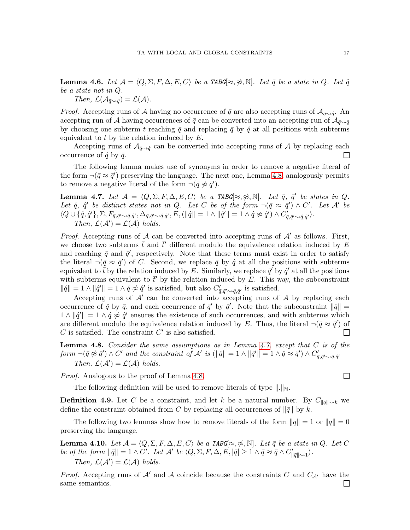<span id="page-17-0"></span>**Lemma 4.6.** Let  $\mathcal{A} = \langle Q, \Sigma, F, \Delta, E, C \rangle$  be a TABG $\approx \hat{\mathcal{A}}$ . Let  $\bar{q}$  be a state in Q. Let  $\hat{q}$ be a state not in Q.

Then,  $\mathcal{L}(\mathcal{A}_{\bar{q}\sim\hat{q}})=\mathcal{L}(\mathcal{A}).$ 

*Proof.* Accepting runs of A having no occurrence of  $\bar{q}$  are also accepting runs of  $\mathcal{A}_{\bar{q}\to q}$ <sup>.</sup> An accepting run of A having occurrences of  $\bar{q}$  can be converted into an accepting run of  $\mathcal{A}_{\bar{q}\sim\hat{q}}$ by choosing one subterm t reaching  $\bar{q}$  and replacing  $\bar{q}$  by  $\hat{q}$  at all positions with subterms equivalent to  $t$  by the relation induced by  $E$ .

Accepting runs of  $\mathcal{A}_{\bar{q}\rightarrow\hat{q}}$  can be converted into accepting runs of A by replacing each occurrence of  $\hat{q}$  by  $\bar{q}$ .  $\Box$ 

The following lemma makes use of synonyms in order to remove a negative literal of the form  $\neg(\bar{q} \approx \bar{q}')$  preserving the language. The next one, Lemma [4.8,](#page-17-1) analogously permits to remove a negative literal of the form  $\neg(\bar{q} \not\approx \bar{q}')$ .

<span id="page-17-2"></span>**Lemma 4.7.** Let  $\mathcal{A} = \langle Q, \Sigma, F, \Delta, E, C \rangle$  be a TABG[ $\approx$ ,  $\approx$ , N]. Let  $\bar{q}$ ,  $\bar{q}'$  be states in Q. Let  $\hat{q}$ ,  $\hat{q}'$  be distinct states not in Q. Let C be of the form  $\neg(\bar{q} \approx \bar{q}') \wedge C'$ . Let A' be  $\langle Q \cup \{\hat{q}, \hat{q}'\}, \Sigma, F_{\bar{q}, \bar{q}' \sim \hat{q}, \hat{q}'}, \Delta_{\bar{q}, \bar{q}' \sim \hat{q}, \hat{q}'}$ ,  $E, (\|\hat{q}\| = 1 \wedge \|\hat{q}'\| = 1 \wedge \hat{q} \not\approx \hat{q}') \wedge C'_{\bar{q}, \bar{q}' \sim \hat{q}, \hat{q}'}$ . Then,  $\mathcal{L}(\mathcal{A}') = \mathcal{L}(\mathcal{A})$  holds.

*Proof.* Accepting runs of A can be converted into accepting runs of  $A'$  as follows. First, we choose two subterms  $\bar{t}$  and  $\bar{t}'$  different modulo the equivalence relation induced by E and reaching  $\bar{q}$  and  $\bar{q}'$ , respectively. Note that these terms must exist in order to satisfy the literal  $\neg(\bar{q} \approx \bar{q}')$  of C. Second, we replace  $\bar{q}$  by  $\hat{q}$  at all the positions with subterms equivalent to  $\bar{t}$  by the relation induced by E. Similarly, we replace  $\bar{q}'$  by  $\hat{q}'$  at all the positions with subterms equivalent to  $\bar{t}'$  by the relation induced by E. This way, the subconstraint  $\|\hat{q}\| = 1 \wedge \|\hat{q}'\| = 1 \wedge \hat{q} \not\approx \hat{q}'$  is satisfied, but also  $C'_{\bar{q}, \bar{q}' \sim \hat{q}, \hat{q}'}$  is satisfied.

Accepting runs of  $A'$  can be converted into accepting runs of  $A$  by replacing each occurrence of  $\hat{q}$  by  $\bar{q}$ , and each occurrence of  $\hat{q}'$  by  $\bar{q}'$ . Note that the subconstraint  $\|\hat{q}\|$  =  $1 \wedge ||\hat{q}'|| = 1 \wedge \hat{q} \not\approx \hat{q}'$  ensures the existence of such occurrences, and with subterms which are different modulo the equivalence relation induced by E. Thus, the literal  $\neg(\bar{q} \approx \bar{q}')$  of  $C$  is satisfied. The constraint  $C'$  is also satisfied. П

<span id="page-17-1"></span>**Lemma 4.8.** Consider the same assumptions as in Lemma  $4.7$ , except that C is of the  $form \neg(\bar{q} \not\approx \bar{q}') \wedge C'$  and the constraint of  $\mathcal{A}'$  is  $(\|\hat{q}\| = 1 \wedge \|\hat{q}'\| = 1 \wedge \hat{q} \approx \hat{q}') \wedge C'_{\bar{q}, \bar{q}' \sim \hat{q}, \hat{q}'}$ Then,  $\mathcal{L}(\mathcal{A}') = \mathcal{L}(\mathcal{A})$  holds.

Proof. Analogous to the proof of Lemma [4.8.](#page-17-1)

The following definition will be used to remove literals of type  $\|.\|_{\mathbb{N}}$ .

**Definition 4.9.** Let C be a constraint, and let k be a natural number. By  $C_{\|\bar{q}\| \sim k}$  we define the constraint obtained from C by replacing all occurrences of  $\|\bar{q}\|$  by k.

The following two lemmas show how to remove literals of the form  $\|q\| = 1$  or  $\|q\| = 0$ preserving the language.

<span id="page-17-3"></span>**Lemma 4.10.** Let  $\mathcal{A} = \langle Q, \Sigma, F, \Delta, E, C \rangle$  be a TABG[ $\approx$ ,  $\approx$ , N]. Let  $\bar{q}$  be a state in Q. Let C be of the form  $\|\bar{q}\|=1 \wedge C'$ . Let  $\mathcal{A}'$  be  $\langle Q, \Sigma, F, \Delta, E, |\bar{q}| \geq 1 \wedge \bar{q} \approx \bar{q} \wedge C'_{\|\bar{q}\| \sim 1} \rangle$ . Then,  $\mathcal{L}(\mathcal{A}') = \mathcal{L}(\mathcal{A})$  holds.

*Proof.* Accepting runs of  $\mathcal{A}'$  and  $\mathcal{A}$  coincide because the constraints C and  $C_{\mathcal{A}'}$  have the same semantics. $\perp$ 

 $\Box$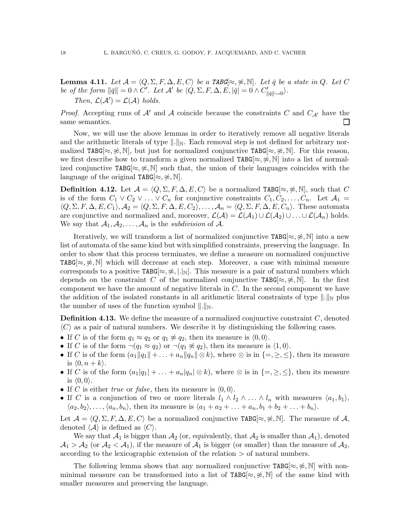<span id="page-18-1"></span>**Lemma 4.11.** Let  $\mathcal{A} = \langle Q, \Sigma, F, \Delta, E, C \rangle$  be a TABG $[\approx, \nleq, \mathbb{N}]$ . Let  $\bar{q}$  be a state in Q. Let C be of the form  $\|\bar{q}\|=0 \wedge C'$ . Let  $\mathcal{A}'$  be  $\langle Q, \Sigma, F, \Delta, E, |\bar{q}| = 0 \wedge C'_{\|\bar{q}\| \sim 0} \rangle$ . Then,  $\mathcal{L}(\mathcal{A}') = \mathcal{L}(\mathcal{A})$  holds.

*Proof.* Accepting runs of A' and A coincide because the constraints C and  $C_{A'}$  have the same semantics.  $\Box$ 

Now, we will use the above lemmas in order to iteratively remove all negative literals and the arithmetic literals of type  $\|.\|_{\mathbb{N}}$ . Each removal step is not defined for arbitrary normalized TABG[ $\approx, \nless, \mathbb{N}$ ], but just for normalized conjunctive TABG[ $\approx, \nless, \mathbb{N}$ ]. For this reason, we first describe how to transform a given normalized TABG[ $\approx$ ,  $\approx$ , N] into a list of normalized conjunctive TABG $[\approx, \hat{\pi}]$  such that, the union of their languages coincides with the language of the original TABG[ $\approx, \approx, \mathbb{N}$ ].

<span id="page-18-0"></span>**Definition 4.12.** Let  $\mathcal{A} = \langle Q, \Sigma, F, \Delta, E, C \rangle$  be a normalized TABG[≈, ≉, N], such that C is of the form  $C_1 \vee C_2 \vee \ldots \vee C_n$  for conjunctive constraints  $C_1, C_2, \ldots, C_n$ . Let  $\mathcal{A}_1 =$  $\langle Q, \Sigma, F, \Delta, E, C_1 \rangle$ ,  $\mathcal{A}_2 = \langle Q, \Sigma, F, \Delta, E, C_2 \rangle$ , ...,  $\mathcal{A}_n = \langle Q, \Sigma, F, \Delta, E, C_n \rangle$ . These automata are conjunctive and normalized and, moreover,  $\mathcal{L}(\mathcal{A}) = \mathcal{L}(\mathcal{A}_1) \cup \mathcal{L}(\mathcal{A}_2) \cup \ldots \cup \mathcal{L}(\mathcal{A}_n)$  holds. We say that  $A_1, A_2, \ldots, A_n$  is the *subdivision* of A.

Iteratively, we will transform a list of normalized conjunctive TABG[ $\approx, \nless$ , N] into a new list of automata of the same kind but with simplified constraints, preserving the language. In order to show that this process terminates, we define a measure on normalized conjunctive TABG $\approx$ ,  $\approx$ , N which will decrease at each step. Moreover, a case with minimal measure corresponds to a positive TABG $[\approx, \hat{\ast}, |.|_{\mathbb{N}}]$ . This measure is a pair of natural numbers which depends on the constraint C of the normalized conjunctive TABG[ $\approx, \nless, \mathbb{N}$ ]. In the first component we have the amount of negative literals in C. In the second component we have the addition of the isolated constants in all arithmetic literal constraints of type  $\|.\|_N$  plus the number of uses of the function symbol  $\|.\|_{\mathbb{N}}$ .

**Definition 4.13.** We define the measure of a normalized conjunctive constraint  $C$ , denoted  $\langle C \rangle$  as a pair of natural numbers. We describe it by distinguishing the following cases.

- If C is of the form  $q_1 \approx q_2$  or  $q_1 \not\approx q_2$ , then its measure is  $(0, 0)$ .
- If C is of the form  $\neg(q_1 \approx q_2)$  or  $\neg(q_1 \not\approx q_2)$ , then its measure is  $\langle 1, 0 \rangle$ .
- If C is of the form  $(a_1||q_1|| + ... + a_n||q_n|| \otimes k)$ , where  $\otimes$  is in  $\{=\geq,\leq\}$ , then its measure is  $\langle 0, n + k \rangle$ .
- If C is of the form  $(a_1|q_1| + \ldots + a_n|q_n| \otimes k)$ , where  $\otimes$  is in  $\{ =, \geq, \leq \}$ , then its measure is  $\langle 0, 0 \rangle$ .
- If C is either true or false, then its measure is  $(0, 0)$ .
- If C is a conjunction of two or more literals  $l_1 \wedge l_2 \wedge \ldots \wedge l_n$  with measures  $\langle a_1, b_1 \rangle$ ,  $\langle a_2, b_2 \rangle, \ldots, \langle a_n, b_n \rangle$ , then its measure is  $\langle a_1 + a_2 + \ldots + a_n, b_1 + b_2 + \ldots + b_n \rangle$ .

Let  $\mathcal{A} = \langle Q, \Sigma, F, \Delta, E, C \rangle$  be a normalized conjunctive TABG[≈, ≉, N]. The measure of A, denoted  $\langle A \rangle$  is defined as  $\langle C \rangle$ .

We say that  $\mathcal{A}_1$  is bigger than  $\mathcal{A}_2$  (or, equivalently, that  $\mathcal{A}_2$  is smaller than  $\mathcal{A}_1$ ), denoted  $A_1 > A_2$  (or  $A_2 < A_1$ ), if the measure of  $A_1$  is bigger (or smaller) than the measure of  $A_2$ , according to the lexicographic extension of the relation > of natural numbers.

The following lemma shows that any normalized conjunctive TABG $[\approx, \nless, \mathbb{N}]$  with nonminimal measure can be transformed into a list of TABG[ $\approx, \nless$ , N] of the same kind with smaller measures and preserving the language.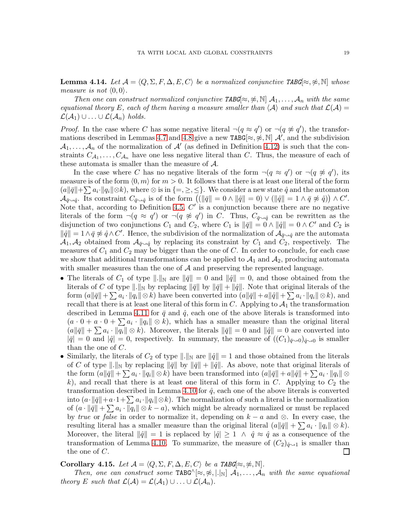<span id="page-19-0"></span>**Lemma 4.14.** Let  $\mathcal{A} = \langle Q, \Sigma, F, \Delta, E, C \rangle$  be a normalized conjunctive TABG[≈, ≉, N] whose measure is not  $\langle 0, 0 \rangle$ .

Then one can construct normalized conjunctive TABG[ $\approx, \not\approx$ ,  $\mathbb{N}[\mathcal{A}_1, \ldots, \mathcal{A}_n]$  with the same equational theory E, each of them having a measure smaller than  $\langle A \rangle$  and such that  $\mathcal{L}(A) =$  $\mathcal{L}(\mathcal{A}_1) \cup \ldots \cup \mathcal{L}(\mathcal{A}_n)$  holds.

*Proof.* In the case where C has some negative literal  $\neg(q \approx q')$  or  $\neg(q \not\approx q')$ , the transfor-mations described in Lemmas [4.7](#page-17-2) and [4.8](#page-17-1) give a new TABG[ $\approx, \not\approx, \mathbb{N}$ ]  $\mathcal{A}'$ , and the subdivision  $A_1, \ldots, A_n$  of the normalization of  $A'$  (as defined in Definition [4.12\)](#page-18-0) is such that the constraints  $C_{A_1}, \ldots, C_{A_n}$  have one less negative literal than C. Thus, the measure of each of these automata is smaller than the measure of A.

In the case where C has no negative literals of the form  $\neg(q \approx q')$  or  $\neg(q \not\approx q')$ , its measure is of the form  $\langle 0, m \rangle$  for  $m > 0$ . It follows that there is at least one literal of the form  $(a||\bar{q}||+\sum a_i\cdot ||q_i||\otimes k)$ , where  $\otimes$  is in  $\{=\geq,\leq\}$ . We consider a new state  $\hat{q}$  and the automaton  $\mathcal{A}_{\bar{q}\leadsto\hat{q}}$ . Its constraint  $C_{\bar{q}\leadsto\hat{q}}$  is of the form  $((\|\bar{q}\|=0 \wedge \|\hat{q}\|=0) \vee (\|\hat{q}\|=1 \wedge \bar{q} \not\approx \hat{q})) \wedge C'.$ Note that, according to Definition [4.5,](#page-16-0)  $C'$  is a conjunction because there are no negative literals of the form  $\neg(q \approx q')$  or  $\neg(q \not\approx q')$  in C. Thus,  $C_{\bar{q} \sim \hat{q}}$  can be rewritten as the disjunction of two conjunctions  $C_1$  and  $C_2$ , where  $C_1$  is  $\|\bar{q}\| = 0 \wedge \|\hat{q}\| = 0 \wedge C'$  and  $C_2$  is  $\|\hat{q}\| = 1 \wedge \bar{q} \not\approx \hat{q} \wedge C'$ . Hence, the subdivision of the normalization of  $\mathcal{A}_{\bar{q}\sim\hat{q}}$  are the automata  $\mathcal{A}_1, \mathcal{A}_2$  obtained from  $\mathcal{A}_{\bar{q}\sim\hat{q}}$  by replacing its constraint by  $C_1$  and  $C_2$ , respectively. The measures of  $C_1$  and  $C_2$  may be bigger than the one of  $C$ . In order to conclude, for each case we show that additional transformations can be applied to  $A_1$  and  $A_2$ , producing automata with smaller measures than the one of  $A$  and preserving the represented language.

- The literals of  $C_1$  of type  $\|\cdot\|_{\mathbb{N}}$  are  $\|\bar{q}\| = 0$  and  $\|\hat{q}\| = 0$ , and those obtained from the literals of C of type  $\|.\|_{\mathbb{N}}$  by replacing  $\|\bar{q}\|$  by  $\|\bar{q}\| + \|\hat{q}\|$ . Note that original literals of the form  $(a||\bar{q}|| + \sum a_i \cdot ||q_i|| \otimes k)$  have been converted into  $(a||\bar{q}|| + a||\hat{q}|| + \sum a_i \cdot ||q_i|| \otimes k)$ , and recall that there is at least one literal of this form in  $C$ . Applying to  $\mathcal{A}_1$  the transformation described in Lemma [4.11](#page-18-1) for  $\bar{q}$  and  $\hat{q}$ , each one of the above literals is transformed into  $(a \cdot 0 + a \cdot 0 + \sum a_i \cdot ||q_i|| \otimes k)$ , which has a smaller measure than the original literal  $(a\|\bar{q}\| + \sum a_i \cdot \|q_i\| \otimes k)$ . Moreover, the literals  $\|\bar{q}\| = 0$  and  $\|\hat{q}\| = 0$  are converted into  $|\bar{q}| = 0$  and  $|\hat{q}| = 0$ , respectively. In summary, the measure of  $((C_1)_{\bar{q}\rightarrow 0})_{\hat{q}\rightarrow 0}$  is smaller than the one of C.
- Similarly, the literals of  $C_2$  of type  $\|\cdot\|_{\mathbb{N}}$  are  $\|\hat{q}\|=1$  and those obtained from the literals of C of type  $\|.\|_{\mathbb{N}}$  by replacing  $\|\bar{q}\|$  by  $\|\bar{q}\| + \|\hat{q}\|$ . As above, note that original literals of the form  $(a||\bar{q}|| + \sum a_i \cdot ||q_i|| \otimes k)$  have been transformed into  $(a||\bar{q}|| + a||\hat{q}|| + \sum a_i \cdot ||q_i|| \otimes k)$ k), and recall that there is at least one literal of this form in C. Applying to  $C_2$  the transformation described in Lemma [4.10](#page-17-3) for  $\hat{q}$ , each one of the above literals is converted into  $(a\cdot \|\bar{q}\|+a\cdot 1+\sum a_i\cdot \|q_i\|\otimes k)$ . The normalization of such a literal is the normalization of  $(a \cdot ||\bar{q}|| + \sum a_i \cdot ||q_i|| \otimes k - a)$ , which might be already normalized or must be replaced by true or false in order to normalize it, depending on  $k - a$  and  $\otimes$ . In every case, the resulting literal has a smaller measure than the original literal  $(a||\bar{q}|| + \sum a_i \cdot ||q_i|| \otimes k)$ . Moreover, the literal  $\|\hat{q}\| = 1$  is replaced by  $|\hat{q}| \geq 1 \wedge \hat{q} \approx \hat{q}$  as a consequence of the transformation of Lemma [4.10.](#page-17-3) To summarize, the measure of  $(C_2)_{\hat{\sigma} \sim 1}$  is smaller than the one of C.  $\Box$

## <span id="page-19-1"></span>Corollary 4.15. Let  $\mathcal{A} = \langle Q, \Sigma, F, \Delta, E, C \rangle$  be a TABG[≈, ≉, ℕ].

Then, one can construct some TABG^[ $\approx, \not\approx, |.|_{\mathbb{N}}]$   $\mathcal{A}_1, \ldots, \mathcal{A}_n$  with the same equational theory E such that  $\mathcal{L}(\mathcal{A}) = \mathcal{L}(\mathcal{A}_1) \cup ... \cup \mathcal{L}(\mathcal{A}_n)$ .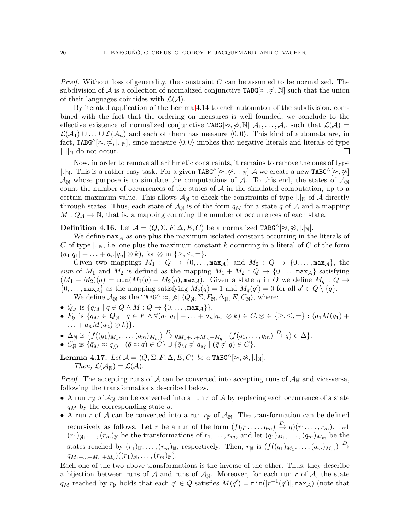*Proof.* Without loss of generality, the constraint  $C$  can be assumed to be normalized. The subdivision of A is a collection of normalized conjunctive TABG[ $\approx, \approx, \mathbb{N}$ ] such that the union of their languages coincides with  $\mathcal{L}(\mathcal{A})$ .

By iterated application of the Lemma [4.14](#page-19-0) to each automaton of the subdivision, combined with the fact that the ordering on measures is well founded, we conclude to the effective existence of normalized conjunctive TABG $[\approx, \approx, \mathbb{N}]$ ,  $\mathcal{A}_1, \ldots, \mathcal{A}_n$  such that  $\mathcal{L}(\mathcal{A}) =$  $\mathcal{L}(\mathcal{A}_1) \cup \ldots \cup \mathcal{L}(\mathcal{A}_n)$  and each of them has measure  $\langle 0, 0 \rangle$ . This kind of automata are, in fact, TABG^[≈,  $\hat{\mathcal{R}}$ , |.|<sub>N</sub>], since measure  $\langle 0, 0 \rangle$  implies that negative literals and literals of type  $\Vert . \Vert_{\mathbb{N}}$  do not occur.  $\Box$ 

Now, in order to remove all arithmetic constraints, it remains to remove the ones of type |.|<sub>N</sub>. This is a rather easy task. For a given TABG^[≈,  $\frac{\alpha}{\gamma}$ , |.|<sub>N</sub>] A we create a new TABG^[≈,  $\frac{\alpha}{\gamma}$ ]  $\mathcal{A}_{\mathbb{N}}$  whose purpose is to simulate the computations of A. To this end, the states of  $\mathcal{A}_{\mathbb{N}}$ count the number of occurrences of the states of  $A$  in the simulated computation, up to a certain maximum value. This allows  $\mathcal{A}_{\mathbb{N}}$  to check the constraints of type  $|.|_{\mathbb{N}}$  of A directly through states. Thus, each state of  $\mathcal{A}_{\mathbb{N}}$  is of the form  $q_M$  for a state q of A and a mapping  $M: Q_{\mathcal{A}} \to \mathbb{N}$ , that is, a mapping counting the number of occurrences of each state.

**Definition 4.16.** Let  $\mathcal{A} = \langle Q, \Sigma, F, \Delta, E, C \rangle$  be a normalized TABG^[≈, ≉, |.|<sub>N</sub>].

We define  $\max_{A}$  as one plus the maximum isolated constant occurring in the literals of C of type  $\vert \cdot \vert_{\mathbb{N}}$ , i.e. one plus the maximum constant k occurring in a literal of C of the form  $(a_1|q_1| + \ldots + a_n|q_n| \otimes k)$ , for  $\otimes$  in  $\{\geq, \leq, =\}.$ 

Given two mappings  $M_1: Q \to \{0, \ldots, \max_A\}$  and  $M_2: Q \to \{0, \ldots, \max_A\}$ , the sum of  $M_1$  and  $M_2$  is defined as the mapping  $M_1 + M_2$ :  $Q \rightarrow \{0, \ldots, \max_A\}$  satisfying  $(M_1 + M_2)(q) = \min(M_1(q) + M_2(q), \max_A)$ . Given a state q in Q we define  $M_q: Q \rightarrow$  $\{0,\ldots,\max_{\mathcal{A}}\}$  as the mapping satisfying  $M_q(q) = 1$  and  $M_q(q') = 0$  for all  $q' \in Q \setminus \{q\}.$ 

- We define  $\mathcal{A}_{\mathbb{N}}$  as the TABG^[ $\approx$ ,  $\approx$ ]  $\langle Q_{\mathbb{N}}, \Sigma, F_{\mathbb{N}}, \Delta_{\mathbb{N}}, E, C_{\mathbb{N}} \rangle$ , where:
- $Q_{\mathbb{N}}$  is  $\{q_M \mid q \in Q \wedge M : Q \to \{0, \ldots, \max_{\mathcal{A}}\}\}.$
- $F_{\mathbb{N}}$  is  $\{q_M \in Q_{\mathbb{N}} \mid q \in F \wedge \forall (a_1|q_1| + \ldots + a_n|q_n| \otimes k) \in C, \otimes \in \{\geq, \leq, =\} : (a_1M(q_1) +$  $\ldots + a_n M(q_n) \otimes k$ ).
- $\Delta_{\mathbb{N}}$  is  $\{f((q_1)_{M_1},\ldots,(q_m)_{M_m})\stackrel{D}{\rightarrow} q_{M_1+\ldots+M_m+M_q} \mid (f(q_1,\ldots,q_m)\stackrel{D}{\rightarrow} q) \in \Delta\}.$
- $C_{\mathbb{N}}$  is  $\{\bar{q}_{\bar{M}} \approx \tilde{q}_{\tilde{M}} \mid (\bar{q} \approx \tilde{q}) \in C\} \cup \{\bar{q}_{\bar{M}} \not\approx \tilde{q}_{\tilde{M}} \mid (\bar{q} \not\approx \tilde{q}) \in C\}.$

<span id="page-20-0"></span>Lemma 4.17. Let  $\mathcal{A} = \langle Q, \Sigma, F, \Delta, E, C \rangle$  be a TABG^[≈, ≉, |.|<sub>N</sub>]. Then,  $\mathcal{L}(\mathcal{A}_{\mathbb{N}}) = \mathcal{L}(\mathcal{A}).$ 

*Proof.* The accepting runs of  $\mathcal A$  can be converted into accepting runs of  $\mathcal A_N$  and vice-versa, following the transformations described below.

- A run  $r_{\mathbb{N}}$  of  $\mathcal{A}_{\mathbb{N}}$  can be converted into a run r of A by replacing each occurrence of a state  $q_M$  by the corresponding state q.
- A run r of A can be converted into a run  $r_{\mathbb{N}}$  of  $\mathcal{A}_{\mathbb{N}}$ . The transformation can be defined recursively as follows. Let r be a run of the form  $(f(q_1, \ldots, q_m) \stackrel{D}{\rightarrow} q)(r_1, \ldots, r_m)$ . Let  $(r_1)_{\mathbb{N}},\ldots,(r_m)_{\mathbb{N}}$  be the transformations of  $r_1,\ldots,r_m$ , and let  $(q_1)_{M_1},\ldots,(q_m)_{M_m}$  be the states reached by  $(r_1)_\mathbb{N}, \ldots, (r_m)_\mathbb{N}$ , respectively. Then,  $r_\mathbb{N}$  is  $(f((q_1)_{M_1}, \ldots, (q_m)_{M_m}) \stackrel{D}{\rightarrow}$  $q_{M_1+\ldots+M_m+M_q}$  $((r_1)_{\mathbb{N}},\ldots,(r_m)_{\mathbb{N}}).$

Each one of the two above transformations is the inverse of the other. Thus, they describe a bijection between runs of  $A$  and runs of  $A_{\mathbb{N}}$ . Moreover, for each run r of  $A$ , the state  $q_M$  reached by  $r_{\mathbb{N}}$  holds that each  $q' \in Q$  satisfies  $M(q') = \min(|r^{-1}(q')|, \max_{\mathcal{A}})$  (note that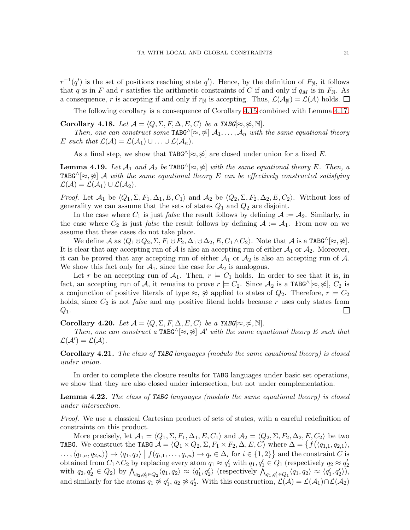$r^{-1}(q')$  is the set of positions reaching state  $q'$ ). Hence, by the definition of  $F_{\mathbb{N}}$ , it follows that q is in F and r satisfies the arithmetic constraints of C if and only if  $q_M$  is in  $F_N$ . As a consequence, r is accepting if and only if  $r_{\mathbb{N}}$  is accepting. Thus,  $\mathcal{L}(\mathcal{A}_{\mathbb{N}}) = \mathcal{L}(\mathcal{A})$  holds.  $\square$ 

The following corollary is a consequence of Corollary [4.15](#page-19-1) combined with Lemma [4.17.](#page-20-0)

Corollary 4.18. Let  $\mathcal{A} = \langle Q, \Sigma, F, \Delta, E, C \rangle$  be a TABG[≈, ≉, N].

Then, one can construct some TABG^[ $\approx$ ,  $\not\approx$ ]  $\mathcal{A}_1, \ldots, \mathcal{A}_n$  with the same equational theory E such that  $\mathcal{L}(\mathcal{A}) = \mathcal{L}(\mathcal{A}_1) \cup ... \cup \mathcal{L}(\mathcal{A}_n)$ .

As a final step, we show that TABG $^{\wedge}[\approx,\approx]$  are closed under union for a fixed E.

<span id="page-21-0"></span>**Lemma 4.19.** Let  $\mathcal{A}_1$  and  $\mathcal{A}_2$  be TABG^[ $\approx$ ,  $\approx$ ] with the same equational theory E. Then, a TABG $\wedge[\approx,\approx]$  A with the same equational theory E can be effectively constructed satisfying  $\mathcal{L}(\mathcal{A}) = \mathcal{L}(\mathcal{A}_1) \cup \mathcal{L}(\mathcal{A}_2).$ 

*Proof.* Let  $\mathcal{A}_1$  be  $\langle Q_1, \Sigma, F_1, \Delta_1, E, C_1 \rangle$  and  $\mathcal{A}_2$  be  $\langle Q_2, \Sigma, F_2, \Delta_2, E, C_2 \rangle$ . Without loss of generality we can assume that the sets of states  $Q_1$  and  $Q_2$  are disjoint.

In the case where  $C_1$  is just *false* the result follows by defining  $A := A_2$ . Similarly, in the case where  $C_2$  is just *false* the result follows by defining  $A := A_1$ . From now on we assume that these cases do not take place.

We define A as  $\langle Q_1 \uplus Q_2, \Sigma, F_1 \uplus F_2, \Delta_1 \uplus \Delta_2, E, C_1 \wedge C_2 \rangle$ . Note that A is a TABG^[≈, ≉]. It is clear that any accepting run of  $A$  is also an accepting run of either  $A_1$  or  $A_2$ . Moreover, it can be proved that any accepting run of either  $A_1$  or  $A_2$  is also an accepting run of A. We show this fact only for  $A_1$ , since the case for  $A_2$  is analogous.

Let r be an accepting run of  $A_1$ . Then,  $r \models C_1$  holds. In order to see that it is, in fact, an accepting run of A, it remains to prove  $r \models C_2$ . Since  $\mathcal{A}_2$  is a TABG^[ $\approx$ ,  $\approx$ ],  $C_2$  is a conjunction of positive literals of type  $\approx$ ,  $\approx$  applied to states of  $Q_2$ . Therefore,  $r \models C_2$ holds, since  $C_2$  is not *false* and any positive literal holds because r uses only states from  $\Box$  $Q_1$ .

<span id="page-21-1"></span>Corollary 4.20. Let  $\mathcal{A} = \langle Q, \Sigma, F, \Delta, E, C \rangle$  be a TABG[ $\approx, \nless, \mathbb{N}$ ].

Then, one can construct a TABG^[ $\approx \approx 1$  A' with the same equational theory E such that  $\mathcal{L}(\mathcal{A}') = \mathcal{L}(\mathcal{A}).$ 

<span id="page-21-2"></span>Corollary 4.21. The class of TABG languages (modulo the same equational theory) is closed under union.

In order to complete the closure results for TABG languages under basic set operations, we show that they are also closed under intersection, but not under complementation.

**Lemma 4.22.** The class of TABG languages (modulo the same equational theory) is closed under intersection.

Proof. We use a classical Cartesian product of sets of states, with a careful redefinition of constraints on this product.

More precisely, let  $\mathcal{A}_1 = \langle Q_1, \Sigma, F_1, \Delta_1, E, C_1 \rangle$  and  $\mathcal{A}_2 = \langle Q_2, \Sigma, F_2, \Delta_2, E, C_2 \rangle$  be two TABG. We construct the TABG A = hQ<sup>1</sup> × Q2, Σ, F<sup>1</sup> × F2, ∆, E, Ci where ∆ = f hq1,1, q2,1i,  $\langle q_{1,n}, q_{2,n} \rangle \rightarrow \langle q_1, q_2 \rangle \mid f(q_{i,1}, \ldots, q_{i,n}) \rightarrow q_i \in \Delta_i \text{ for } i \in \{1,2\} \}$  and the constraint C is obtained from  $C_1 \wedge C_2$  by replacing every atom  $q_1 \approx q'_1$  with  $q_1, q'_1 \in Q_1$  (respectively  $q_2 \approx q'_2$ ) with  $q_2, q'_2 \in Q_2$  by  $\bigwedge_{q_2, q'_2 \in Q_2} \langle q_1, q_2 \rangle \approx \langle q'_1, q'_2 \rangle$  (respectively  $\bigwedge_{q_1, q'_1 \in Q_1} \langle q_1, q_2 \rangle \approx \langle q'_1, q'_2 \rangle$ ), and similarly for the atoms  $q_1 \not\approx q'_1, q_2 \not\approx q'_2$ . With this construction,  $\mathcal{L}(\mathcal{A}) = \mathcal{L}(\mathcal{A}_1) \cap \mathcal{L}(\mathcal{A}_2)$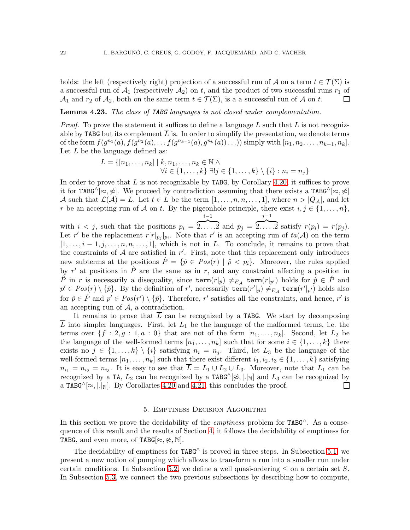holds: the left (respectively right) projection of a successful run of A on a term  $t \in \mathcal{T}(\Sigma)$  is a successful run of  $\mathcal{A}_1$  (respectively  $\mathcal{A}_2$ ) on t, and the product of two successful runs  $r_1$  of  $\mathcal{A}_1$  and  $r_2$  of  $\mathcal{A}_2$ , both on the same term  $t \in \mathcal{T}(\Sigma)$ , is a a successful run of  $\mathcal A$  on  $t$ .  $\Box$ 

**Lemma 4.23.** The class of TABG languages is not closed under complementation.

*Proof.* To prove the statement it suffices to define a language L such that L is not recognizable by TABG but its complement  $\overline{L}$  is. In order to simplify the presentation, we denote terms of the form  $f(g^{n_1}(a), f(g^{n_2}(a), \ldots f(g^{n_{k-1}}(a), g^{n_k}(a)) \ldots))$  simply with  $[n_1, n_2, \ldots, n_{k-1}, n_k]$ . Let  $L$  be the language defined as:

$$
L = \{ [n_1, \ldots, n_k] \mid k, n_1, \ldots, n_k \in \mathbb{N} \land \forall i \in \{1, \ldots, k\} \exists! j \in \{1, \ldots, k\} \setminus \{i\} : n_i = n_j \}
$$

In order to prove that  $L$  is not recognizable by TABG, by Corollary [4.20,](#page-21-1) it suffices to prove it for TABG^[≈,  $\approx$ ]. We proceed by contradiction assuming that there exists a TABG^[≈,  $\approx$ ] A such that  $\mathcal{L}(\mathcal{A}) = L$ . Let  $t \in L$  be the term  $[1, \ldots, n, n, \ldots, 1]$ , where  $n > |Q_{\mathcal{A}}|$ , and let r be an accepting run of A on t. By the pigeonhole principle, there exist  $i, j \in \{1, \ldots, n\}$ ,  $i-1$  $j-1$ 

with  $i < j$ , such that the positions  $p_i = \{2, \ldots, 2\}$  and  $p_j = \{2, \ldots, 2\}$  satisfy  $r(p_i) = r(p_j)$ . Let r' be the replacement  $r[r|_{p_j}]_{p_i}$ . Note that r' is an accepting run of  $ta(\mathcal{A})$  on the term  $[1, \ldots, i-1, j, \ldots, n, n, \ldots, 1]$ , which is not in L. To conclude, it remains to prove that the constraints of  $A$  are satisfied in  $r'$ . First, note that this replacement only introduces new subterms at the positions  $\hat{P} = \{\hat{p} \in Pos(r) \mid \hat{p} < p_i\}$ . Moreover, the rules applied by r' at positions in  $\hat{P}$  are the same as in r, and any constraint affecting a position in  $\hat{P}$  in r is necessarily a disequality, since  $\texttt{term}(r|_{\hat{p}}) \neq_{E_{\mathcal{A}}} \texttt{term}(r|_{p'})$  holds for  $\hat{p} \in \hat{P}$  and  $p' \in Pos(r) \setminus \{\hat{p}\}.$  By the definition of  $r',$  necessarily  $\texttt{term}(r' \vert_{\hat{p}}) \neq_{E_{\mathcal{A}}} \texttt{term}(r' \vert_{p'})$  holds also for  $\hat{p} \in \hat{P}$  and  $p' \in Pos(r') \setminus {\hat{p}}$ . Therefore, r' satisfies all the constraints, and hence, r' is an accepting run of  $A$ , a contradiction.

It remains to prove that  $\overline{L}$  can be recognized by a TABG. We start by decomposing  $\overline{L}$  into simpler languages. First, let  $L_1$  be the language of the malformed terms, i.e. the terms over  $\{f : 2, g : 1, a : 0\}$  that are not of the form  $[n_1, \ldots, n_k]$ . Second, let  $L_2$  be the language of the well-formed terms  $[n_1, \ldots, n_k]$  such that for some  $i \in \{1, \ldots, k\}$  there exists no  $j \in \{1, ..., k\} \setminus \{i\}$  satisfying  $n_i = n_j$ . Third, let  $L_3$  be the language of the well-formed terms  $[n_1, \ldots, n_k]$  such that there exist different  $i_1, i_2, i_3 \in \{1, \ldots, k\}$  satisfying  $n_{i_1} = n_{i_2} = n_{i_3}$ . It is easy to see that  $L = L_1 \cup L_2 \cup L_3$ . Moreover, note that  $L_1$  can be recognized by a TA,  $L_2$  can be recognized by a TABG<sup> $\wedge$ </sup>[ $\neq$ , |.|<sub>N</sub>] and  $L_3$  can be recognized by a TABG $\wedge$ [ $\approx$ , |.|<sub>N</sub>]. By Corollaries [4.20](#page-21-1) and [4.21,](#page-21-2) this concludes the proof.  $\Box$ 

#### 5. Emptiness Decision Algorithm

<span id="page-22-0"></span>In this section we prove the decidability of the *emptiness* problem for  $TABG^{\wedge}$ . As a consequence of this result and the results of Section [4,](#page-11-0) it follows the decidability of emptiness for TABG, and even more, of TABG[ $\approx, \approx, \mathbb{N}$ ].

The decidability of emptiness for  $TABG^{\wedge}$  is proved in three steps. In Subsection [5.1,](#page-23-0) we present a new notion of pumping which allows to transform a run into a smaller run under certain conditions. In Subsection [5.2,](#page-27-0) we define a well quasi-ordering  $\leq$  on a certain set S. In Subsection [5.3,](#page-29-0) we connect the two previous subsections by describing how to compute,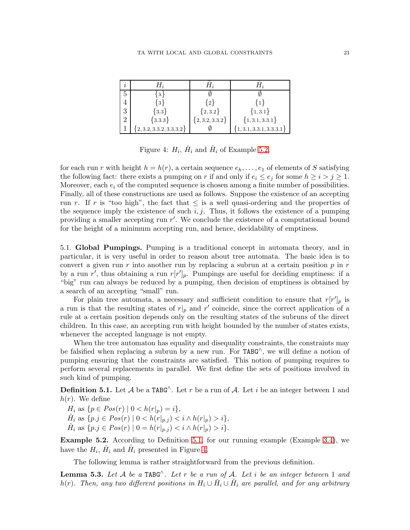| $\imath$       | $H_i$                     |                   |                           |
|----------------|---------------------------|-------------------|---------------------------|
| 5              | $\lambda$                 |                   |                           |
|                | {3}                       | $\{2\}$           | {1}                       |
| 3              | ${3.3}$                   | ${2,3.2}$         | ${1,3.1}$                 |
| $\overline{2}$ | ${3.3.3}$                 | ${2, 3.2, 3.3.2}$ | ${1, 3.1, 3.3.1}$         |
|                | $\{2,3.2,3.3.2,3.3.3.2\}$ |                   | $\{1,3.1,3.3.1,3.3.3.1\}$ |

<span id="page-23-3"></span>Figure 4:  $H_i$ ,  $\check{H}_i$  and  $\mathring{H}_i$  of Example [5.2.](#page-23-1)

for each run r with height  $h = h(r)$ , a certain sequence  $e_h, \ldots, e_1$  of elements of S satisfying the following fact: there exists a pumping on r if and only if  $e_i \leq e_j$  for some  $h \geq i > j \geq 1$ . Moreover, each  $e_i$  of the computed sequence is chosen among a finite number of possibilities. Finally, all of these constructions are used as follows. Suppose the existence of an accepting run r. If r is "too high", the fact that  $\leq$  is a well quasi-ordering and the properties of the sequence imply the existence of such  $i, j$ . Thus, it follows the existence of a pumping providing a smaller accepting run r'. We conclude the existence of a computational bound for the height of a minimum accepting run, and hence, decidability of emptiness.

<span id="page-23-0"></span>5.1. Global Pumpings. Pumping is a traditional concept in automata theory, and in particular, it is very useful in order to reason about tree automata. The basic idea is to convert a given run r into another run by replacing a subrun at a certain position  $p$  in  $r$ by a run r', thus obtaining a run  $r[r']_p$ . Pumpings are useful for deciding emptiness: if a "big" run can always be reduced by a pumping, then decision of emptiness is obtained by a search of an accepting "small" run.

For plain tree automata, a necessary and sufficient condition to ensure that  $r[r']_p$  is a run is that the resulting states of  $r|_p$  and  $r'$  coincide, since the correct application of a rule at a certain position depends only on the resulting states of the subruns of the direct children. In this case, an accepting run with height bounded by the number of states exists, whenever the accepted language is not empty.

When the tree automaton has equality and disequality constraints, the constraints may be falsified when replacing a subrun by a new run. For TABG<sup> $\land$ </sup>, we will define a notion of pumping ensuring that the constraints are satisfied. This notion of pumping requires to perform several replacements in parallel. We first define the sets of positions involved in such kind of pumping.

<span id="page-23-2"></span>**Definition 5.1.** Let A be a TABG<sup> $\wedge$ </sup>. Let r be a run of A. Let i be an integer between 1 and  $h(r)$ . We define

 $H_i$  as  $\{p \in Pos(r) \mid 0 < h(r|_p) = i\},\$  $\check{H}_i$  as  $\{p.j \in Pos(r) \mid 0 < h(r|_{p.j}) < i \wedge h(r|_p) > i\},$  $H_i$  as  $\{p.j \in Pos(r) \mid 0 = h(r|_{p,j}) < i \wedge h(r|_p) > i\}.$ 

<span id="page-23-1"></span>Example 5.2. According to Definition [5.1,](#page-23-2) for our running example (Example [3.4\)](#page-9-0), we have the  $H_i$ ,  $\check{H}_i$  and  $\mathring{H}_i$  presented in Figure [4.](#page-23-3)

The following lemma is rather straightforward from the previous definition.

<span id="page-23-4"></span>**Lemma 5.3.** Let A be a TABG<sup> $\wedge$ </sup>. Let r be a run of A. Let i be an integer between 1 and h(r). Then, any two different positions in  $H_i \cup \check{H}_i \cup \mathring{H}_i$  are parallel, and for any arbitrary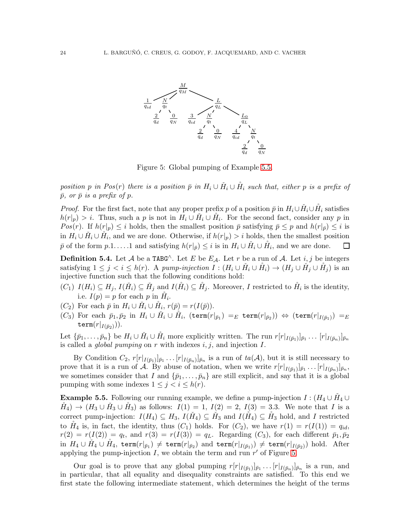

<span id="page-24-1"></span>Figure 5: Global pumping of Example [5.5.](#page-24-0)

position p in Pos(r) there is a position  $\bar{p}$  in  $H_i \cup \check{H}_i \cup \mathring{H}_i$  such that, either p is a prefix of  $\bar{p}$ , or  $\bar{p}$  is a prefix of p.

*Proof.* For the first fact, note that any proper prefix p of a position  $\bar{p}$  in  $H_i \cup \tilde{H}_i \cup \tilde{H}_i$  satisfies  $h(r|_p) > i$ . Thus, such a p is not in  $H_i \cup \check{H}_i \cup \mathring{H}_i$ . For the second fact, consider any p in Pos(r). If  $h(r|_p) \leq i$  holds, then the smallest position  $\bar{p}$  satisfying  $\bar{p} \leq p$  and  $h(r|_{\bar{p}}) \leq i$  is in  $H_i \cup \check{H}_i \cup \check{H}_i$ , and we are done. Otherwise, if  $h(r|_p) > i$  holds, then the smallest position  $\bar{p}$  of the form  $p.1...1$  and satisfying  $h(r|_{\bar{p}}) \leq i$  is in  $H_i \cup \check{H}_i \cup \check{H}_i$ , and we are done.  $\Box$ 

**Definition 5.4.** Let A be a TABG<sup> $\wedge$ </sup>. Let E be E<sub>A</sub>. Let r be a run of A. Let i, j be integers satisfying  $1 \leq j < i \leq h(r)$ . A pump-injection  $I: (H_i \cup \check{H}_i \cup \mathring{H}_i) \to (H_j \cup \check{H}_j \cup \mathring{H}_j)$  is an injective function such that the following conditions hold:

- $(C_1)$   $I(H_i) \subseteq H_j$ ,  $I(\check{H}_i) \subseteq \check{H}_j$  and  $I(\mathring{H}_i) \subseteq \mathring{H}_j$ . Moreover, I restricted to  $\mathring{H}_i$  is the identity, i.e.  $I(p) = p$  for each p in  $\mathring{H}_i$ .
- $(C_2)$  For each  $\bar{p}$  in  $H_i \cup \check{H}_i \cup \mathring{H}_i$ ,  $r(\bar{p}) = r(I(\bar{p})).$
- $(C_3)$  For each  $\bar p_1, \bar p_2$  in  $H_i\cup \check H_i\cup \mathring H_i,$  (term $(r|_{\bar p_1})=_E$  term $(r|_{\bar p_2}))\, \Leftrightarrow\, (\texttt{term}(r|_{I(\bar p_1)})=_E$  $\texttt{term}(r|_{I(\bar{p}_2)})).$

Let  $\{\bar{p}_1,\ldots,\bar{p}_n\}$  be  $H_i\cup \check{H}_i\cup \mathring{H}_i$  more explicitly written. The run  $r[r|_{I(\bar{p}_1)}]_{\bar{p}_1}\ldots [r|_{I(\bar{p}_n)}]_{\bar{p}_n}$ is called a *global pumping* on r with indexes  $i, j$ , and injection  $I$ .

By Condition  $C_2$ ,  $r[r|_{I(\bar{p}_1)}]_{\bar{p}_1} \ldots [r|_{I(\bar{p}_n)}]_{\bar{p}_n}$  is a run of  $ta(\mathcal{A})$ , but it is still necessary to prove that it is a run of A. By abuse of notation, when we write  $r[r|_{I(\bar{p}_1)}]_{\bar{p}_1} \ldots [r|_{I(\bar{p}_n)}]_{\bar{p}_n}$ , we sometimes consider that I and  $\{\bar{p}_1, \ldots, \bar{p}_n\}$  are still explicit, and say that it is a global pumping with some indexes  $1 \leq j \leq i \leq h(r)$ .

<span id="page-24-0"></span>**Example 5.5.** Following our running example, we define a pump-injection  $I: (H_4 \cup \check{H}_4 \cup$  $H_4$   $\rightarrow$   $(H_3 \cup H_3 \cup H_3)$  as follows:  $I(1) = 1$ ,  $I(2) = 2$ ,  $I(3) = 3.3$ . We note that I is a correct pump-injection:  $I(H_4) \subseteq H_3$ ,  $I(\check{H}_4) \subseteq \check{H}_3$  and  $I(\check{H}_4) \subseteq \check{H}_3$  hold, and I restricted to  $H_4$  is, in fact, the identity, thus  $(C_1)$  holds. For  $(C_2)$ , we have  $r(1) = r(I(1)) = q_{id}$ ,  $r(2) = r(I(2)) = q_t$ , and  $r(3) = r(I(3)) = q_t$ . Regarding  $(C_3)$ , for each different  $\bar{p}_1, \bar{p}_2$ in  $H_4\cup\check{H}_4\cup\mathring{H}_4$ , term $(r|_{\bar{p}_1})\neq$  term $(r|_{\bar{p}_2})$  and term $(r|_{I(\bar{p}_1)})\neq$  term $(r|_{I(\bar{p}_2)})$  hold. After applying the pump-injection  $I$ , we obtain the term and run  $r'$  of Figure [5.](#page-24-1)

Our goal is to prove that any global pumping  $r[r|_{I(\bar{p}_1)}]_{\bar{p}_1} \ldots [r|_{I(\bar{p}_n)}]_{\bar{p}_n}$  is a run, and in particular, that all equality and disequality constraints are satisfied. To this end we first state the following intermediate statement, which determines the height of the terms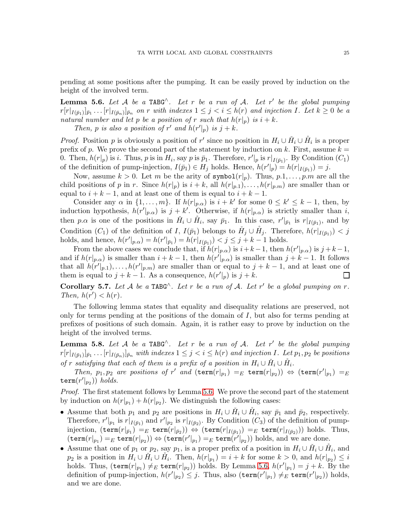pending at some positions after the pumping. It can be easily proved by induction on the height of the involved term.

<span id="page-25-0"></span>**Lemma 5.6.** Let A be a TABG<sup> $\wedge$ </sup>. Let r be a run of A. Let r' be the global pumping  $r[r|_{I(\bar{p}_1)}]_{\bar{p}_1} \ldots [r|_{I(\bar{p}_n)}]_{\bar{p}_n}$  on r with indexes  $1 \leq j \leq i \leq h(r)$  and injection I. Let  $k \geq 0$  be a natural number and let p be a position of r such that  $h(r|p)$  is  $i + k$ .

Then, p is also a position of r' and  $h(r'|_p)$  is  $j + k$ .

*Proof.* Position p is obviously a position of r' since no position in  $H_i \cup \check{H}_i \cup \check{H}_i$  is a proper prefix of p. We prove the second part of the statement by induction on k. First, assume  $k =$ 0. Then,  $h(r|_p)$  is *i*. Thus, *p* is in  $H_i$ , say *p* is  $\bar{p}_1$ . Therefore,  $r'|_p$  is  $r|_{I(\bar{p}_1)}$ . By Condition  $(C_1)$ of the definition of pump-injection,  $I(\bar{p}_1) \in H_j$  holds. Hence,  $h(r'|_p) = h(r|_{I(\bar{p}_1)}) = j$ .

Now, assume  $k > 0$ . Let m be the arity of symbol( $r|_p$ ). Thus,  $p, 1, \ldots, p, m$  are all the child positions of p in r. Since  $h(r|p)$  is  $i + k$ , all  $h(r|p,1), \ldots, h(r|p,m)$  are smaller than or equal to  $i + k - 1$ , and at least one of them is equal to  $i + k - 1$ .

Consider any  $\alpha$  in  $\{1, \ldots, m\}$ . If  $h(r|_{p,\alpha})$  is  $i + k'$  for some  $0 \leq k' \leq k - 1$ , then, by induction hypothesis,  $h(r'|_{p,\alpha})$  is  $j + k'$ . Otherwise, if  $h(r|_{p,\alpha})$  is strictly smaller than i, then p.a is one of the positions in  $\check{H}_i \cup \mathring{H}_i$ , say  $\bar{p}_1$ . In this case,  $r'|_{\bar{p}_1}$  is  $r|_{I(\bar{p}_1)}$ , and by Condition  $(C_1)$  of the definition of I,  $I(\bar{p}_1)$  belongs to  $\check{H}_j \cup \mathring{H}_j$ . Therefore,  $h(r|_{I(\bar{p}_1)}) < j$ holds, and hence,  $h(r'|_{p,\alpha}) = h(r'|_{\bar{p}_1}) = h(r|_{I(\bar{p}_1)}) < j \le j + k - 1$  holds.

From the above cases we conclude that, if  $h(r|_{p,\alpha})$  is  $i+k-1$ , then  $h(r'|_{p,\alpha})$  is  $j+k-1$ , and if  $h(r|_{p,\alpha})$  is smaller than  $i + k - 1$ , then  $h(r^{\prime}|_{p,\alpha})$  is smaller than  $j + k - 1$ . It follows that all  $h(r'|_{p,1}), \ldots, h(r'|_{p,m})$  are smaller than or equal to  $j + k - 1$ , and at least one of them is equal to  $j + k - 1$ . As a consequence,  $h(r'|_p)$  is  $j + k$ .  $\Box$ 

<span id="page-25-2"></span>Corollary 5.7. Let A be a TABG<sup> $\wedge$ </sup>. Let r be a run of A. Let r' be a global pumping on r. Then,  $h(r') < h(r)$ .

The following lemma states that equality and disequality relations are preserved, not only for terms pending at the positions of the domain of  $I$ , but also for terms pending at prefixes of positions of such domain. Again, it is rather easy to prove by induction on the height of the involved terms.

<span id="page-25-1"></span>**Lemma 5.8.** Let  $A$  be a TABG<sup> $\wedge$ </sup>. Let  $r$  be a run of  $A$ . Let  $r'$  be the global pumping  $r[r|_{I(\bar{p}_1)}]_{\bar{p}_1} \ldots [r|_{I(\bar{p}_n)}]_{\bar{p}_n}$  with indexes  $1 \leq j < i \leq h(r)$  and injection I. Let  $p_1, p_2$  be positions of r satisfying that each of them is a prefix of a position in  $H_i \cup \check{H}_i \cup \mathring{H}_i$ .

Then,  $p_1, p_2$  are positions of r' and  $(\text{term}(r|_{p_1}) =_E \text{term}(r|_{p_2})) \Leftrightarrow (\text{term}(r'|_{p_1}) =_E$  $\texttt{term}(r'|_{p_2})$  holds.

Proof. The first statement follows by Lemma [5.6.](#page-25-0) We prove the second part of the statement by induction on  $h(r|_{p_1}) + h(r|_{p_2})$ . We distinguish the following cases:

- Assume that both  $p_1$  and  $p_2$  are positions in  $H_i \cup \tilde{H}_i \cup \tilde{H}_i$ , say  $\bar{p}_1$  and  $\bar{p}_2$ , respectively. Therefore,  $r'|_{p_1}$  is  $r|_{I(\bar{p}_1)}$  and  $r'|_{p_2}$  is  $r|_{I(\bar{p}_2)}$ . By Condition  $(C_3)$  of the definition of pumpinjection,  $(\texttt{term}(r|_{\bar{p}_1}) =_E \texttt{term}(r|_{\bar{p}_2})) \Leftrightarrow (\texttt{term}(r|_{I(\bar{p}_1)}) =_E \texttt{term}(r|_{I(\bar{p}_2)})) \text{ holds. Thus,}$  $(\texttt{term}(r|_{p_1}) =_E \texttt{term}(r|_{p_2})) \Leftrightarrow (\texttt{term}(r'|_{p_1}) =_E \texttt{term}(r'|_{p_2}))$  holds, and we are done.
- Assume that one of  $p_1$  or  $p_2$ , say  $p_1$ , is a proper prefix of a position in  $H_i \cup \check{H}_i \cup \mathring{H}_i$ , and  $p_2$  is a position in  $H_i \cup \check{H}_i \cup \mathring{H}_i$ . Then,  $h(r|_{p_1}) = i + k$  for some  $k > 0$ , and  $h(r|_{p_2}) \leq i$ holds. Thus,  $(\text{term}(r|_{p_1}) \neq_E \text{term}(r|_{p_2}))$  holds. By Lemma [5.6,](#page-25-0)  $h(r'|_{p_1}) = j + k$ . By the definition of pump-injection,  $h(r'|_{p_2}) \leq j$ . Thus, also  $(\text{term}(r'|_{p_1}) \neq_E \text{term}(r'|_{p_2}))$  holds, and we are done.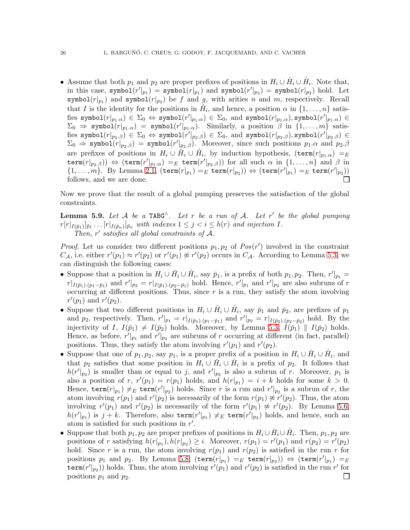• Assume that both  $p_1$  and  $p_2$  are proper prefixes of positions in  $H_i \cup \tilde{H}_i \cup \tilde{H}_i$ . Note that, in this case,  $\texttt{symbol}(r'|_{p_1}) = \texttt{symbol}(r|_{p_1})$  and  $\texttt{symbol}(r'|_{p_2}) = \texttt{symbol}(r|_{p_2})$  hold. Let symbol $(r|_{p_1})$  and symbol $(r|_{p_2})$  be f and g, with arities n and m, respectively. Recall that I is the identity for the positions in  $H_i$ , and hence, a position  $\alpha$  in  $\{1, \ldots, n\}$  satisfies  $\texttt{symbol}(r|_{p_1.\alpha}) \in \Sigma_0 \Leftrightarrow \texttt{symbol}(r'|_{p_1.\alpha}) \in \Sigma_0$ , and  $\texttt{symbol}(r|_{p_1.\alpha})$ ,  $\texttt{symbol}(r'|_{p_1.\alpha}) \in$  $\Sigma_0 \Rightarrow \texttt{symbol}(r|_{p_1.\alpha}) = \texttt{symbol}(r'|_{p_1.\alpha}).$  Similarly, a position  $\beta$  in  $\{1,\ldots,m\}$  satis $f$ ies symbol $(r|_{p_2.\beta}) \in \Sigma_0 \Leftrightarrow$  symbol $(r'|_{p_2.\beta}) \in \Sigma_0,$  and symbol $(r|_{p_2.\beta}),$ symbol $(r'|_{p_2.\beta}) \in$  $\Sigma_0 \Rightarrow$  symbol $(r|_{p_2,\beta}) =$  symbol $(r'|_{p_2,\beta})$ . Moreover, since such positions  $p_1.\alpha$  and  $p_2.\beta$ are prefixes of positions in  $H_i \cup \check{H}_i \cup \mathring{H}_i$ , by induction hypothesis,  $(\text{term}(r|_{p_1,\alpha}) =_E$  $\texttt{term}(r|_{p_2.\beta})) \Leftrightarrow (\texttt{term}(r'|_{p_1.\alpha}) =_E \texttt{term}(r'|_{p_2.\beta})) \text{ for all such $\alpha$ in } \{1,\ldots,n\}$ and $\beta$ in }$  $\{1,\ldots,m\}$ . By Lemma [2.1,](#page-5-0)  $(\text{term}(r|_{p_1})=E \text{ term}(r|_{p_2})) \Leftrightarrow (\text{term}(r'|_{p_1})=E \text{ term}(r'|_{p_2}))$ follows, and we are done. П

Now we prove that the result of a global pumping preserves the satisfaction of the global constraints.

**Lemma 5.9.** Let A be a TABG<sup> $\wedge$ </sup>. Let r be a run of A. Let r' be the global pumping  $r[r|_{I(\bar{p}_1)}]_{\bar{p}_1} \ldots [r|_{I(\bar{p}_n)}]_{\bar{p}_n}$  with indexes  $1 \leq j < i \leq h(r)$  and injection I. Then,  $r'$  satisfies all global constraints of A.

*Proof.* Let us consider two different positions  $p_1, p_2$  of  $Pos(r')$  involved in the constraint  $C_A$ , i.e. either  $r'(p_1) \approx r'(p_2)$  or  $r'(p_1) \not\approx r'(p_2)$  occurs in  $C_A$ . According to Lemma [5.3,](#page-23-4) we can distinguish the following cases:

- Suppose that a position in  $H_i \cup \check{H}_i \cup \mathring{H}_i$ , say  $\bar{p}_1$ , is a prefix of both  $p_1, p_2$ . Then,  $r'|_{p_1} =$  $r|_{I(\bar{p}_1),(p_1-\bar{p}_1)}$  and  $r'|_{p_2}=r|_{I(\bar{p}_1),(p_2-\bar{p}_1)}$  hold. Hence,  $r'|_{p_1}$  and  $r'|_{p_2}$  are also subruns of r occurring at different positions. Thus, since  $r$  is a run, they satisfy the atom involving  $r'(p_1)$  and  $r'(p_2)$ .
- Suppose that two different positions in  $H_i \cup \check{H}_i \cup \check{H}_i$ , say  $\bar{p}_1$  and  $\bar{p}_2$ , are prefixes of  $p_1$ and  $p_2$ , respectively. Then,  $r'|_{p_1} = r|_{I(\bar{p}_1) \cdot (p_1 - \bar{p}_1)}$  and  $r'|_{p_2} = r|_{I(\bar{p}_2) \cdot (p_2 - \bar{p}_2)}$  hold. By the injectivity of I,  $I(\bar{p}_1) \neq I(\bar{p}_2)$  holds. Moreover, by Lemma [5.3,](#page-23-4)  $I(\bar{p}_1) \parallel I(\bar{p}_2)$  holds. Hence, as before,  $r'|_{p_1}$  and  $r'|_{p_2}$  are subruns of r occurring at different (in fact, parallel) positions. Thus, they satisfy the atom involving  $r'(p_1)$  and  $r'(p_2)$ .
- Suppose that one of  $p_1, p_2$ , say  $p_1$ , is a proper prefix of a position in  $H_i \cup \check{H}_i \cup \check{H}_i$ , and that  $p_2$  satisfies that some position in  $H_i \cup \check{H}_i \cup \check{H}_i$  is a prefix of  $p_2$ . It follows that  $h(r'|_{p_2})$  is smaller than or equal to j, and  $r'|_{p_2}$  is also a subrun of r. Moreover,  $p_1$  is also a position of r,  $r'(p_1) = r(p_1)$  holds, and  $h(r|_{p_1}) = i + k$  holds for some  $k > 0$ . Hence,  $\texttt{term}(r|_{p_1}) \neq_E \texttt{term}(r'|_{p_2})$  holds. Since r is a run and  $r'|_{p_2}$  is a subrun of r, the atom involving  $r(p_1)$  and  $r'(p_2)$  is necessarily of the form  $r(p_1) \not\approx r'(p_2)$ . Thus, the atom involving  $r'(p_1)$  and  $r'(p_2)$  is necessarily of the form  $r'(p_1) \not\approx r'(p_2)$ . By Lemma [5.6,](#page-25-0)  $h(r'|_{p_1})$  is  $j + k$ . Therefore, also term $(r'|_{p_1}) \neq_E$  term $(r'|_{p_2})$  holds, and hence, such an atom is satisfied for such positions in  $r'$ .
- Suppose that both  $p_1, p_2$  are proper prefixes of positions in  $H_i \cup \check{H}_i \cup \check{H}_i$ . Then,  $p_1, p_2$  are positions of r satisfying  $h(r|_{p_1}), h(r|_{p_2}) \geq i$ . Moreover,  $r(p_1) = r'(p_1)$  and  $r(p_2) = r'(p_2)$ hold. Since r is a run, the atom involving  $r(p_1)$  and  $r(p_2)$  is satisfied in the run r for positions  $p_1$  and  $p_2$ . By Lemma [5.8,](#page-25-1)  $(\texttt{term}(r|_{p_1}) =_E \texttt{term}(r|_{p_2})) \Leftrightarrow (\texttt{term}(r'|_{p_1}) =_E$ term $(r'|_{p_2})$  holds. Thus, the atom involving  $r'(p_1)$  and  $r'(p_2)$  is satisfied in the run r' for positions  $p_1$  and  $p_2$ .  $\Box$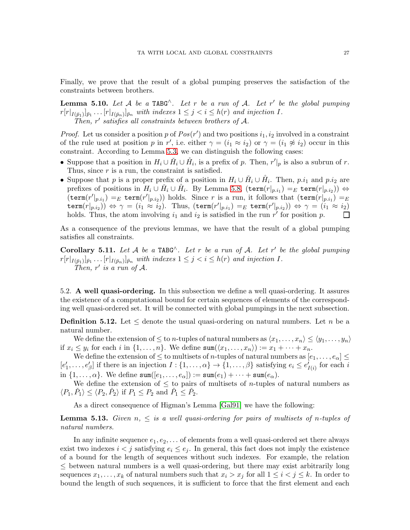Finally, we prove that the result of a global pumping preserves the satisfaction of the constraints between brothers.

**Lemma 5.10.** Let  $A$  be a TABG<sup> $\wedge$ </sup>. Let  $r$  be a run of  $A$ . Let  $r'$  be the global pumping  $r[r|_{I(\bar{p}_1)}]_{\bar{p}_1} \ldots [r|_{I(\bar{p}_n)}]_{\bar{p}_n}$  with indexes  $1 \leq j < i \leq h(r)$  and injection I. Then,  $r'$  satisfies all constraints between brothers of A.

*Proof.* Let us consider a position p of  $Pos(r')$  and two positions  $i_1, i_2$  involved in a constraint of the rule used at position p in r', i.e. either  $\gamma = (i_1 \approx i_2)$  or  $\gamma = (i_1 \not\approx i_2)$  occur in this constraint. According to Lemma [5.3,](#page-23-4) we can distinguish the following cases:

- Suppose that a position in  $H_i \cup \check{H}_i \cup \check{H}_i$ , is a prefix of p. Then,  $r'|_p$  is also a subrun of r. Thus, since  $r$  is a run, the constraint is satisfied.
- Suppose that p is a proper prefix of a position in  $H_i \cup \check{H}_i \cup \check{H}_i$ . Then, p.i<sub>1</sub> and p.i<sub>2</sub> are prefixes of positions in  $H_i\cup\check{H}_i\cup\mathring{H}_i$ . By Lemma [5.8,](#page-25-1)  $(\texttt{term}(r|_{p.i_1})=_E \texttt{term}(r|_{p.i_2})) \Leftrightarrow$  $(\texttt{term}(r'|_{p.i_1}) =_E \texttt{term}(r'|_{p.i_2}))$  holds. Since r is a run, it follows that  $(\texttt{term}(r|_{p.i_1}) =_E$  $\texttt{term}(r|_{p,i_2})) \Leftrightarrow \gamma = (i_1 \approx i_2). \text{ Thus, } (\texttt{term}(r'|_{p.i_1}) =_E \texttt{term}(r'|_{p.i_2})) \Leftrightarrow \gamma = (i_1 \approx i_2).$ holds. Thus, the atom involving  $i_1$  and  $i_2$  is satisfied in the run  $r<sup>j</sup>$  for position p.  $\perp$

As a consequence of the previous lemmas, we have that the result of a global pumping satisfies all constraints.

<span id="page-27-1"></span>Corollary 5.11. Let  $A$  be a TABG<sup> $\wedge$ </sup>. Let r be a run of  $A$ . Let r' be the global pumping  $r[r|_{I(\bar{p}_1)}]_{\bar{p}_1} \ldots [r|_{I(\bar{p}_n)}]_{\bar{p}_n}$  with indexes  $1 \leq j < i \leq h(r)$  and injection I. Then,  $r'$  is a run of  $A$ .

<span id="page-27-0"></span>5.2. A well quasi-ordering. In this subsection we define a well quasi-ordering. It assures the existence of a computational bound for certain sequences of elements of the corresponding well quasi-ordered set. It will be connected with global pumpings in the next subsection.

**Definition 5.12.** Let  $\leq$  denote the usual quasi-ordering on natural numbers. Let n be a natural number.

We define the extension of  $\leq$  to *n*-tuples of natural numbers as  $\langle x_1, \ldots, x_n \rangle \leq \langle y_1, \ldots, y_n \rangle$ if  $x_i \leq y_i$  for each i in  $\{1, \ldots, n\}$ . We define  $\text{sum}(\langle x_1, \ldots, x_n \rangle) := x_1 + \cdots + x_n$ .

We define the extension of  $\leq$  to multisets of *n*-tuples of natural numbers as  $[e_1, \ldots, e_\alpha] \leq$  $[e'_1,\ldots,e'_\beta]$  if there is an injection  $I:\{1,\ldots,\alpha\}\to\{1,\ldots,\beta\}$  satisfying  $e_i\leq e'_{I(i)}$  for each i in  $\{1,\ldots,\alpha\}$ . We define  $\texttt{sum}([e_1,\ldots,e_\alpha]) := \texttt{sum}(e_1) + \cdots + \texttt{sum}(e_\alpha)$ .

We define the extension of  $\leq$  to pairs of multisets of *n*-tuples of natural numbers as  $\langle P_1, \check{P}_1 \rangle \leq \langle P_2, \check{P}_2 \rangle$  if  $P_1 \leq P_2$  and  $\check{P}_1 \leq \check{P}_2$ .

As a direct consequence of Higman's Lemma [\[Gal91\]](#page-38-13) we have the following:

**Lemma 5.13.** Given  $n, \leq$  is a well quasi-ordering for pairs of multisets of n-tuples of natural numbers.

In any infinite sequence  $e_1, e_2, \ldots$  of elements from a well quasi-ordered set there always exist two indexes  $i < j$  satisfying  $e_i \leq e_j$ . In general, this fact does not imply the existence of a bound for the length of sequences without such indexes. For example, the relation  $\leq$  between natural numbers is a well quasi-ordering, but there may exist arbitrarily long sequences  $x_1, \ldots, x_k$  of natural numbers such that  $x_i > x_j$  for all  $1 \leq i < j \leq k$ . In order to bound the length of such sequences, it is sufficient to force that the first element and each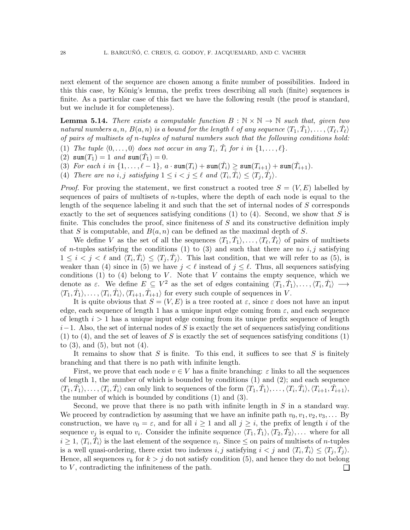next element of the sequence are chosen among a finite number of possibilities. Indeed in this this case, by König's lemma, the prefix trees describing all such (finite) sequences is finite. As a particular case of this fact we have the following result (the proof is standard, but we include it for completeness).

<span id="page-28-0"></span>**Lemma 5.14.** There exists a computable function  $B : \mathbb{N} \times \mathbb{N} \to \mathbb{N}$  such that, given two natural numbers  $a,n$ ,  $B(a,n)$  is a bound for the length  $\ell$  of any sequence  $\langle T_1,\check{T}_1\rangle,\ldots,\langle T_\ell,\check{T}_\ell\rangle$ of pairs of multisets of n-tuples of natural numbers such that the following conditions hold:

- (1) The tuple  $\langle 0, \ldots, 0 \rangle$  does not occur in any  $T_i$ ,  $\check{T}_i$  for i in  $\{1, \ldots, \ell\}$ .
- (2)  $\text{sum}(T_1) = 1$  and  $\text{sum}(\check{T}_1) = 0$ .
- (3) For each i in  $\{1,\ldots,\ell-1\}$ ,  $a \cdot \text{sum}(T_i) + \text{sum}(\check{T}_i) \geq \text{sum}(T_{i+1}) + \text{sum}(\check{T}_{i+1})$ .
- (4) There are no i, j satisfying  $1 \leq i < j \leq \ell$  and  $\langle T_i, \check{T}_i \rangle \leq \langle T_j, \check{T}_j \rangle$ .

*Proof.* For proving the statement, we first construct a rooted tree  $S = (V, E)$  labelled by sequences of pairs of multisets of  $n$ -tuples, where the depth of each node is equal to the length of the sequence labeling it and such that the set of internal nodes of S corresponds exactly to the set of sequences satisfying conditions  $(1)$  to  $(4)$ . Second, we show that S is finite. This concludes the proof, since finiteness of  $S$  and its constructive definition imply that S is computable, and  $B(a, n)$  can be defined as the maximal depth of S.

We define V as the set of all the sequences  $\langle T_1, \check{T}_1 \rangle, \ldots, \langle T_\ell, \check{T}_\ell \rangle$  of pairs of multisets of *n*-tuples satisfying the conditions (1) to (3) and such that there are no  $i, j$  satisfying  $1 \leq i \leq j \leq \ell$  and  $\langle T_i, \check{T}_i \rangle \leq \langle T_j, \check{T}_j \rangle$ . This last condition, that we will refer to as (5), is weaker than (4) since in (5) we have  $j < \ell$  instead of  $j \leq \ell$ . Thus, all sequences satisfying conditions  $(1)$  to  $(4)$  belong to V. Note that V contains the empty sequence, which we denote as  $\varepsilon$ . We define  $E \subseteq V^2$  as the set of edges containing  $\langle T_1, \check{T}_1 \rangle, \ldots, \langle T_i, \check{T}_i \rangle \longrightarrow$  $\langle T_1, \check{T}_1 \rangle, \ldots, \langle T_i, \check{T}_i \rangle, \langle T_{i+1}, \check{T}_{i+1} \rangle$  for every such couple of sequences in V.

It is quite obvious that  $S = (V, E)$  is a tree rooted at  $\varepsilon$ , since  $\varepsilon$  does not have an input edge, each sequence of length 1 has a unique input edge coming from  $\varepsilon$ , and each sequence of length  $i > 1$  has a unique input edge coming from its unique prefix sequence of length  $i-1$ . Also, the set of internal nodes of S is exactly the set of sequences satisfying conditions (1) to (4), and the set of leaves of S is exactly the set of sequences satisfying conditions (1) to  $(3)$ , and  $(5)$ , but not  $(4)$ .

It remains to show that  $S$  is finite. To this end, it suffices to see that  $S$  is finitely branching and that there is no path with infinite length.

First, we prove that each node  $v \in V$  has a finite branching:  $\varepsilon$  links to all the sequences of length 1, the number of which is bounded by conditions  $(1)$  and  $(2)$ ; and each sequence  $\langle T_1, \check{T}_1 \rangle, \ldots, \langle T_i, \check{T}_i \rangle$  can only link to sequences of the form  $\langle T_1, \check{T}_1 \rangle, \ldots, \langle T_i, \check{T}_i \rangle, \langle T_{i+1}, \check{T}_{i+1} \rangle$ , the number of which is bounded by conditions (1) and (3).

Second, we prove that there is no path with infinite length in  $S$  in a standard way. We proceed by contradiction by assuming that we have an infinite path  $v_0, v_1, v_2, v_3, \ldots$  By construction, we have  $v_0 = \varepsilon$ , and for all  $i \ge 1$  and all  $j \ge i$ , the prefix of length i of the sequence  $v_j$  is equal to  $v_i$ . Consider the infinite sequence  $\langle T_1, \check{T}_1 \rangle, \langle T_2, \check{T}_2 \rangle, \dots$  where for all  $i \geq 1, \langle T_i, \check{T}_i \rangle$  is the last element of the sequence  $v_i$ . Since  $\leq$  on pairs of multisets of *n*-tuples is a well quasi-ordering, there exist two indexes  $i, j$  satisfying  $i < j$  and  $\langle T_i, \check{T}_i \rangle \leq \langle T_j, \check{T}_j \rangle$ . Hence, all sequences  $v_k$  for  $k > j$  do not satisfy condition (5), and hence they do not belong to  $V$ , contradicting the infiniteness of the path.  $\Box$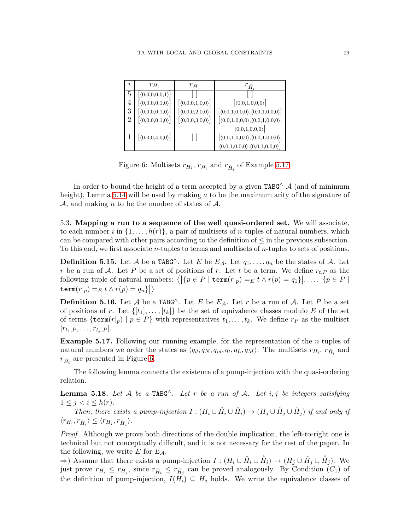| Ì.             | $r_{H_i}$                       | $r_{\check{H}_i}$                            | $r_{\mathring{H}_i}$                                                    |
|----------------|---------------------------------|----------------------------------------------|-------------------------------------------------------------------------|
| 5              | $ \langle 0,0,0,0,0,1\rangle $  |                                              |                                                                         |
| 4              | $[\langle 0,0,0,0,1,0 \rangle]$ | $[\langle 0,0,0,1,0,0 \rangle]$              | $\left[ \langle 0,0,1,0,0,0 \rangle \right]$                            |
| 3              | $[\langle 0,0,0,0,1,0 \rangle]$ | $\left[ \langle 0,0,0,2,0,0 \rangle \right]$ | $\left[ \langle 0,0,1,0,0,0\rangle, \langle 0,0,1,0,0,0\rangle \right]$ |
| $\overline{2}$ | $[\langle 0,0,0,0,1,0 \rangle]$ | $\left[ \langle 0,0,0,3,0,0 \rangle \right]$ | $\langle 0,0,1,0,0,0 \rangle$ , $\langle 0,0,1,0,0,0 \rangle$ ,         |
|                |                                 |                                              | $\langle 0,0,1,0,0,0 \rangle$                                           |
|                | $[\langle 0,0,0,4,0,0 \rangle]$ |                                              | $\big \langle0,0,1,0,0,0\rangle,\langle0,0,1,0,0,0\rangle,$             |
|                |                                 |                                              | $\langle 0,0,1,0,0,0\rangle,\langle 0,0,1,0,0,0\rangle$                 |

<span id="page-29-2"></span>Figure 6: Multisets  $r_{H_i}$ ,  $r_{\tilde{H}_i}$  and  $r_{\tilde{H}_i}$  of Example [5.17.](#page-29-1)

In order to bound the height of a term accepted by a given TABG^  $\mathcal A$  (and of minimum height), Lemma  $5.14$  will be used by making a to be the maximum arity of the signature of A, and making n to be the number of states of  $A$ .

<span id="page-29-0"></span>5.3. Mapping a run to a sequence of the well quasi-ordered set. We will associate, to each number i in  $\{1, \ldots, h(r)\}\$ , a pair of multisets of *n*-tuples of natural numbers, which can be compared with other pairs according to the definition of  $\leq$  in the previous subsection. To this end, we first associate *n*-tuples to terms and multisets of *n*-tuples to sets of positions.

**Definition 5.15.** Let A be a TABG<sup> $\wedge$ </sup>. Let E be E<sub>A</sub>. Let  $q_1, \ldots, q_n$  be the states of A. Let r be a run of A. Let P be a set of positions of r. Let t be a term. We define  $r_{t,P}$  as the following tuple of natural numbers:  $\langle |\{p \in P \mid \mathtt{term}(r|_p) =_E t \land r(p) = q_1\}|, \ldots, |\{p \in P \mid \mathtt{term}(r|_p) =_E t \land r(p) = q_2\}|$  $\texttt{term}(r|_p) =_E t \wedge r(p) = q_n \} \big|\big>$ 

**Definition 5.16.** Let A be a TABG<sup> $\wedge$ </sup>. Let E be  $E_A$ . Let r be a run of A. Let P be a set of positions of r. Let  $\{[t_1], \ldots, [t_k]\}$  be the set of equivalence classes modulo E of the set of terms  $\{\text{term}(r|p) \mid p \in P\}$  with representatives  $t_1, \ldots, t_k$ . We define  $r_p$  as the multiset  $[r_{t_1,P},\ldots,r_{t_k,P}].$ 

<span id="page-29-1"></span>Example 5.17. Following our running example, for the representation of the n-tuples of natural numbers we order the states as  $\langle q_d, q_N, q_{id}, q_t, q_L, q_M \rangle$ . The multisets  $r_{H_i}, r_{\tilde{H}_i}$  and  $r_{\hat{H}_i}$  are presented in Figure [6.](#page-29-2)

The following lemma connects the existence of a pump-injection with the quasi-ordering relation.

<span id="page-29-3"></span>**Lemma 5.18.** Let A be a TABG<sup> $\wedge$ </sup>. Let r be a run of A. Let i, j be integers satisfying  $1 \leq j < i \leq h(r)$ .

Then, there exists a pump-injection  $I: (H_i \cup \check{H}_i \cup \check{H}_i) \to (H_j \cup \check{H}_j \cup \check{H}_j)$  if and only if  $\langle r_{H_i}, r_{\check{H}_i} \rangle \leq \langle r_{H_j}, r_{\check{H}_j} \rangle.$ 

Proof. Although we prove both directions of the double implication, the left-to-right one is technical but not conceptually difficult, and it is not necessary for the rest of the paper. In the following, we write  $E$  for  $E_A$ .

 $\Rightarrow$ ) Assume that there exists a pump-injection  $I: (H_i \cup \check{H}_i \cup \mathring{H}_i) \rightarrow (H_j \cup \mathring{H}_j \cup \mathring{H}_j)$ . We just prove  $r_{H_i} \leq r_{H_j}$ , since  $r_{\tilde{H}_i} \leq r_{\tilde{H}_j}$  can be proved analogously. By Condition  $(C_1)$  of the definition of pump-injection,  $I(H_i) \subseteq H_j$  holds. We write the equivalence classes of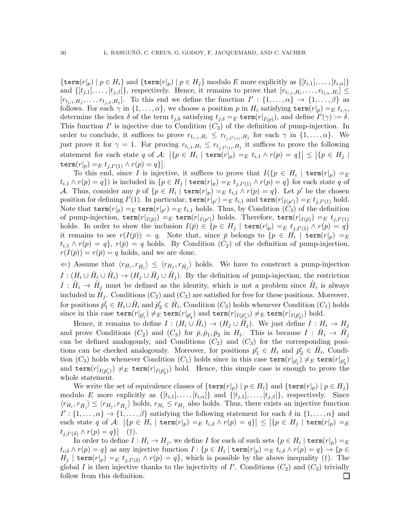$\{\texttt{term}(r|p) \mid p \in H_i\}$  and  $\{\texttt{term}(r|p) \mid p \in H_i\}$  modulo E more explicitly as  $\{[t_{i,1}], \ldots, [t_{i,\alpha}]\}$ and  $\{[t_{j,1}], \ldots, [t_{j,\beta}]\}$ , respectively. Hence, it remains to prove that  $[r_{t_{i,1},H_i}, \ldots, r_{t_{i,\alpha},H_i}] \leq$  $[r_{t_{j,1},H_j},\ldots,r_{t_{j,\beta},H_j}]$ . To this end we define the function  $I':\{1,\ldots,\alpha\}\to\{1,\ldots,\beta\}$  as follows. For each  $\gamma$  in  $\{1,\ldots,\alpha\}$ , we choose a position p in  $H_i$  satisfying  $\texttt{term}(r|_p) =_E t_{i,\gamma}$ , determine the index  $\delta$  of the term  $t_{j,\delta}$  satisfying  $t_{j,\delta} = E \text{ term}(r|_{I(p)})$ , and define  $I'(\gamma) := \delta$ . This function  $I'$  is injective due to Condition  $(C_3)$  of the definition of pump-injection. In order to conclude, it suffices to prove  $r_{t_{i,\gamma},H_i} \leq r_{t_{j,I'(\gamma)},H_j}$  for each  $\gamma$  in  $\{1,\ldots,\alpha\}$ . We just prove it for  $\gamma = 1$ . For proving  $r_{t_{i,1},H_i} \leq r_{t_{j,I'(1)},H_j}$  it suffices to prove the following statement for each state q of  $\mathcal{A}:$   $|\{p \in H_i \mid \mathbf{term}(r|_p) =_E t_{i,1} \wedge r(p) = q\}| \leq |\{p \in H_j \mid$  $\texttt{term}(r|p) =_E t_{j,I'(1)} \wedge r(p) = q$ .

To this end, since I is injective, it suffices to prove that  $I(\{p \in H_i \mid \text{term}(r|p) = E\})$  $t_{i,1} \wedge r(p) = q$ ) is included in  $\{p \in H_j \mid \mathtt{term}(r|_p) =_E t_{j,I'(1)} \wedge r(p) = q\}$  for each state q of A. Thus, consider any  $\bar{p}$  of  $\{p \in H_i \mid \text{term}(r|_p) =_E t_{i,1} \wedge r(p) = q\}$ . Let  $p'$  be the chosen position for defining  $I'(1)$ . In particular,  $\texttt{term}(r|_{p'}) =_E t_{i,1}$  and  $\texttt{term}(r|_{I(p')}) =_E t_{j,I'(1)}$  hold. Note that  $\mathsf{term}(r|_{\bar{p}}) =_E \mathsf{term}(r|_{p'}) =_E t_{i,1}$  holds. Thus, by Condition  $(C_3)$  of the definition of pump-injection,  $\mathsf{term}(r|_{I(\bar{p})}) =_E \mathsf{term}(r|_{I(p')})$  holds. Therefore,  $\mathsf{term}(r|_{I(\bar{p})}) =_E t_{j,I'(1)}$ holds. In order to show the inclusion  $I(\bar{p}) \in \{p \in H_j \mid \text{term}(r|_p) =_E t_{j,I'(1)} \wedge r(p) = q\}$ it remains to see  $r(I(\bar{p})) = q$ . Note that, since  $\bar{p}$  belongs to  $\{p \in H_i \mid \mathtt{term}(r|_p) =_E \}$  $t_{i,1} \wedge r(p) = q$ ,  $r(\bar{p}) = q$  holds. By Condition  $(C_2)$  of the definition of pump-injection,  $r(I(\bar{p})) = r(\bar{p}) = q$  holds, and we are done.

 $\langle \Leftarrow \rangle$  Assume that  $\langle r_{H_i}, r_{\check{H}_i} \rangle \leq \langle r_{H_j}, r_{\check{H}_j} \rangle$  holds. We have to construct a pump-injection  $I: (H_i \cup \check{H}_i \cup \mathring{H}_i) \to (H_j \cup \check{H}_j \cup \mathring{H}_j)$ . By the definition of pump-injection, the restriction  $I: \mathring{H}_i \to \mathring{H}_j$  must be defined as the identity, which is not a problem since  $\mathring{H}_i$  is always included in  $H_j$ . Conditions  $(C_2)$  and  $(C_3)$  are satisfied for free for these positions. Moreover, for positions  $\bar{p}'_1 \in H_i \cup \check{H}_i$  and  $\bar{p}'_2 \in \mathring{H}_i$ , Condition  $(C_3)$  holds whenever Condition  $(C_1)$  holds since in this case  $\texttt{term}(r|_{\bar{p}'_1}) \neq_E \texttt{term}(r|_{\bar{p}'_2})$  and  $\texttt{term}(r|_{I(\bar{p}'_1)}) \neq_E \texttt{term}(r|_{I(\bar{p}'_2)})$  hold.

Hence, it remains to define  $I: (H_i \cup \check{H}_i) \to (H_j \cup \check{H}_j)$ . We just define  $I: H_i \to H_j$ and prove Conditions  $(C_2)$  and  $(C_3)$  for  $\bar{p}, \bar{p}_1, \bar{p}_2$  in  $H_i$ . This is because  $I : H_i \to H_j$ can be defined analogously, and Conditions  $(C_2)$  and  $(C_3)$  for the corresponding positions can be checked analogously. Moreover, for positions  $\bar{p}'_1 \in H_i$  and  $\bar{p}'_2 \in H_i$ , Condition  $(C_3)$  holds whenever Condition  $(C_1)$  holds since in this case  $\texttt{term}(r|_{\bar{p}'_1}) \neq_E \texttt{term}(r|_{\bar{p}'_2})$ and  $\text{term}(r|_{I(\bar{p}'_1)}) \neq_E \text{term}(r|_{I(\bar{p}'_2)})$  hold. Hence, this simple case is enough to prove the whole statement.

We write the set of equivalence classes of  $\{\texttt{term}(r|p) \mid p \in H_i\}$  and  $\{\texttt{term}(r|p) \mid p \in H_i\}$ modulo E more explicitly as  $\{[t_{i,1}], \ldots, [t_{i,\alpha}]\}$  and  $\{[t_{j,1}], \ldots, [t_{j,\beta}]\}$ , respectively. Since  $\langle r_{H_i}, r_{\tilde{H}_i} \rangle \le \langle r_{H_j}, r_{\tilde{H}_j} \rangle$  holds,  $r_{H_i} \le r_{H_j}$  also holds. Thus, there exists an injective function  $I':\{1,\ldots,\alpha\}\to\{1,\ldots,\beta\}$  satisfying the following statement for each  $\delta$  in  $\{1,\ldots,\alpha\}$  and each state q of  $\mathcal{A}:$   $|\{p \in H_i \mid \mathtt{term}(r|_p)=_E t_{i,\delta} \land r(p)=q\}| \leq |\{p \in H_j \mid \mathtt{term}(r|_p)=_E t_{i,\delta} \land r(p)=_E t_{i,\delta} \land r(p)=_E t_{i,\delta}$  $t_{j,I'(\delta)} \wedge r(p) = q \}$  (†).

In order to define  $I: H_i \to H_j,$  we define  $I$  for each of such sets  $\{p \in H_i \mid \mathtt{term}(r|_p)=_{E}$  $t_{i,\delta}\wedge r(p)=q\}$  as any injective function  $I:\{p\in H_i\mid \mathtt{term}(r|_p)=_E t_{i,\delta}\wedge r(p)=q\}\rightarrow \{p\in H_i\mid \mathtt{term}(r|_p)=_E t_{i,\delta}\wedge r(p)=q\}$  $H_j$  | term $(r|_p) =_E t_{j,I'(\delta)} \wedge r(p) = q$ , which is possible by the above inequality (†). The global I is then injective thanks to the injectivity of  $I'$ . Conditions  $(C_2)$  and  $(C_3)$  trivially follow from this definition. $\Box$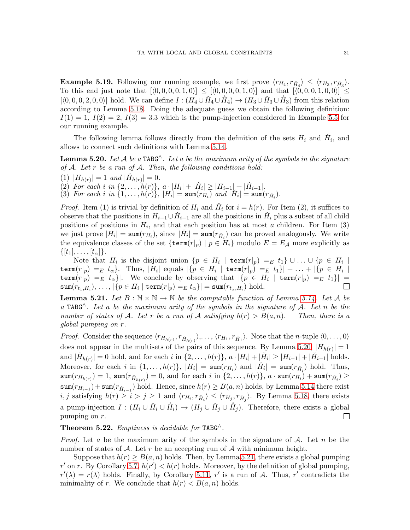**Example 5.19.** Following our running example, we first prove  $\langle r_{H_4}, r_{\tilde{H}_4} \rangle \leq \langle r_{H_3}, r_{\tilde{H}_3} \rangle$ . To this end just note that  $[\langle 0, 0, 0, 0, 1, 0 \rangle] \leq [\langle 0, 0, 0, 0, 1, 0 \rangle]$  and that  $[\langle 0, 0, 0, 1, 0, 0 \rangle] \leq$  $[\langle 0, 0, 0, 2, 0, 0 \rangle]$  hold. We can define  $I : (H_4 \cup \check{H}_4 \cup \check{H}_4) \to (H_3 \cup \check{H}_3 \cup \check{H}_3)$  from this relation according to Lemma [5.18.](#page-29-3) Doing the adequate guess we obtain the following definition:  $I(1) = 1, I(2) = 2, I(3) = 3.3$  which is the pump-injection considered in Example [5.5](#page-24-0) for our running example.

The following lemma follows directly from the definition of the sets  $H_i$  and  $\check{H}_i$ , and allows to connect such definitions with Lemma [5.14.](#page-28-0)

<span id="page-31-0"></span>**Lemma 5.20.** Let A be a TABG<sup> $\wedge$ </sup>. Let a be the maximum arity of the symbols in the signature of  $A$ . Let r be a run of  $A$ . Then, the following conditions hold:

(1)  $|H_{h(r)}| = 1$  and  $|\check{H}_{h(r)}| = 0$ .

(2) For each i in  $\{2,\ldots,h(r)\}\$ ,  $a\cdot|H_i|+|\check{H}_i|\geq|H_{i-1}|+|\check{H}_{i-1}|.$ 

(3) For each i in  $\{1,\ldots,h(r)\}$ ,  $|H_i| = \text{sum}(r_{H_i})$  and  $|H_i| = \text{sum}(r_{\tilde{H}_i})$ .

*Proof.* Item (1) is trivial by definition of  $H_i$  and  $\check{H}_i$  for  $i = h(r)$ . For Item (2), it suffices to observe that the positions in  $H_{i-1} \cup \check{H}_{i-1}$  are all the positions in  $\check{H}_i$  plus a subset of all child positions of positions in  $H_i$ , and that each position has at most a children. For Item (3) we just prove  $|H_i| = \text{sum}(r_{H_i})$ , since  $|\check{H}_i| = \text{sum}(r_{\check{H}_i})$  can be proved analogously. We write the equivalence classes of the set  $\{\text{term}(r|p) \mid p \in H_i\}$  modulo  $E = E_{\mathcal{A}}$  more explicitly as  $\{|t_1|, \ldots, |t_{\alpha}|\}.$ 

Note that  $H_i$  is the disjoint union  $\{p \in H_i \mid \mathtt{term}(r|_p) =_E t_1\} \cup ... \cup \{p \in H_i \mid$  $\texttt{term}(r|_p) =_E t_\alpha$ }. Thus,  $|H_i|$  equals  $|\{p \in H_i \, \mid \, \texttt{term}(r|_p) =_E t_1\}| + \ldots + |\{p \in H_i \, \mid \, p\}$  $\texttt{term}(r|_p) =_E t_\alpha\}|.$  We conclude by observing that  $|\{p \in H_i \mid \texttt{term}(r|_p) =_E t_1\}| =$  $\Box$  $\texttt{sum}(r_{t_1,H_i}),\ldots,|\{p\in H_i\mid \texttt{term}(r|_p)=_E t_\alpha\}|=\texttt{sum}(r_{t_\alpha,H_i}) \text{ hold.}$ 

<span id="page-31-1"></span>**Lemma 5.21.** Let  $B : \mathbb{N} \times \mathbb{N} \to \mathbb{N}$  be the computable function of Lemma [5.14.](#page-28-0) Let A be a TABG $\hat{\ }$ . Let a be the maximum arity of the symbols in the signature of A. Let n be the number of states of A. Let r be a run of A satisfying  $h(r) > B(a, n)$ . Then, there is a global pumping on r.

*Proof.* Consider the sequence  $\langle r_{H_{h(r)}}, r_{\check{H}_{h(r)}} \rangle$ ,...,  $\langle r_{H_1}, r_{\check{H}_1} \rangle$ . Note that the *n*-tuple  $\langle 0, \ldots, 0 \rangle$ does not appear in the multisets of the pairs of this sequence. By Lemma [5.20,](#page-31-0)  $|H_{h(r)}|=1$ and  $|\check{H}_{h(r)}| = 0$  hold, and for each i in  $\{2, \ldots, h(r)\}, a \cdot |H_i| + |\check{H}_i| \geq |H_{i-1}| + |\check{H}_{i-1}|$  holds. Moreover, for each i in  $\{1,\ldots,h(r)\}\$ ,  $|H_i| = \texttt{sum}(r_{H_i})$  and  $|\check{H}_i| = \texttt{sum}(r_{\check{H}_i})$  hold. Thus,  $\texttt{sum}(r_{H_{h(r)}})=1,\ \texttt{sum}(r_{\check{H}_{h(r)}})=0,\ \text{and for each }i\text{ in }\{2,\ldots,h(r)\},\ a\cdot\texttt{sum}(r_{H_i})+\texttt{sum}(r_{\check{H}_i})\geq 0$  $\text{sum}(r_{H_{i-1}}) + \text{sum}(r_{\check{H}_{i-1}})$  hold. Hence, since  $h(r) \geq B(a, n)$  holds, by Lemma [5.14](#page-28-0) there exist  $i, j$  satisfying  $h(r) \ge i > j \ge 1$  and  $\langle r_{H_i}, r_{\check{H}_i} \rangle \le \langle r_{H_j}, r_{\check{H}_j} \rangle$ . By Lemma [5.18,](#page-29-3) there exists a pump-injection  $I: (H_i \cup \check{H}_i \cup \mathring{H}_i) \to (H_j \cup \check{H}_j \cup \mathring{H}_j)$ . Therefore, there exists a global pumping on r.  $\sqcup$ 

<span id="page-31-2"></span>**Theorem 5.22.** Emptiness is decidable for TABG<sup> $\wedge$ </sup>.

*Proof.* Let a be the maximum arity of the symbols in the signature of A. Let n be the number of states of A. Let r be an accepting run of A with minimum height.

Suppose that  $h(r) > B(a, n)$  holds. Then, by Lemma [5.21,](#page-31-1) there exists a global pumping r' on r. By Corollary [5.7,](#page-25-2)  $h(r') < h(r)$  holds. Moreover, by the definition of global pumping,  $r'(\lambda) = r(\lambda)$  holds. Finally, by Corollary [5.11,](#page-27-1) r' is a run of A. Thus, r' contradicts the minimality of r. We conclude that  $h(r) < B(a, n)$  holds.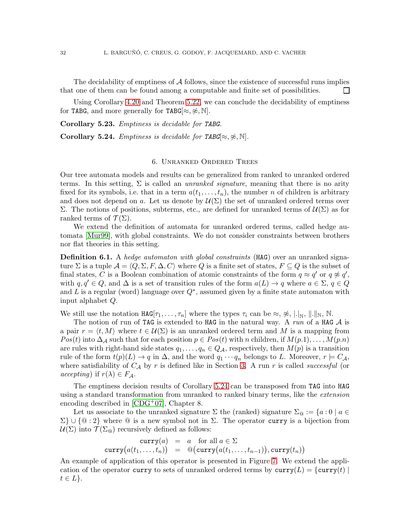The decidability of emptiness of  $A$  follows, since the existence of successful runs implies that one of them can be found among a computable and finite set of possibilities.  $\Box$ 

Using Corollary [4.20](#page-21-1) and Theorem [5.22,](#page-31-2) we can conclude the decidability of emptiness for TABG, and more generally for TABG[ $\approx, \approx, \mathbb{N}$ ].

Corollary 5.23. Emptiness is decidable for TABG.

<span id="page-32-1"></span><span id="page-32-0"></span>Corollary 5.24. Emptiness is decidable for TABG[ $\approx, \approx, \mathbb{N}$ ].

## 6. Unranked Ordered Trees

Our tree automata models and results can be generalized from ranked to unranked ordered terms. In this setting,  $\Sigma$  is called an *unranked signature*, meaning that there is no arity fixed for its symbols, i.e. that in a term  $a(t_1, \ldots, t_n)$ , the number n of children is arbitrary and does not depend on a. Let us denote by  $\mathcal{U}(\Sigma)$  the set of unranked ordered terms over Σ. The notions of positions, subterms, etc., are defined for unranked terms of U(Σ) as for ranked terms of  $\mathcal{T}(\Sigma)$ .

We extend the definition of automata for unranked ordered terms, called hedge automata [\[Mur99\]](#page-38-16), with global constraints. We do not consider constraints between brothers nor flat theories in this setting.

**Definition 6.1.** A hedge automaton with global constraints (HAG) over an unranked signature  $\Sigma$  is a tuple  $\mathcal{A} = \langle Q, \Sigma, F, \Delta, C \rangle$  where Q is a finite set of states,  $F \subseteq Q$  is the subset of final states, C is a Boolean combination of atomic constraints of the form  $q \approx q'$  or  $q \not\approx q'$ , with  $q, q' \in Q$ , and  $\Delta$  is a set of transition rules of the form  $a(L) \to q$  where  $a \in \Sigma$ ,  $q \in Q$ and L is a regular (word) language over  $Q^*$ , assumed given by a finite state automaton with input alphabet Q.

We still use the notation  $\texttt{HAG}[\tau_1, \ldots, \tau_n]$  where the types  $\tau_i$  can be  $\approx, \frac{1}{\mathcal{R}}, \|\cdot\|_{\mathbb{N}}, \|\cdot\|_{\mathbb{N}}, \mathbb{N}.$ 

The notion of run of TAG is extended to HAG in the natural way. A run of a HAG  $\mathcal A$  is a pair  $r = \langle t, M \rangle$  where  $t \in \mathcal{U}(\Sigma)$  is an unranked ordered term and M is a mapping from  $Pos(t)$  into  $\Delta_A$  such that for each position  $p \in Pos(t)$  with n children, if  $M(p,1), \ldots, M(p,n)$ are rules with right-hand side states  $q_1, \ldots, q_n \in Q_{\mathcal{A}}$ , respectively, then  $M(p)$  is a transition rule of the form  $t(p)(L) \to q$  in  $\Delta$ , and the word  $q_1 \cdots q_n$  belongs to L. Moreover,  $r \models C_{\mathcal{A}}$ , where satisfiability of  $C_A$  by r is defined like in Section [3.](#page-6-0) A run r is called successful (or  $accepting)$  if  $r(\lambda) \in F_{\mathcal{A}}$ .

The emptiness decision results of Corollary [5.24](#page-32-1) can be transposed from TAG into HAG using a standard transformation from unranked to ranked binary terms, like the *extension* encoding described in  $[CDG^+07]$ , Chapter 8.

Let us associate to the unranked signature  $\Sigma$  the (ranked) signature  $\Sigma_{\mathcal{Q}} := \{a : 0 \mid a \in \mathcal{Q}\}$  $\Sigma$ } ∪ {@ : 2} where @ is a new symbol not in  $\Sigma$ . The operator curry is a bijection from  $U(\Sigma)$  into  $\mathcal{T}(\Sigma_{\mathcal{Q}})$  recursively defined as follows:

$$
curry(a) = a \text{ for all } a \in \Sigma
$$
  
curry $(a(t_1,...,t_n)) = \mathbb{Q}(curry(a(t_1,...,t_{n-1})), curry(t_n))$ 

An example of application of this operator is presented in Figure [7.](#page-33-1) We extend the application of the operator curry to sets of unranked ordered terms by  $curry(L) = \{curry(t) |$  $t \in L$ .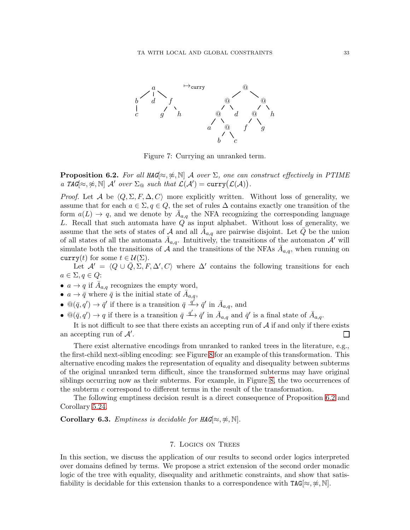

<span id="page-33-1"></span>Figure 7: Currying an unranked term.

<span id="page-33-2"></span>**Proposition 6.2.** For all HAG $\approx$ ,  $\approx$ ,  $\mathbb{N}$  A over  $\Sigma$ , one can construct effectively in PTIME a TAG[ $\approx$ ,  $\approx$ ,  $\mathbb{N}$ ] A' over  $\Sigma_{\mathbb{Q}}$  such that  $\mathcal{L}(\mathcal{A}') = \text{curry}(\mathcal{L}(\mathcal{A}))$ .

*Proof.* Let A be  $\langle Q, \Sigma, F, \Delta, C \rangle$  more explicitly written. Without loss of generality, we assume that for each  $a \in \Sigma, q \in Q$ , the set of rules  $\Delta$  contains exactly one transition of the form  $a(L) \rightarrow q$ , and we denote by  $\bar{A}_{a,q}$  the NFA recognizing the corresponding language L. Recall that such automata have Q as input alphabet. Without loss of generality, we assume that the sets of states of A and all  $\bar{A}_{a,q}$  are pairwise disjoint. Let  $\bar{Q}$  be the union of all states of all the automata  $\bar{A}_{a,q}$ . Intuitively, the transitions of the automaton  $\mathcal{A}'$  will simulate both the transitions of A and the transitions of the NFAs  $\bar{A}_{a,q}$ , when running on curry(t) for some  $t \in \mathcal{U}(\Sigma)$ .

Let  $\mathcal{A}' = \langle Q \cup \overline{Q}, \Sigma, F, \Delta', C \rangle$  where  $\Delta'$  contains the following transitions for each  $a \in \Sigma, q \in Q$ :

- $a \to q$  if  $\bar{A}_{a,q}$  recognizes the empty word,
- $a \to \bar{q}$  where  $\bar{q}$  is the initial state of  $\bar{A}_{a,q}$ ,
- $\mathcal{Q}(\bar{q}, q') \to \bar{q}'$  if there is a transition  $\bar{q} \xrightarrow{\bar{q}'} \bar{q}'$  in  $\bar{A}_{a,q}$ , and
- $\mathbb{Q}(\bar{q}, q') \to q$  if there is a transition  $\bar{q} \xrightarrow{q'} \bar{q}'$  in  $\bar{A}_{a,q}$  and  $\bar{q}'$  is a final state of  $\bar{A}_{a,q}$ .

It is not difficult to see that there exists an accepting run of  $A$  if and only if there exists an accepting run of  $A'$ .  $\mathsf{L}$ 

There exist alternative encodings from unranked to ranked trees in the literature, e.g., the first-child next-sibling encoding: see Figure [8](#page-34-0) for an example of this transformation. This alternative encoding makes the representation of equality and disequality between subterms of the original unranked term difficult, since the transformed subterms may have original siblings occurring now as their subterms. For example, in Figure [8,](#page-34-0) the two occurrences of the subterm c correspond to different terms in the result of the transformation.

The following emptiness decision result is a direct consequence of Proposition [6.2](#page-33-2) and Corollary [5.24.](#page-32-1)

<span id="page-33-0"></span>Corollary 6.3. Emptiness is decidable for  $HAG[\approx, \nless, \mathbb{N}]$ .

## 7. Logics on Trees

In this section, we discuss the application of our results to second order logics interpreted over domains defined by terms. We propose a strict extension of the second order monadic logic of the tree with equality, disequality and arithmetic constraints, and show that satisfiability is decidable for this extension thanks to a correspondence with  $TAG[\approx, \nless, \mathbb{N}]$ .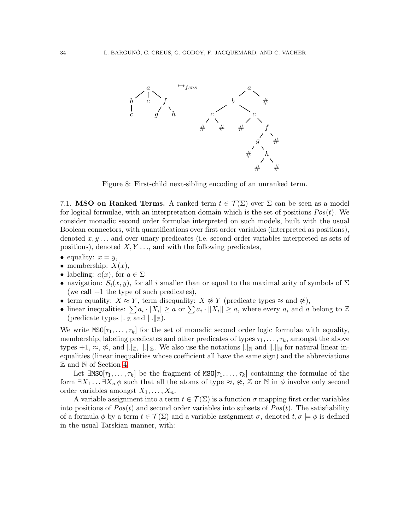

<span id="page-34-0"></span>Figure 8: First-child next-sibling encoding of an unranked term.

<span id="page-34-1"></span>7.1. MSO on Ranked Terms. A ranked term  $t \in \mathcal{T}(\Sigma)$  over  $\Sigma$  can be seen as a model for logical formulae, with an interpretation domain which is the set of positions  $Pos(t)$ . We consider monadic second order formulae interpreted on such models, built with the usual Boolean connectors, with quantifications over first order variables (interpreted as positions), denoted  $x, y, \ldots$  and over unary predicates (i.e. second order variables interpreted as sets of positions), denoted  $X, Y, \ldots$ , and with the following predicates,

- equality:  $x = y$ ,
- membership:  $X(x)$ ,
- labeling:  $a(x)$ , for  $a \in \Sigma$
- navigation:  $S_i(x, y)$ , for all i smaller than or equal to the maximal arity of symbols of  $\Sigma$ (we call  $+1$  the type of such predicates),
- term equality:  $X \approx Y$ , term disequality:  $X \not\approx Y$  (predicate types  $\approx$  and  $\not\approx$ ),
- linear inequalities:  $\sum a_i \cdot |X_i| \ge a$  or  $\sum a_i \cdot ||X_i|| \ge a$ , where every  $a_i$  and a belong to  $\mathbb Z$ (predicate types  $\lfloor \cdot |z|$  and  $\lfloor \cdot |z| \rfloor$ .

We write  $MSO[\tau_1, \ldots, \tau_k]$  for the set of monadic second order logic formulae with equality, membership, labeling predicates and other predicates of types  $\tau_1, \ldots, \tau_k$ , amongst the above types  $+1, \approx, \frac{1}{\epsilon}, \mathbb{R}$ , and  $\lfloor \cdot \rfloor_{\mathbb{Z}}$ . We also use the notations  $\lfloor \cdot \rfloor_{\mathbb{N}}$  and  $\lfloor \cdot \rfloor_{\mathbb{N}}$  for natural linear inequalities (linear inequalities whose coefficient all have the same sign) and the abbreviations Z and N of Section [4.](#page-11-0)

Let  $\exists MS0[\tau_1,\ldots,\tau_k]$  be the fragment of  $MS0[\tau_1,\ldots,\tau_k]$  containing the formulae of the form  $\exists X_1 \dots \exists X_n \phi$  such that all the atoms of type  $\approx, \nless, \mathbb{Z}$  or N in  $\phi$  involve only second order variables amongst  $X_1, \ldots, X_n$ .

A variable assignment into a term  $t \in \mathcal{T}(\Sigma)$  is a function  $\sigma$  mapping first order variables into positions of  $Pos(t)$  and second order variables into subsets of  $Pos(t)$ . The satisfiability of a formula  $\phi$  by a term  $t \in \mathcal{T}(\Sigma)$  and a variable assignment  $\sigma$ , denoted  $t, \sigma \models \phi$  is defined in the usual Tarskian manner, with: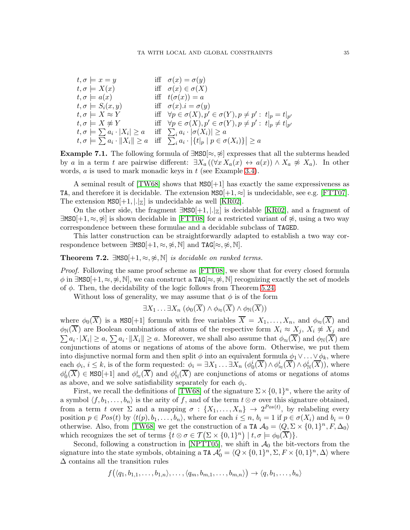| iff $\sigma(x) = \sigma(y)$<br>$t, \sigma \models x = y$                                                              |  |
|-----------------------------------------------------------------------------------------------------------------------|--|
| $t, \sigma \models X(x)$<br>iff $\sigma(x) \in \sigma(X)$                                                             |  |
| iff $t(\sigma(x)) = a$<br>$t, \sigma \models a(x)$                                                                    |  |
| iff $\sigma(x) \cdot i = \sigma(y)$<br>$t, \sigma \models S_i(x, y)$                                                  |  |
| iff $\forall p \in \sigma(X), p' \in \sigma(Y), p \neq p' : t _p = t _{p'}$<br>$t, \sigma \models X \approx Y$        |  |
| $t, \sigma \models X \not\approx Y$<br>iff $\forall p \in \sigma(X), p' \in \sigma(Y), p \neq p' : t _p \neq t _{p'}$ |  |
| $t, \sigma \models \sum a_i \cdot  X_i  \geq a$<br>iff $\sum_i a_i \cdot  \sigma(X_i)  \geq a$                        |  |
| $t, \sigma \models \sum a_i \cdot   X_i   \geq a$ iff $\sum_i a_i \cdot  \{t _p \mid p \in \sigma(X_i)\}  \geq a$     |  |

Example 7.1. The following formula of  $\exists MS0[\approx, \hat{\approx}]$  expresses that all the subterms headed by a in a term t are pairwise different:  $\exists X_a ((\forall x X_a(x) \leftrightarrow a(x)) \land X_a \not\approx X_a)$ . In other words,  $a$  is used to mark monadic keys in  $t$  (see Example [3.4\)](#page-9-0).

A seminal result of  $[TW68]$  shows that  $MS0[+1]$  has exactly the same expressiveness as TA, and therefore it is decidable. The extension  $MSO[+1, \approx]$  is undecidable, see e.g. [\[FTT07\]](#page-38-5). The extension  $MSO[+1, |.|_Z]$  is undecidable as well [\[KR02\]](#page-38-12).

On the other side, the fragment  $\exists MS0[+1, |z|]$  is decidable [\[KR02\]](#page-38-12), and a fragment of  $\exists MS[+1, \approx, \hat{\mathcal{L}}]$  is shown decidable in [\[FTT08\]](#page-38-6) for a restricted variant of  $\hat{\mathcal{L}}$ , using a two way correspondence between these formulae and a decidable subclass of TAGED.

This latter construction can be straightforwardly adapted to establish a two way correspondence between  $\exists MS0[+1,\approx,\not\approx,\mathbb{N}]$  and  $TAG[\approx,\not\approx,\mathbb{N}]$ .

<span id="page-35-0"></span>**Theorem 7.2.**  $\exists MS0[+1, \approx, \nless, \mathbb{N}]$  is decidable on ranked terms.

Proof. Following the same proof scheme as [\[FTT08\]](#page-38-6), we show that for every closed formula  $\phi$  in  $\exists MS0[+1,\approx,\cancel{\approx},\mathbb{N}]$ , we can construct a TAG[ $\approx,\cancel{\approx},\mathbb{N}]$  recognizing exactly the set of models of  $\phi$ . Then, the decidability of the logic follows from Theorem [5.24.](#page-32-1)

Without loss of generality, we may assume that  $\phi$  is of the form

$$
\exists X_1 \ldots \exists X_n \ (\phi_0(\overline{X}) \wedge \phi_{\approx}(\overline{X}) \wedge \phi_{\mathbb{N}}(\overline{X}))
$$

where  $\phi_0(\overline{X})$  is a MSO[+1] formula with free variables  $\overline{X} = X_1, \ldots, X_n$ , and  $\phi_{\approx}(\overline{X})$  and  $\phi_{\mathbb{N}}(X)$  are Boolean combinations of atoms of the respective form  $X_i \approx X_j$ ,  $X_i \not\approx X_j$  and  $\sum a_i \cdot |X_i| \ge a$ ,  $\sum a_i \cdot ||X_i|| \ge a$ . Moreover, we shall also assume that  $\phi_{\approx}(\overline{X})$  and  $\phi_{\mathbb{N}}(\overline{X})$  are conjunctions of atoms or negations of atoms of the above form. Otherwise, we put them into disjunctive normal form and then split  $\phi$  into an equivalent formula  $\phi_1 \vee \ldots \vee \phi_k$ , where each  $\phi_i, i \leq k$ , is of the form requested:  $\phi_i = \exists X_1 \dots \exists X_n \left( \phi_0^i(\overline{X}) \wedge \phi_\infty^i(\overline{X}) \wedge \phi_N^i(\overline{X}) \right)$ , where  $\phi_0^i(\overline{X}) \in \text{MSO}[+1]$  and  $\phi_\infty^i(\overline{X})$  and  $\phi_N^i(\overline{X})$  are conjunctions of atoms or negations of atoms as above, and we solve satisfiability separately for each  $\phi_i$ .

First, we recall the definitions of [\[TW68\]](#page-39-4) of the signature  $\Sigma \times \{0,1\}^n$ , where the arity of a symbol  $\langle f, b_1, \ldots, b_n \rangle$  is the arity of f, and of the term  $t \otimes \sigma$  over this signature obtained, from a term t over  $\Sigma$  and a mapping  $\sigma : \{X_1, \ldots, X_n\} \to 2^{Pos(t)}$ , by relabeling every position  $p \in Pos(t)$  by  $\langle t(p), b_1, \ldots, b_n \rangle$ , where for each  $i \leq n, b_i = 1$  if  $p \in \sigma(X_i)$  and  $b_i = 0$ otherwise. Also, from [\[TW68\]](#page-39-4) we get the construction of a TA  $\mathcal{A}_0 = (Q, \Sigma \times \{0, 1\}^n, F, \Delta_0)$ which recognizes the set of terms  $\{t \otimes \sigma \in \mathcal{T}(\Sigma \times \{0,1\}^n) \mid t, \sigma \models \phi_0(\overline{X})\}.$ 

Second, following a construction in [\[NPTT05\]](#page-39-5), we shift in  $\mathcal{A}_0$  the bit-vectors from the signature into the state symbols, obtaining a  $TA \mathcal{A}'_0 = \langle Q \times \{0,1\}^n, \Sigma, F \times \{0,1\}^n, \Delta \rangle$  where  $\Delta$  contains all the transition rules

$$
f\big(\langle q_1,b_{1,1},\ldots,b_{1,n}\rangle,\ldots,\langle q_m,b_{m,1},\ldots,b_{m,n}\rangle\big) \to \langle q,b_1,\ldots,b_n\rangle
$$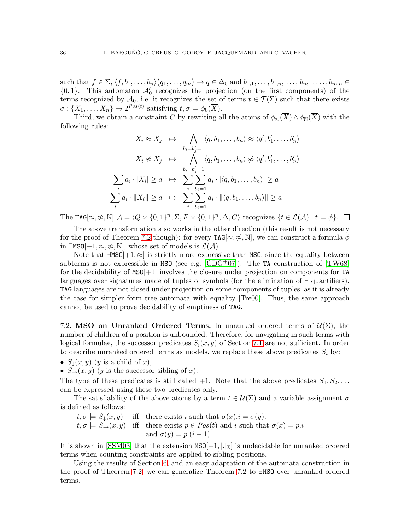such that  $f \in \Sigma, \langle f, b_1, \ldots, b_n \rangle (q_1, \ldots, q_m) \to q \in \Delta_0$  and  $b_{1,1}, \ldots, b_{1,n}, \ldots, b_{m,1}, \ldots, b_{m,n} \in$  ${0,1}$ . This automaton  $\mathcal{A}'_0$  recognizes the projection (on the first components) of the terms recognized by  $\mathcal{A}_0$ , i.e. it recognizes the set of terms  $t \in \mathcal{T}(\Sigma)$  such that there exists  $\sigma: \{X_1, \ldots, X_n\} \to 2^{Pos(t)}$  satisfying  $t, \sigma \models \phi_0(\overline{X})$ .

Third, we obtain a constraint C by rewriting all the atoms of  $\phi_{\approx}(\overline{X}) \wedge \phi_{\mathbb{N}}(\overline{X})$  with the following rules:

$$
X_i \approx X_j \quad \mapsto \quad \bigwedge_{b_i=b'_j=1} \langle q, b_1, \dots, b_n \rangle \approx \langle q', b'_1, \dots, b'_n \rangle
$$

$$
X_i \not\approx X_j \quad \mapsto \quad \bigwedge_{b_i=b'_j=1} \langle q, b_1, \dots, b_n \rangle \not\approx \langle q', b'_1, \dots, b'_n \rangle
$$

$$
\sum_i a_i \cdot |X_i| \ge a \quad \mapsto \quad \sum_{i} \sum_{b_i=1}^{b_i=1} a_i \cdot |\langle q, b_1, \dots, b_n \rangle| \ge a
$$

$$
\sum_i a_i \cdot ||X_i|| \ge a \quad \mapsto \quad \sum_{i} \sum_{b_i=1}^{b_i=1} a_i \cdot ||\langle q, b_1, \dots, b_n \rangle|| \ge a
$$

The TAG[ $\approx$ ,  $\approx$ , N]  $\mathcal{A} = \langle Q \times \{0,1\}^n, \Sigma, F \times \{0,1\}^n, \Delta, C \rangle$  recognizes  $\{t \in \mathcal{L}(\mathcal{A}) \mid t \models \phi\}.$ 

The above transformation also works in the other direction (this result is not necessary for the proof of Theorem [7.2](#page-35-0) though): for every  $\texttt{TAG}[\approx, \nless, \mathbb{N}]$ , we can construct a formula  $\phi$ in ∃MSO $[+1, \approx, \nless, \mathbb{N}]$ , whose set of models is  $\mathcal{L}(\mathcal{A})$ .

Note that  $\exists MS0[+1,\approx]$  is strictly more expressive than MSO, since the equality between subterms is not expressible in MSO (see e.g.  $[CDG^{+}07]$ ). The TA construction of  $[TW68]$ for the decidability of MSO[+1] involves the closure under projection on components for TA languages over signatures made of tuples of symbols (for the elimination of ∃ quantifiers). TAG languages are not closed under projection on some components of tuples, as it is already the case for simpler form tree automata with equality [\[Tre00\]](#page-39-6). Thus, the same approach cannot be used to prove decidability of emptiness of TAG.

7.2. MSO on Unranked Ordered Terms. In unranked ordered terms of  $\mathcal{U}(\Sigma)$ , the number of children of a position is unbounded. Therefore, for navigating in such terms with logical formulae, the successor predicates  $S_i(x, y)$  of Section [7.1](#page-34-1) are not sufficient. In order to describe unranked ordered terms as models, we replace these above predicates  $S_i$  by:

•  $S_{\perp}(x, y)$  (y is a child of x),

•  $S_{\rightarrow}(x, y)$  (y is the successor sibling of x).

The type of these predicates is still called  $+1$ . Note that the above predicates  $S_1, S_2, \ldots$ can be expressed using these two predicates only.

The satisfiability of the above atoms by a term  $t \in \mathcal{U}(\Sigma)$  and a variable assignment  $\sigma$ is defined as follows:

$$
t, \sigma \models S_{\downarrow}(x, y)
$$
 iff there exists *i* such that  $\sigma(x).i = \sigma(y)$ ,  
\n $t, \sigma \models S_{\rightarrow}(x, y)$  iff there exists  $p \in Pos(t)$  and *i* such that  $\sigma(x) = p.i$   
\nand  $\sigma(y) = p.(i + 1)$ .

It is shown in [\[SSM03\]](#page-39-3) that the extension  $MSD[+1, |Z|]$  is undecidable for unranked ordered terms when counting constraints are applied to sibling positions.

Using the results of Section [6,](#page-32-0) and an easy adaptation of the automata construction in the proof of Theorem [7.2,](#page-35-0) we can generalize Theorem [7.2](#page-35-0) to ∃MSO over unranked ordered terms.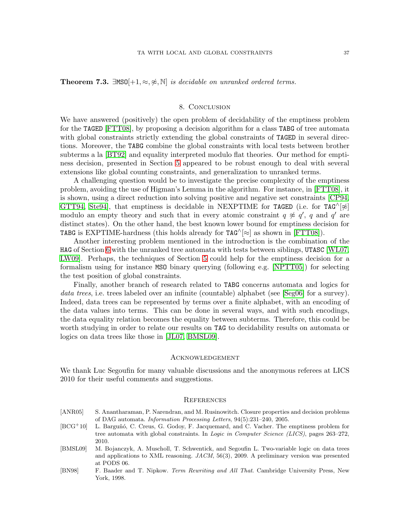**Theorem 7.3.** ∃MSO $[+1, \approx, \nless, \mathbb{N}]$  is decidable on unranked ordered terms.

## 8. Conclusion

We have answered (positively) the open problem of decidability of the emptiness problem for the TAGED [\[FTT08\]](#page-38-6), by proposing a decision algorithm for a class TABG of tree automata with global constraints strictly extending the global constraints of TAGED in several directions. Moreover, the TABG combine the global constraints with local tests between brother subterms a la [\[BT92\]](#page-38-4) and equality interpreted modulo flat theories. Our method for emptiness decision, presented in Section [5](#page-22-0) appeared to be robust enough to deal with several extensions like global counting constraints, and generalization to unranked terms.

A challenging question would be to investigate the precise complexity of the emptiness problem, avoiding the use of Higman's Lemma in the algorithm. For instance, in [\[FTT08\]](#page-38-6), it is shown, using a direct reduction into solving positive and negative set constraints [\[CP94,](#page-38-17) [GTT94,](#page-38-18) Ste94, that emptiness is decidable in NEXPTIME for TAGED (i.e. for TAG^[ $\approx$ ] modulo an empty theory and such that in every atomic constraint  $q \not\approx q'$ , q and q' are distinct states). On the other hand, the best known lower bound for emptiness decision for TABG is EXPTIME-hardness (this holds already for  $TAG^{\wedge}[\approx]$  as shown in [\[FTT08\]](#page-38-6)).

Another interesting problem mentioned in the introduction is the combination of the HAG of Section [6](#page-32-0) with the unranked tree automata with tests between siblings, UTASC [\[WL07,](#page-39-2) [LW09\]](#page-38-8). Perhaps, the techniques of Section [5](#page-22-0) could help for the emptiness decision for a formalism using for instance MSO binary querying (following e.g. [\[NPTT05\]](#page-39-5)) for selecting the test position of global constraints.

Finally, another branch of research related to TABG concerns automata and logics for data trees, i.e. trees labeled over an infinite (countable) alphabet (see [\[Seg06\]](#page-39-8) for a survey). Indeed, data trees can be represented by terms over a finite alphabet, with an encoding of the data values into terms. This can be done in several ways, and with such encodings, the data equality relation becomes the equality between subterms. Therefore, this could be worth studying in order to relate our results on TAG to decidability results on automata or logics on data trees like those in [\[JL07,](#page-38-19) [BMSL09\]](#page-37-3).

## Acknowledgement

We thank Luc Segoufin for many valuable discussions and the anonymous referees at LICS 2010 for their useful comments and suggestions.

#### **REFERENCES**

- <span id="page-37-1"></span>[ANR05] S. Anantharaman, P. Narendran, and M. Rusinowitch. Closure properties and decision problems of DAG automata. *Information Processing Letters*, 94(5):231–240, 2005.
- <span id="page-37-0"></span>[BCG<sup>+</sup>10] L. Barguñó, C. Creus, G. Godoy, F. Jacquemard, and C. Vacher. The emptiness problem for tree automata with global constraints. In *Logic in Computer Science (LICS)*, pages 263–272, 2010.
- <span id="page-37-3"></span>[BMSL09] M. Bojanczyk, A. Muscholl, T. Schwentick, and Segoufin L. Two-variable logic on data trees and applications to XML reasoning. *JACM*, 56(3), 2009. A preliminary version was presented at PODS 06.
- <span id="page-37-2"></span>[BN98] F. Baader and T. Nipkow. *Term Rewriting and All That*. Cambridge University Press, New York, 1998.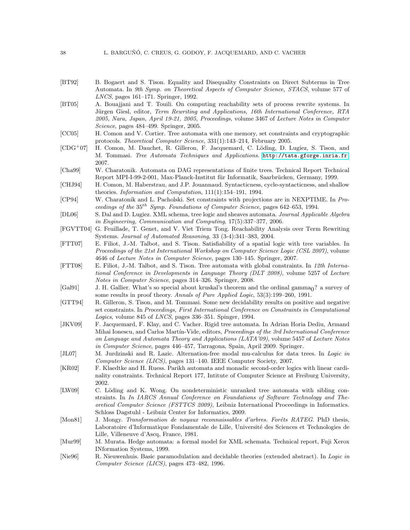- <span id="page-38-4"></span>[BT92] B. Bogaert and S. Tison. Equality and Disequality Constraints on Direct Subterms in Tree Automata. In *9th Symp. on Theoretical Aspects of Computer Science, STACS*, volume 577 of *LNCS*, pages 161–171. Springer, 1992.
- <span id="page-38-1"></span>[BT05] A. Bouajjani and T. Touili. On computing reachability sets of process rewrite systems. In Jürgen Giesl, editor, *Term Rewriting and Applications, 16th International Conference, RTA 2005, Nara, Japan, April 19-21, 2005, Proceedings*, volume 3467 of *Lecture Notes in Computer Science*, pages 484–499. Springer, 2005.
- <span id="page-38-10"></span>[CC05] H. Comon and V. Cortier. Tree automata with one memory, set constraints and cryptographic protocols. *Theoretical Computer Science*, 331(1):143–214, February 2005.
- <span id="page-38-0"></span> $[CDG^+07]$  H. Comon, M. Dauchet, R. Gilleron, F. Jacquemard, C. Löding, D. Lugiez, S. Tison, and M. Tommasi. *Tree Automata Techniques and Applications*. <http://tata.gforge.inria.fr>, 2007.
- <span id="page-38-9"></span>[Cha99] W. Charatonik. Automata on DAG representations of finite trees. Technical Report Technical Report MPI-I-99-2-001, Max-Planck-Institut für Informatik, Saarbrücken, Germany, 1999.
- <span id="page-38-15"></span>[CHJ94] H. Comon, M. Haberstrau, and J.P. Jouannaud. Syntacticness, cycle-syntacticness, and shallow theories. *Information and Computation*, 111(1):154–191, 1994.
- <span id="page-38-17"></span>[CP94] W. Charatonik and L. Pacholski. Set constraints with projections are in NEXPTIME. In *Proceedings of the* 35th *Symp. Foundations of Computer Science*, pages 642–653, 1994.
- <span id="page-38-11"></span>[DL06] S. Dal and D. Lugiez. XML schema, tree logic and sheaves automata. *Journal Applicable Algebra in Engineering, Communication and Computing*, 17(5):337–377, 2006.
- <span id="page-38-2"></span>[FGVTT04] G. Feuillade, T. Genet, and V. Viet Triem Tong. Reachability Analysis over Term Rewriting Systems. *Journal of Automated Reasoning*, 33 (3-4):341–383, 2004.
- <span id="page-38-5"></span>[FTT07] E. Filiot, J.-M. Talbot, and S. Tison. Satisfiability of a spatial logic with tree variables. In *Proceedings of the 21st International Workshop on Computer Science Logic (CSL 2007)*, volume 4646 of *Lecture Notes in Computer Science*, pages 130–145. Springer, 2007.
- <span id="page-38-6"></span>[FTT08] E. Filiot, J.-M. Talbot, and S. Tison. Tree automata with global constraints. In *12th International Conference in Developments in Language Theory (DLT 2008)*, volume 5257 of *Lecture Notes in Computer Science*, pages 314–326. Springer, 2008.
- <span id="page-38-13"></span>[Gal91] J. H. Gallier. What's so special about kruskal's theorem and the ordinal gamma<sub>0</sub>? a survey of some results in proof theory. *Annals of Pure Applied Logic*, 53(3):199–260, 1991.
- <span id="page-38-18"></span>[GTT94] R. Gilleron, S. Tison, and M. Tommasi. Some new decidability results on positive and negative set constraints. In *Proceedings, First International Conference on Constraints in Computational Logics*, volume 845 of *LNCS*, pages 336–351. Spinger, 1994.
- <span id="page-38-7"></span>[JKV09] F. Jacquemard, F. Klay, and C. Vacher. Rigid tree automata. In Adrian Horia Dediu, Armand Mihai Ionescu, and Carlos Mart´ın-Vide, editors, *Proceedings of the 3rd International Conference on Language and Automata Theory and Applications (LATA'09)*, volume 5457 of *Lecture Notes in Computer Science*, pages 446–457, Tarragona, Spain, April 2009. Springer.
- <span id="page-38-19"></span>[JL07] M. Jurdzinski and R. Lazic. Alternation-free modal mu-calculus for data trees. In *Logic in Computer Science (LICS)*, pages 131–140. IEEE Computer Society, 2007.
- <span id="page-38-12"></span>[KR02] F. Klaedtke and H. Ruess. Parikh automata and monadic second-order logics with linear cardinality constraints. Technical Report 177, Intitute of Computer Science at Freiburg University, 2002.
- <span id="page-38-8"></span>[LW09] C. Löding and K. Wong. On nondeterministic unranked tree automata with sibling constraints. In *In IARCS Annual Conference on Foundations of Software Technology and Theoretical Computer Science (FSTTCS 2009)*, Leibniz International Proceedings in Informatics. Schloss Dagstuhl - Leibniz Center for Informatics, 2009.
- <span id="page-38-3"></span>[Mon81] J. Mongy. *Transformation de noyaux reconnaissables d'arbres. Forêts RATEG*. PhD thesis, Laboratoire d'Informatique Fondamentale de Lille, Université des Sciences et Technologies de Lille, Villeneuve d'Ascq, France, 1981.
- <span id="page-38-16"></span>[Mur99] M. Murata. Hedge automata: a formal model for XML schemata. Technical report, Fuji Xerox INformation Systems, 1999.
- <span id="page-38-14"></span>[Nie96] R. Nieuwenhuis. Basic paramodulation and decidable theories (extended abstract). In *Logic in Computer Science (LICS)*, pages 473–482, 1996.